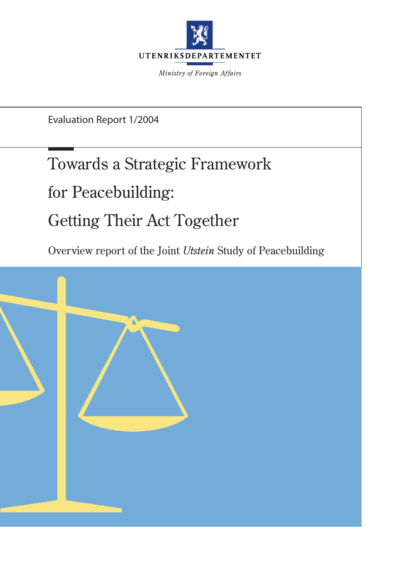

*Ministry of Foreign Affairs*

Evaluation Report 1/2004

# Towards a Strategic Framework

for Peacebuilding:

# Getting Their Act Together

Overview report of the Joint *Utstein* Study of Peacebuilding

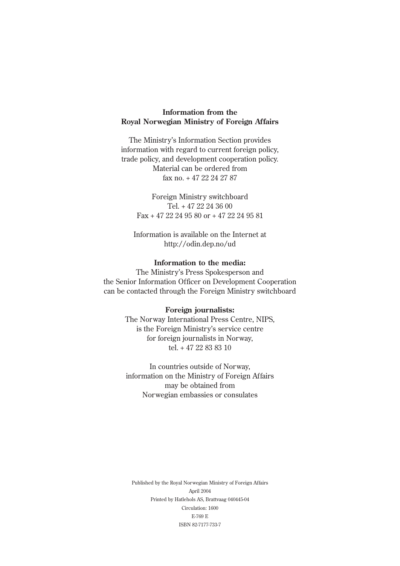### **Information from the Royal Norwegian Ministry of Foreign Affairs**

The Ministry's Information Section provides information with regard to current foreign policy, trade policy, and development cooperation policy. Material can be ordered from fax no. + 47 22 24 27 87

Foreign Ministry switchboard Tel. + 47 22 24 36 00 Fax + 47 22 24 95 80 or + 47 22 24 95 81

Information is available on the Internet at http://odin.dep.no/ud

### **Information to the media:**

The Ministry's Press Spokesperson and the Senior Information Officer on Development Cooperation can be contacted through the Foreign Ministry switchboard

### **Foreign journalists:**

The Norway International Press Centre, NIPS, is the Foreign Ministry's service centre for foreign journalists in Norway, tel. + 47 22 83 83 10

In countries outside of Norway, information on the Ministry of Foreign Affairs may be obtained from Norwegian embassies or consulates

Published by the Royal Norwegian Ministry of Foreign Affairs April 2004 Printed by Hatlehols AS, Brattvaag 040445-04 Circulation: 1600 E-769 E ISBN 82-7177-733-7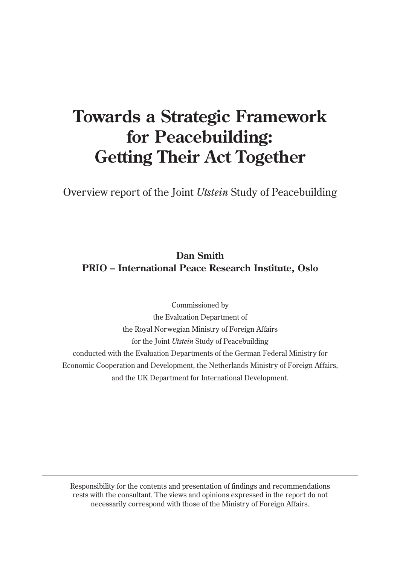## **Towards a Strategic Framework for Peacebuilding: Getting Their Act Together**

Overview report of the Joint *Utstein* Study of Peacebuilding

### **Dan Smith PRIO – International Peace Research Institute, Oslo**

Commissioned by the Evaluation Department of the Royal Norwegian Ministry of Foreign Affairs for the Joint *Utstein* Study of Peacebuilding conducted with the Evaluation Departments of the German Federal Ministry for Economic Cooperation and Development, the Netherlands Ministry of Foreign Affairs, and the UK Department for International Development.

Responsibility for the contents and presentation of findings and recommendations rests with the consultant. The views and opinions expressed in the report do not necessarily correspond with those of the Ministry of Foreign Affairs.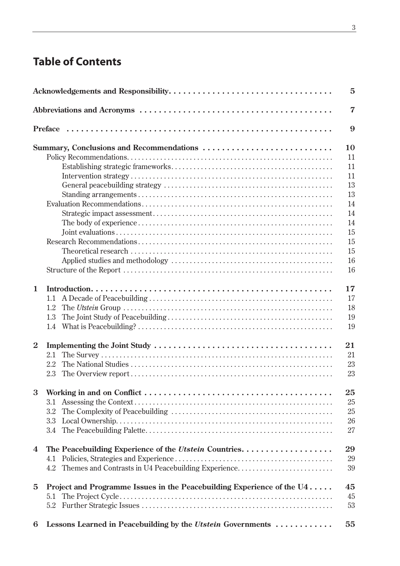## **Table of Contents**

|                |                                                                          | 5              |
|----------------|--------------------------------------------------------------------------|----------------|
|                |                                                                          | $\overline{7}$ |
|                |                                                                          | 9              |
|                | Summary, Conclusions and Recommendations                                 | 10             |
|                |                                                                          | 11             |
|                |                                                                          | 11             |
|                |                                                                          | 11             |
|                |                                                                          | 13             |
|                |                                                                          | 13             |
|                |                                                                          | 14             |
|                |                                                                          | 14             |
|                |                                                                          | 14             |
|                |                                                                          | 15             |
|                |                                                                          | 15             |
|                |                                                                          | 15             |
|                |                                                                          | 16             |
|                |                                                                          | 16             |
| $\mathbf{1}$   |                                                                          | 17             |
|                | 1.1                                                                      | 17             |
|                | 1.2                                                                      | 18             |
|                | 1.3                                                                      | 19             |
|                | 1.4                                                                      | 19             |
| $\overline{2}$ |                                                                          | 21             |
|                | 2.1                                                                      | 21             |
|                | 2.2                                                                      | 23             |
|                | 2.3                                                                      | 23             |
| 3              |                                                                          | 25             |
|                | 3.1                                                                      | 25             |
|                | 3.2                                                                      | 25             |
|                | 3.3                                                                      | 26             |
|                | 3.4                                                                      | 27             |
| 4              |                                                                          | 29             |
|                | 4.1                                                                      | 29             |
|                | Themes and Contrasts in U4 Peacebuilding Experience<br>4.2               | 39             |
| 5              | Project and Programme Issues in the Peacebuilding Experience of the $U4$ | 45             |
|                | 5.1                                                                      | 45             |
|                | 5.2                                                                      | 53             |
| 6              | Lessons Learned in Peacebuilding by the Utstein Governments              | 55             |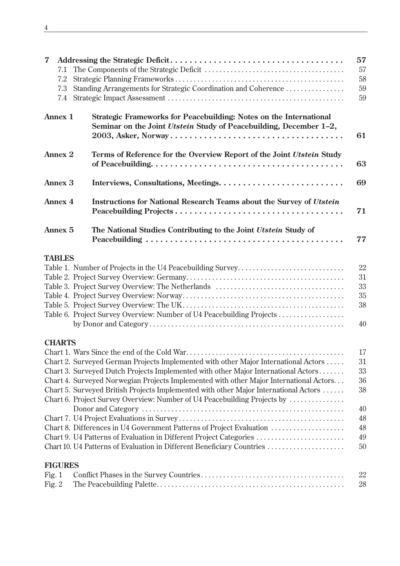| $\overline{\mathbf{7}}$<br>7.1<br>7.2<br>7.3<br>7.4                  |  | Standing Arrangements for Strategic Coordination and Coherence                                                                                                            | 57<br>57<br>58<br>59<br>59 |  |  |  |  |
|----------------------------------------------------------------------|--|---------------------------------------------------------------------------------------------------------------------------------------------------------------------------|----------------------------|--|--|--|--|
| <b>Annex 1</b>                                                       |  | Strategic Frameworks for Peacebuilding: Notes on the International<br>Seminar on the Joint Utstein Study of Peacebuilding, December 1-2,                                  |                            |  |  |  |  |
| <b>Annex 2</b>                                                       |  | Terms of Reference for the Overview Report of the Joint Utstein Study                                                                                                     | 63                         |  |  |  |  |
| <b>Annex 3</b>                                                       |  |                                                                                                                                                                           | 69                         |  |  |  |  |
| <b>Annex 4</b>                                                       |  | <b>Instructions for National Research Teams about the Survey of Utstein</b>                                                                                               |                            |  |  |  |  |
| <b>Annex 5</b>                                                       |  | The National Studies Contributing to the Joint Utstein Study of                                                                                                           | 77                         |  |  |  |  |
| <b>TABLES</b>                                                        |  |                                                                                                                                                                           |                            |  |  |  |  |
|                                                                      |  |                                                                                                                                                                           | 22                         |  |  |  |  |
|                                                                      |  |                                                                                                                                                                           | 31                         |  |  |  |  |
|                                                                      |  |                                                                                                                                                                           | 33                         |  |  |  |  |
|                                                                      |  |                                                                                                                                                                           | 35                         |  |  |  |  |
|                                                                      |  |                                                                                                                                                                           | 38                         |  |  |  |  |
|                                                                      |  | Table 6. Project Survey Overview: Number of U4 Peacebuilding Projects                                                                                                     |                            |  |  |  |  |
|                                                                      |  |                                                                                                                                                                           | 40                         |  |  |  |  |
| <b>CHARTS</b>                                                        |  |                                                                                                                                                                           |                            |  |  |  |  |
|                                                                      |  |                                                                                                                                                                           | 17                         |  |  |  |  |
|                                                                      |  | Chart 2. Surveyed German Projects Implemented with other Major International Actors<br>Chart 3. Surveyed Dutch Projects Implemented with other Major International Actors | 31<br>33                   |  |  |  |  |
|                                                                      |  | Chart 4. Surveyed Norwegian Projects Implemented with other Major International Actors                                                                                    | 36                         |  |  |  |  |
|                                                                      |  | Chart 5. Surveyed British Projects Implemented with other Major International Actors                                                                                      | 38                         |  |  |  |  |
|                                                                      |  | Chart 6. Project Survey Overview: Number of U4 Peacebuilding Projects by                                                                                                  |                            |  |  |  |  |
|                                                                      |  |                                                                                                                                                                           | 40                         |  |  |  |  |
|                                                                      |  |                                                                                                                                                                           | 48                         |  |  |  |  |
| Chart 8. Differences in U4 Government Patterns of Project Evaluation |  |                                                                                                                                                                           | 48                         |  |  |  |  |
|                                                                      |  | Chart 9. U4 Patterns of Evaluation in Different Project Categories                                                                                                        | 49                         |  |  |  |  |
|                                                                      |  | Chart 10. U4 Patterns of Evaluation in Different Beneficiary Countries                                                                                                    | 50                         |  |  |  |  |
| <b>FIGURES</b>                                                       |  |                                                                                                                                                                           |                            |  |  |  |  |
| Fig. $1$                                                             |  |                                                                                                                                                                           | 22                         |  |  |  |  |
| Fig. $2$                                                             |  |                                                                                                                                                                           | 28                         |  |  |  |  |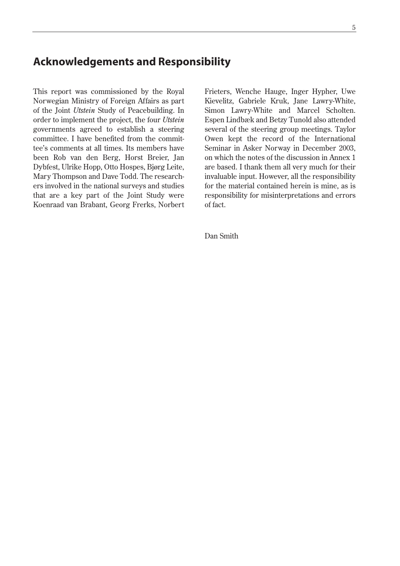### **Acknowledgements and Responsibility**

This report was commissioned by the Royal Norwegian Ministry of Foreign Affairs as part of the Joint *Utstein* Study of Peacebuilding. In order to implement the project, the four *Utstein* governments agreed to establish a steering committee. I have benefited from the committee's comments at all times. Its members have been Rob van den Berg, Horst Breier, Jan Dybfest, Ulrike Hopp, Otto Hospes, Bjørg Leite, Mary Thompson and Dave Todd. The researchers involved in the national surveys and studies that are a key part of the Joint Study were Koenraad van Brabant, Georg Frerks, Norbert Frieters, Wenche Hauge, Inger Hypher, Uwe Kievelitz, Gabriele Kruk, Jane Lawry-White, Simon Lawry-White and Marcel Scholten. Espen Lindbæk and Betzy Tunold also attended several of the steering group meetings. Taylor Owen kept the record of the International Seminar in Asker Norway in December 2003, on which the notes of the discussion in Annex 1 are based. I thank them all very much for their invaluable input. However, all the responsibility for the material contained herein is mine, as is responsibility for misinterpretations and errors of fact.

Dan Smith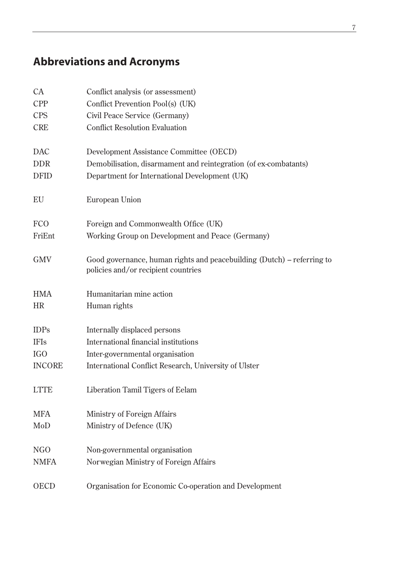## **Abbreviations and Acronyms**

| <b>CA</b>     | Conflict analysis (or assessment)                                                                             |
|---------------|---------------------------------------------------------------------------------------------------------------|
| <b>CPP</b>    | Conflict Prevention Pool(s) (UK)                                                                              |
| <b>CPS</b>    | Civil Peace Service (Germany)                                                                                 |
| <b>CRE</b>    | <b>Conflict Resolution Evaluation</b>                                                                         |
| <b>DAC</b>    | Development Assistance Committee (OECD)                                                                       |
| <b>DDR</b>    | Demobilisation, disarmament and reintegration (of ex-combatants)                                              |
| <b>DFID</b>   | Department for International Development (UK)                                                                 |
| EU            | European Union                                                                                                |
| <b>FCO</b>    | Foreign and Commonwealth Office (UK)                                                                          |
| FriEnt        | Working Group on Development and Peace (Germany)                                                              |
| <b>GMV</b>    | Good governance, human rights and peacebuilding (Dutch) – referring to<br>policies and/or recipient countries |
| <b>HMA</b>    | Humanitarian mine action                                                                                      |
| <b>HR</b>     | Human rights                                                                                                  |
| <b>IDPs</b>   | Internally displaced persons                                                                                  |
| <b>IFIs</b>   | International financial institutions                                                                          |
| <b>IGO</b>    | Inter-governmental organisation                                                                               |
| <b>INCORE</b> | International Conflict Research, University of Ulster                                                         |
| <b>LTTE</b>   | Liberation Tamil Tigers of Eelam                                                                              |
| <b>MFA</b>    | Ministry of Foreign Affairs                                                                                   |
| MoD           | Ministry of Defence (UK)                                                                                      |
| NGO           | Non-governmental organisation                                                                                 |
| <b>NMFA</b>   | Norwegian Ministry of Foreign Affairs                                                                         |
|               |                                                                                                               |
| <b>OECD</b>   | Organisation for Economic Co-operation and Development                                                        |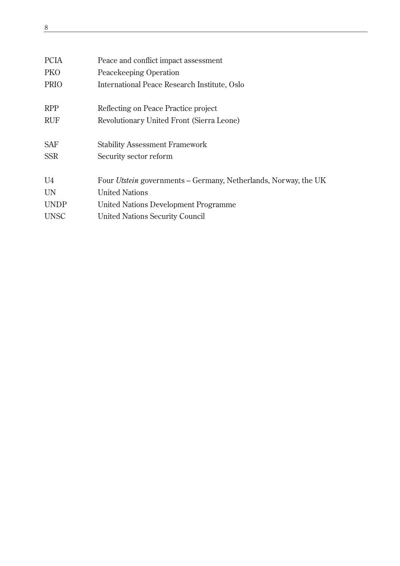| <b>PCIA</b>    | Peace and conflict impact assessment                                   |
|----------------|------------------------------------------------------------------------|
| <b>PKO</b>     | Peacekeeping Operation                                                 |
| <b>PRIO</b>    | International Peace Research Institute, Oslo                           |
| <b>RPP</b>     | Reflecting on Peace Practice project                                   |
| <b>RUF</b>     | Revolutionary United Front (Sierra Leone)                              |
| <b>SAF</b>     | <b>Stability Assessment Framework</b>                                  |
| <b>SSR</b>     | Security sector reform                                                 |
| U <sub>4</sub> | Four <i>Utstein</i> governments – Germany, Netherlands, Norway, the UK |
| <b>UN</b>      | <b>United Nations</b>                                                  |
| <b>UNDP</b>    | United Nations Development Programme                                   |
| <b>UNSC</b>    | <b>United Nations Security Council</b>                                 |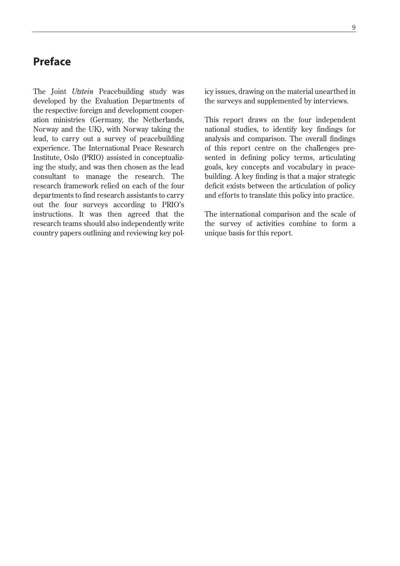### **Preface**

The Joint *Utstein* Peacebuilding study was developed by the Evaluation Departments of the respective foreign and development cooperation ministries (Germany, the Netherlands, Norway and the UK), with Norway taking the lead, to carry out a survey of peacebuilding experience. The International Peace Research Institute, Oslo (PRIO) assisted in conceptualizing the study, and was then chosen as the lead consultant to manage the research. The research framework relied on each of the four departments to find research assistants to carry out the four surveys according to PRIO's instructions. It was then agreed that the research teams should also independently write country papers outlining and reviewing key policy issues, drawing on the material unearthed in the surveys and supplemented by interviews.

This report draws on the four independent national studies, to identify key findings for analysis and comparison. The overall findings of this report centre on the challenges presented in defining policy terms, articulating goals, key concepts and vocabulary in peacebuilding. A key finding is that a major strategic deficit exists between the articulation of policy and efforts to translate this policy into practice.

The international comparison and the scale of the survey of activities combine to form a unique basis for this report.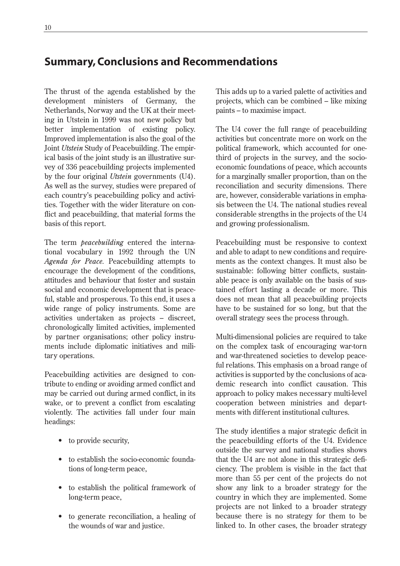### **Summary, Conclusions and Recommendations**

The thrust of the agenda established by the development ministers of Germany, the Netherlands, Norway and the UK at their meeting in Utstein in 1999 was not new policy but better implementation of existing policy. Improved implementation is also the goal of the Joint *Utstein* Study of Peacebuilding. The empirical basis of the joint study is an illustrative survey of 336 peacebuilding projects implemented by the four original *Utstein* governments (U4). As well as the survey, studies were prepared of each country's peacebuilding policy and activities. Together with the wider literature on conflict and peacebuilding, that material forms the basis of this report.

The term *peacebuilding* entered the international vocabulary in 1992 through the UN *Agenda for Peace.* Peacebuilding attempts to encourage the development of the conditions, attitudes and behaviour that foster and sustain social and economic development that is peaceful, stable and prosperous. To this end, it uses a wide range of policy instruments. Some are activities undertaken as projects – discreet, chronologically limited activities, implemented by partner organisations; other policy instruments include diplomatic initiatives and military operations.

Peacebuilding activities are designed to contribute to ending or avoiding armed conflict and may be carried out during armed conflict, in its wake, or to prevent a conflict from escalating violently. The activities fall under four main headings:

- to provide security,
- to establish the socio-economic foundations of long-term peace,
- to establish the political framework of long-term peace,
- to generate reconciliation, a healing of the wounds of war and justice.

This adds up to a varied palette of activities and projects, which can be combined – like mixing paints – to maximise impact.

The U4 cover the full range of peacebuilding activities but concentrate more on work on the political framework, which accounted for onethird of projects in the survey, and the socioeconomic foundations of peace, which accounts for a marginally smaller proportion, than on the reconciliation and security dimensions. There are, however, considerable variations in emphasis between the U4. The national studies reveal considerable strengths in the projects of the U4 and growing professionalism.

Peacebuilding must be responsive to context and able to adapt to new conditions and requirements as the context changes. It must also be sustainable: following bitter conflicts, sustainable peace is only available on the basis of sustained effort lasting a decade or more. This does not mean that all peacebuilding projects have to be sustained for so long, but that the overall strategy sees the process through.

Multi-dimensional policies are required to take on the complex task of encouraging war-torn and war-threatened societies to develop peaceful relations. This emphasis on a broad range of activities is supported by the conclusions of academic research into conflict causation. This approach to policy makes necessary multi-level cooperation between ministries and departments with different institutional cultures.

The study identifies a major strategic deficit in the peacebuilding efforts of the U4. Evidence outside the survey and national studies shows that the U4 are not alone in this strategic deficiency. The problem is visible in the fact that more than 55 per cent of the projects do not show any link to a broader strategy for the country in which they are implemented. Some projects are not linked to a broader strategy because there is no strategy for them to be linked to. In other cases, the broader strategy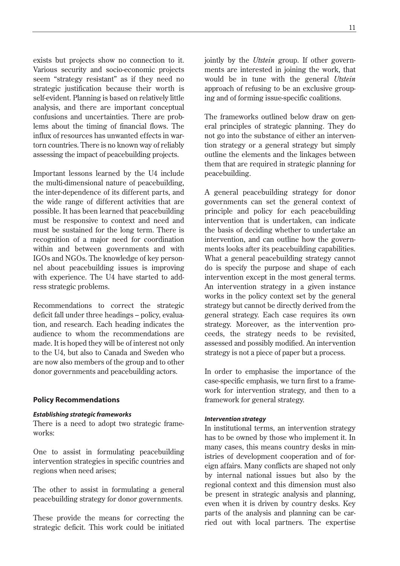exists but projects show no connection to it. Various security and socio-economic projects seem "strategy resistant" as if they need no strategic justification because their worth is self-evident. Planning is based on relatively little analysis, and there are important conceptual confusions and uncertainties. There are problems about the timing of financial flows. The influx of resources has unwanted effects in wartorn countries. There is no known way of reliably assessing the impact of peacebuilding projects.

Important lessons learned by the U4 include the multi-dimensional nature of peacebuilding, the inter-dependence of its different parts, and the wide range of different activities that are possible. It has been learned that peacebuilding must be responsive to context and need and must be sustained for the long term. There is recognition of a major need for coordination within and between governments and with IGOs and NGOs. The knowledge of key personnel about peacebuilding issues is improving with experience. The U4 have started to address strategic problems.

Recommendations to correct the strategic deficit fall under three headings – policy, evaluation, and research. Each heading indicates the audience to whom the recommendations are made. It is hoped they will be of interest not only to the U4, but also to Canada and Sweden who are now also members of the group and to other donor governments and peacebuilding actors.

### **Policy Recommendations**

#### *Establishing strategic frameworks*

There is a need to adopt two strategic frameworks:

One to assist in formulating peacebuilding intervention strategies in specific countries and regions when need arises;

The other to assist in formulating a general peacebuilding strategy for donor governments.

These provide the means for correcting the strategic deficit. This work could be initiated jointly by the *Utstein* group. If other governments are interested in joining the work, that would be in tune with the general *Utstein* approach of refusing to be an exclusive grouping and of forming issue-specific coalitions.

The frameworks outlined below draw on general principles of strategic planning. They do not go into the substance of either an intervention strategy or a general strategy but simply outline the elements and the linkages between them that are required in strategic planning for peacebuilding.

A general peacebuilding strategy for donor governments can set the general context of principle and policy for each peacebuilding intervention that is undertaken, can indicate the basis of deciding whether to undertake an intervention, and can outline how the governments looks after its peacebuilding capabilities. What a general peacebuilding strategy cannot do is specify the purpose and shape of each intervention except in the most general terms. An intervention strategy in a given instance works in the policy context set by the general strategy but cannot be directly derived from the general strategy. Each case requires its own strategy. Moreover, as the intervention proceeds, the strategy needs to be revisited, assessed and possibly modified. An intervention strategy is not a piece of paper but a process.

In order to emphasise the importance of the case-specific emphasis, we turn first to a framework for intervention strategy, and then to a framework for general strategy.

### *Intervention strategy*

In institutional terms, an intervention strategy has to be owned by those who implement it. In many cases, this means country desks in ministries of development cooperation and of foreign affairs. Many conflicts are shaped not only by internal national issues but also by the regional context and this dimension must also be present in strategic analysis and planning, even when it is driven by country desks. Key parts of the analysis and planning can be carried out with local partners. The expertise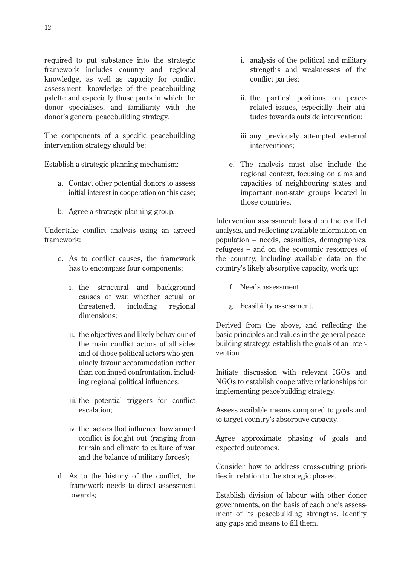required to put substance into the strategic framework includes country and regional knowledge, as well as capacity for conflict assessment, knowledge of the peacebuilding palette and especially those parts in which the donor specialises, and familiarity with the donor's general peacebuilding strategy.

The components of a specific peacebuilding intervention strategy should be:

Establish a strategic planning mechanism:

- a. Contact other potential donors to assess initial interest in cooperation on this case;
- b. Agree a strategic planning group.

Undertake conflict analysis using an agreed framework:

- c. As to conflict causes, the framework has to encompass four components;
	- i. the structural and background causes of war, whether actual or threatened, including regional dimensions;
	- ii. the objectives and likely behaviour of the main conflict actors of all sides and of those political actors who genuinely favour accommodation rather than continued confrontation, including regional political influences;
	- iii. the potential triggers for conflict escalation;
	- iv. the factors that influence how armed conflict is fought out (ranging from terrain and climate to culture of war and the balance of military forces);
- d. As to the history of the conflict, the framework needs to direct assessment towards;
- i. analysis of the political and military strengths and weaknesses of the conflict parties;
- ii. the parties' positions on peacerelated issues, especially their attitudes towards outside intervention;
- iii. any previously attempted external interventions;
- e. The analysis must also include the regional context, focusing on aims and capacities of neighbouring states and important non-state groups located in those countries.

Intervention assessment: based on the conflict analysis, and reflecting available information on population – needs, casualties, demographics, refugees – and on the economic resources of the country, including available data on the country's likely absorptive capacity, work up;

- f. Needs assessment
- g. Feasibility assessment.

Derived from the above, and reflecting the basic principles and values in the general peacebuilding strategy, establish the goals of an intervention.

Initiate discussion with relevant IGOs and NGOs to establish cooperative relationships for implementing peacebuilding strategy.

Assess available means compared to goals and to target country's absorptive capacity.

Agree approximate phasing of goals and expected outcomes.

Consider how to address cross-cutting priorities in relation to the strategic phases.

Establish division of labour with other donor governments, on the basis of each one's assessment of its peacebuilding strengths. Identify any gaps and means to fill them.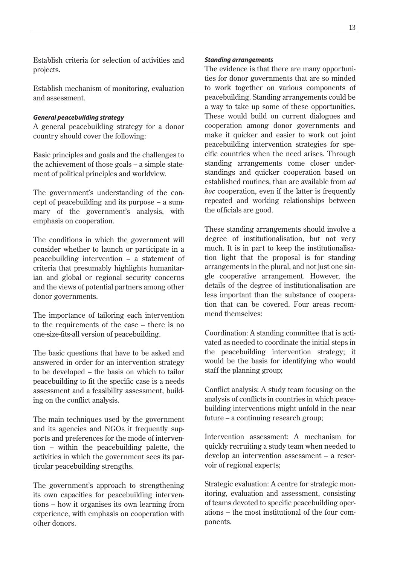Establish criteria for selection of activities and projects.

Establish mechanism of monitoring, evaluation and assessment.

### *General peacebuilding strategy*

A general peacebuilding strategy for a donor country should cover the following:

Basic principles and goals and the challenges to the achievement of those goals – a simple statement of political principles and worldview.

The government's understanding of the concept of peacebuilding and its purpose – a summary of the government's analysis, with emphasis on cooperation.

The conditions in which the government will consider whether to launch or participate in a peacebuilding intervention – a statement of criteria that presumably highlights humanitarian and global or regional security concerns and the views of potential partners among other donor governments.

The importance of tailoring each intervention to the requirements of the case – there is no one-size-fits-all version of peacebuilding.

The basic questions that have to be asked and answered in order for an intervention strategy to be developed – the basis on which to tailor peacebuilding to fit the specific case is a needs assessment and a feasibility assessment, building on the conflict analysis.

The main techniques used by the government and its agencies and NGOs it frequently supports and preferences for the mode of intervention – within the peacebuilding palette, the activities in which the government sees its particular peacebuilding strengths.

The government's approach to strengthening its own capacities for peacebuilding interventions – how it organises its own learning from experience, with emphasis on cooperation with other donors.

#### *Standing arrangements*

The evidence is that there are many opportunities for donor governments that are so minded to work together on various components of peacebuilding. Standing arrangements could be a way to take up some of these opportunities. These would build on current dialogues and cooperation among donor governments and make it quicker and easier to work out joint peacebuilding intervention strategies for specific countries when the need arises. Through standing arrangements come closer understandings and quicker cooperation based on established routines, than are available from *ad hoc* cooperation, even if the latter is frequently repeated and working relationships between the officials are good.

These standing arrangements should involve a degree of institutionalisation, but not very much. It is in part to keep the institutionalisation light that the proposal is for standing arrangements in the plural, and not just one single cooperative arrangement. However, the details of the degree of institutionalisation are less important than the substance of cooperation that can be covered. Four areas recommend themselves:

Coordination: A standing committee that is activated as needed to coordinate the initial steps in the peacebuilding intervention strategy; it would be the basis for identifying who would staff the planning group;

Conflict analysis: A study team focusing on the analysis of conflicts in countries in which peacebuilding interventions might unfold in the near future – a continuing research group;

Intervention assessment: A mechanism for quickly recruiting a study team when needed to develop an intervention assessment – a reservoir of regional experts;

Strategic evaluation: A centre for strategic monitoring, evaluation and assessment, consisting of teams devoted to specific peacebuilding operations – the most institutional of the four components.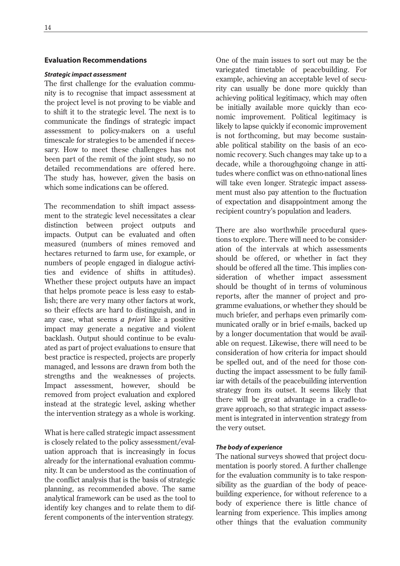### **Evaluation Recommendations**

#### *Strategic impact assessment*

The first challenge for the evaluation community is to recognise that impact assessment at the project level is not proving to be viable and to shift it to the strategic level. The next is to communicate the findings of strategic impact assessment to policy-makers on a useful timescale for strategies to be amended if necessary. How to meet these challenges has not been part of the remit of the joint study, so no detailed recommendations are offered here. The study has, however, given the basis on which some indications can be offered.

The recommendation to shift impact assessment to the strategic level necessitates a clear distinction between project outputs and impacts. Output can be evaluated and often measured (numbers of mines removed and hectares returned to farm use, for example, or numbers of people engaged in dialogue activities and evidence of shifts in attitudes). Whether these project outputs have an impact that helps promote peace is less easy to establish; there are very many other factors at work, so their effects are hard to distinguish, and in any case, what seems *a priori* like a positive impact may generate a negative and violent backlash. Output should continue to be evaluated as part of project evaluations to ensure that best practice is respected, projects are properly managed, and lessons are drawn from both the strengths and the weaknesses of projects. Impact assessment, however, should be removed from project evaluation and explored instead at the strategic level, asking whether the intervention strategy as a whole is working.

What is here called strategic impact assessment is closely related to the policy assessment/evaluation approach that is increasingly in focus already for the international evaluation community. It can be understood as the continuation of the conflict analysis that is the basis of strategic planning, as recommended above. The same analytical framework can be used as the tool to identify key changes and to relate them to different components of the intervention strategy.

One of the main issues to sort out may be the variegated timetable of peacebuilding. For example, achieving an acceptable level of security can usually be done more quickly than achieving political legitimacy, which may often be initially available more quickly than economic improvement. Political legitimacy is likely to lapse quickly if economic improvement is not forthcoming, but may become sustainable political stability on the basis of an economic recovery. Such changes may take up to a decade, while a thoroughgoing change in attitudes where conflict was on ethno-national lines will take even longer. Strategic impact assessment must also pay attention to the fluctuation of expectation and disappointment among the recipient country's population and leaders.

There are also worthwhile procedural questions to explore. There will need to be consideration of the intervals at which assessments should be offered, or whether in fact they should be offered all the time. This implies consideration of whether impact assessment should be thought of in terms of voluminous reports, after the manner of project and programme evaluations, or whether they should be much briefer, and perhaps even primarily communicated orally or in brief e-mails, backed up by a longer documentation that would be available on request. Likewise, there will need to be consideration of how criteria for impact should be spelled out, and of the need for those conducting the impact assessment to be fully familiar with details of the peacebuilding intervention strategy from its outset. It seems likely that there will be great advantage in a cradle-tograve approach, so that strategic impact assessment is integrated in intervention strategy from the very outset.

### *The body of experience*

The national surveys showed that project documentation is poorly stored. A further challenge for the evaluation community is to take responsibility as the guardian of the body of peacebuilding experience, for without reference to a body of experience there is little chance of learning from experience. This implies among other things that the evaluation community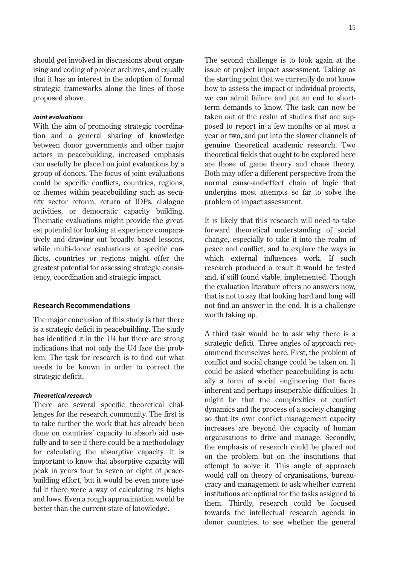should get involved in discussions about organising and coding of project archives, and equally that it has an interest in the adoption of formal strategic frameworks along the lines of those proposed above.

### *Joint evaluations*

With the aim of promoting strategic coordination and a general sharing of knowledge between donor governments and other major actors in peacebuilding, increased emphasis can usefully be placed on joint evaluations by a group of donors. The focus of joint evaluations could be specific conflicts, countries, regions, or themes within peacebuilding such as security sector reform, return of IDPs, dialogue activities, or democratic capacity building. Thematic evaluations might provide the greatest potential for looking at experience comparatively and drawing out broadly based lessons, while multi-donor evaluations of specific conflicts, countries or regions might offer the greatest potential for assessing strategic consistency, coordination and strategic impact.

#### **Research Recommendations**

The major conclusion of this study is that there is a strategic deficit in peacebuilding. The study has identified it in the U4 but there are strong indications that not only the U4 face the problem. The task for research is to find out what needs to be known in order to correct the strategic deficit.

#### *Theoretical research*

There are several specific theoretical challenges for the research community. The first is to take further the work that has already been done on countries' capacity to absorb aid usefully and to see if there could be a methodology for calculating the absorptive capacity. It is important to know that absorptive capacity will peak in years four to seven or eight of peacebuilding effort, but it would be even more useful if there were a way of calculating its highs and lows. Even a rough approximation would be better than the current state of knowledge.

The second challenge is to look again at the issue of project impact assessment. Taking as the starting point that we currently do not know how to assess the impact of individual projects, we can admit failure and put an end to shortterm demands to know. The task can now be taken out of the realm of studies that are supposed to report in a few months or at most a year or two, and put into the slower channels of genuine theoretical academic research. Two theoretical fields that ought to be explored here are those of game theory and chaos theory. Both may offer a different perspective from the normal cause-and-effect chain of logic that underpins most attempts so far to solve the problem of impact assessment.

It is likely that this research will need to take forward theoretical understanding of social change, especially to take it into the realm of peace and conflict, and to explore the ways in which external influences work. If such research produced a result it would be tested and, if still found viable, implemented. Though the evaluation literature offers no answers now, that is not to say that looking hard and long will not find an answer in the end. It is a challenge worth taking up.

A third task would be to ask why there is a strategic deficit. Three angles of approach recommend themselves here. First, the problem of conflict and social change could be taken on. It could be asked whether peacebuilding is actually a form of social engineering that faces inherent and perhaps insuperable difficulties. It might be that the complexities of conflict dynamics and the process of a society changing so that its own conflict management capacity increases are beyond the capacity of human organisations to drive and manage. Secondly, the emphasis of research could be placed not on the problem but on the institutions that attempt to solve it. This angle of approach would call on theory of organisations, bureaucracy and management to ask whether current institutions are optimal for the tasks assigned to them. Thirdly, research could be focused towards the intellectual research agenda in donor countries, to see whether the general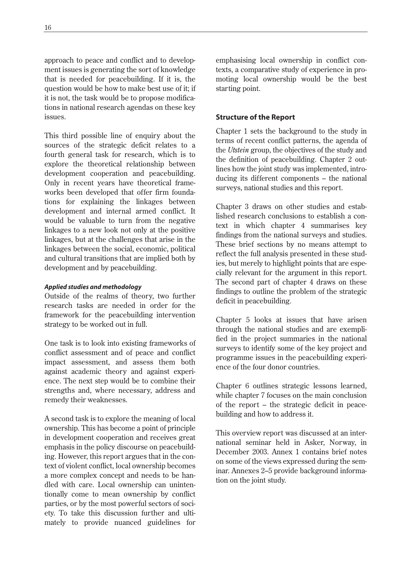approach to peace and conflict and to development issues is generating the sort of knowledge that is needed for peacebuilding. If it is, the question would be how to make best use of it; if it is not, the task would be to propose modifications in national research agendas on these key issues.

This third possible line of enquiry about the sources of the strategic deficit relates to a fourth general task for research, which is to explore the theoretical relationship between development cooperation and peacebuilding. Only in recent years have theoretical frameworks been developed that offer firm foundations for explaining the linkages between development and internal armed conflict. It would be valuable to turn from the negative linkages to a new look not only at the positive linkages, but at the challenges that arise in the linkages between the social, economic, political and cultural transitions that are implied both by development and by peacebuilding.

### *Applied studies and methodology*

Outside of the realms of theory, two further research tasks are needed in order for the framework for the peacebuilding intervention strategy to be worked out in full.

One task is to look into existing frameworks of conflict assessment and of peace and conflict impact assessment, and assess them both against academic theory and against experience. The next step would be to combine their strengths and, where necessary, address and remedy their weaknesses.

A second task is to explore the meaning of local ownership. This has become a point of principle in development cooperation and receives great emphasis in the policy discourse on peacebuilding. However, this report argues that in the context of violent conflict, local ownership becomes a more complex concept and needs to be handled with care. Local ownership can unintentionally come to mean ownership by conflict parties, or by the most powerful sectors of society. To take this discussion further and ultimately to provide nuanced guidelines for

emphasising local ownership in conflict contexts, a comparative study of experience in promoting local ownership would be the best starting point.

### **Structure of the Report**

Chapter 1 sets the background to the study in terms of recent conflict patterns, the agenda of the *Utstein* group, the objectives of the study and the definition of peacebuilding. Chapter 2 outlines how the joint study was implemented, introducing its different components – the national surveys, national studies and this report.

Chapter 3 draws on other studies and established research conclusions to establish a context in which chapter 4 summarises key findings from the national surveys and studies. These brief sections by no means attempt to reflect the full analysis presented in these studies, but merely to highlight points that are especially relevant for the argument in this report. The second part of chapter 4 draws on these findings to outline the problem of the strategic deficit in peacebuilding.

Chapter 5 looks at issues that have arisen through the national studies and are exemplified in the project summaries in the national surveys to identify some of the key project and programme issues in the peacebuilding experience of the four donor countries.

Chapter 6 outlines strategic lessons learned, while chapter 7 focuses on the main conclusion of the report – the strategic deficit in peacebuilding and how to address it.

This overview report was discussed at an international seminar held in Asker, Norway, in December 2003. Annex 1 contains brief notes on some of the views expressed during the seminar. Annexes 2–5 provide background information on the joint study.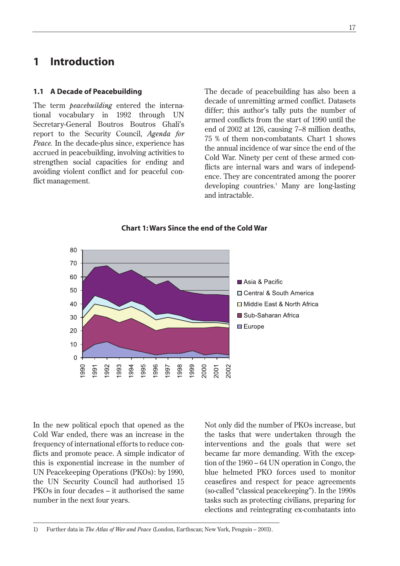### **1 Introduction**

### **1.1 A Decade of Peacebuilding**

The term *peacebuilding* entered the international vocabulary in 1992 through UN Secretary-General Boutros Boutros Ghali's report to the Security Council, *Agenda for Peace.* In the decade-plus since, experience has accrued in peacebuilding, involving activities to strengthen social capacities for ending and avoiding violent conflict and for peaceful conflict management.

The decade of peacebuilding has also been a decade of unremitting armed conflict. Datasets differ; this author's tally puts the number of armed conflicts from the start of 1990 until the end of 2002 at 126, causing 7–8 million deaths, 75 % of them non-combatants. Chart 1 shows the annual incidence of war since the end of the Cold War. Ninety per cent of these armed conflicts are internal wars and wars of independence. They are concentrated among the poorer developing countries.<sup>1</sup> Many are long-lasting and intractable.



**Chart 1: Wars Since the end of the Cold War**

In the new political epoch that opened as the Cold War ended, there was an increase in the frequency of international efforts to reduce conflicts and promote peace. A simple indicator of this is exponential increase in the number of UN Peacekeeping Operations (PKOs): by 1990, the UN Security Council had authorised 15 PKOs in four decades – it authorised the same number in the next four years.

Not only did the number of PKOs increase, but the tasks that were undertaken through the interventions and the goals that were set became far more demanding. With the exception of the 1960 – 64 UN operation in Congo, the blue helmeted PKO forces used to monitor ceasefires and respect for peace agreements (so-called "classical peacekeeping"). In the 1990s tasks such as protecting civilians, preparing for elections and reintegrating ex-combatants into

<sup>1)</sup> Further data in *The Atlas of War and Peace* (London, Earthscan; New York, Penguin – 2003).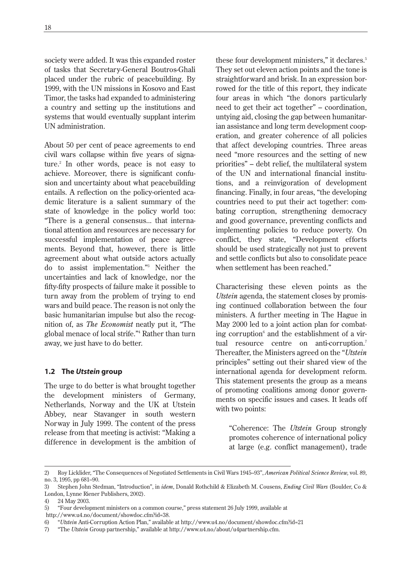society were added. It was this expanded roster of tasks that Secretary-General Boutros-Ghali placed under the rubric of peacebuilding. By 1999, with the UN missions in Kosovo and East Timor, the tasks had expanded to administering a country and setting up the institutions and systems that would eventually supplant interim UN administration.

About 50 per cent of peace agreements to end civil wars collapse within five years of signature.2 In other words, peace is not easy to achieve. Moreover, there is significant confusion and uncertainty about what peacebuilding entails. A reflection on the policy-oriented academic literature is a salient summary of the state of knowledge in the policy world too: "There is a general consensus... that international attention and resources are necessary for successful implementation of peace agreements. Beyond that, however, there is little agreement about what outside actors actually do to assist implementation."3 Neither the uncertainties and lack of knowledge, nor the fifty-fifty prospects of failure make it possible to turn away from the problem of trying to end wars and build peace. The reason is not only the basic humanitarian impulse but also the recognition of, as *The Economist* neatly put it, "The global menace of local strife."4 Rather than turn away, we just have to do better.

### **1.2 The** *Utstein* **group**

The urge to do better is what brought together the development ministers of Germany, Netherlands, Norway and the UK at Utstein Abbey, near Stavanger in south western Norway in July 1999. The content of the press release from that meeting is activist: "Making a difference in development is the ambition of these four development ministers," it declares.<sup>5</sup> They set out eleven action points and the tone is straightforward and brisk. In an expression borrowed for the title of this report, they indicate four areas in which "the donors particularly need to get their act together" – coordination, untying aid, closing the gap between humanitarian assistance and long term development cooperation, and greater coherence of all policies that affect developing countries. Three areas need "more resources and the setting of new priorities" – debt relief, the multilateral system of the UN and international financial institutions, and a reinvigoration of development financing. Finally, in four areas, "the developing countries need to put their act together: combating corruption, strengthening democracy and good governance, preventing conflicts and implementing policies to reduce poverty. On conflict, they state, "Development efforts should be used strategically not just to prevent and settle conflicts but also to consolidate peace when settlement has been reached."

Characterising these eleven points as the *Utstein* agenda, the statement closes by promising continued collaboration between the four ministers. A further meeting in The Hague in May 2000 led to a joint action plan for combating corruption $\delta$  and the establishment of a virtual resource centre on anti-corruption.<sup>7</sup> Thereafter, the Ministers agreed on the "*Utstein* principles" setting out their shared view of the international agenda for development reform. This statement presents the group as a means of promoting coalitions among donor governments on specific issues and cases. It leads off with two points:

"Coherence: The *Utstein* Group strongly promotes coherence of international policy at large (e.g. conflict management), trade

<sup>2)</sup> Roy Licklider, "The Consequences of Negotiated Settlements in Civil Wars 1945–93", *American Political Science Review,* vol. 89, no. 3, 1995, pp 681–90.

<sup>3)</sup> Stephen John Stedman, "Introduction", in *idem*, Donald Rothchild & Elizabeth M. Cousens, *Ending Civil Wars* (Boulder, Co & London, Lynne Riener Publishers, 2002).

<sup>4) 24</sup> May 2003.

<sup>5) &</sup>quot;Four development ministers on a common course," press statement 26 July 1999, available at http://www.u4.no/document/showdoc.cfm?id=38.

<sup>6) &</sup>quot;*Utstein* Anti-Corruption Action Plan," available at http://www.u4.no/document/showdoc.cfm?id=21

<sup>7) &</sup>quot;The *Utstein* Group partnership," available at http://www.u4.no/about/u4partnership.cfm.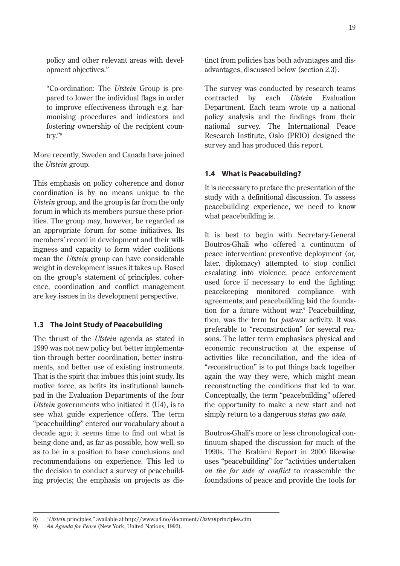policy and other relevant areas with development objectives."

"Co-ordination: The *Utstein* Group is prepared to lower the individual flags in order to improve effectiveness through e.g. harmonising procedures and indicators and fostering ownership of the recipient country."8

More recently, Sweden and Canada have joined the *Utstein* group.

This emphasis on policy coherence and donor coordination is by no means unique to the *Utstein* group, and the group is far from the only forum in which its members pursue these priorities. The group may, however, be regarded as an appropriate forum for some initiatives. Its members' record in development and their willingness and capacity to form wider coalitions mean the *Utstein* group can have considerable weight in development issues it takes up. Based on the group's statement of principles, coherence, coordination and conflict management are key issues in its development perspective.

### **1.3 The Joint Study of Peacebuilding**

The thrust of the *Utstein* agenda as stated in 1999 was not new policy but better implementation through better coordination, better instruments, and better use of existing instruments. That is the spirit that imbues this joint study. Its motive force, as befits its institutional launchpad in the Evaluation Departments of the four *Utstein* governments who initiated it (U4), is to see what guide experience offers. The term "peacebuilding" entered our vocabulary about a decade ago; it seems time to find out what is being done and, as far as possible, how well, so as to be in a position to base conclusions and recommendations on experience. This led to the decision to conduct a survey of peacebuilding projects; the emphasis on projects as distinct from policies has both advantages and disadvantages, discussed below (section 2.3).

The survey was conducted by research teams contracted by each *Utstein* Evaluation Department. Each team wrote up a national policy analysis and the findings from their national survey. The International Peace Research Institute, Oslo (PRIO) designed the survey and has produced this report.

### **1.4 What is Peacebuilding?**

It is necessary to preface the presentation of the study with a definitional discussion. To assess peacebuilding experience, we need to know what peacebuilding is.

It is best to begin with Secretary-General Boutros-Ghali who offered a continuum of peace intervention: preventive deployment (or, later, diplomacy) attempted to stop conflict escalating into violence; peace enforcement used force if necessary to end the fighting; peacekeeping monitored compliance with agreements; and peacebuilding laid the foundation for a future without war.<sup>9</sup> Peacebuilding, then, was the term for *post*-war activity. It was preferable to "reconstruction" for several reasons. The latter term emphasises physical and economic reconstruction at the expense of activities like reconciliation, and the idea of "*re*construction" is to put things back together again the way they were, which might mean reconstructing the conditions that led to war. Conceptually, the term "peacebuilding" offered the opportunity to make a new start and not simply return to a dangerous *status quo ante.*

Boutros-Ghali's more or less chronological continuum shaped the discussion for much of the 1990s. The Brahimi Report in 2000 likewise uses "peacebuilding" for "activities undertaken *on the far side of conflict* to reassemble the foundations of peace and provide the tools for

<sup>8) &</sup>quot;*Utstein* principles," available at http://www.u4.no/document/*Utstein*principles.cfm.

<sup>9)</sup> *An Agenda for Peace* (New York, United Nations, 1992).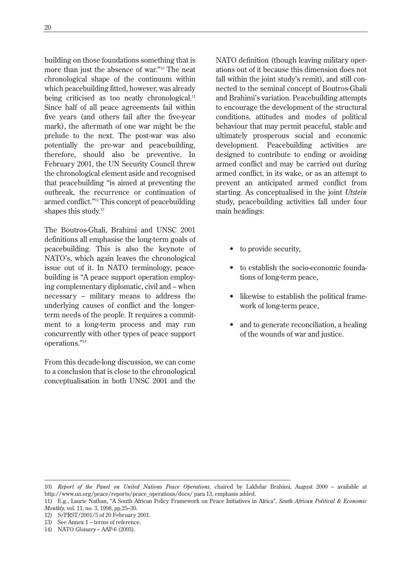building on those foundations something that is more than just the absence of war."10 The neat chronological shape of the continuum within which peacebuilding fitted, however, was already being criticised as too neatly chronological. $<sup>11</sup>$ </sup> Since half of all peace agreements fail within five years (and others fail after the five-year mark), the aftermath of one war might be the prelude to the next. The post-war was also potentially the pre-war and peacebuilding, therefore, should also be preventive. In February 2001, the UN Security Council threw the chronological element aside and recognised that peacebuilding "is aimed at preventing the outbreak, the recurrence or continuation of armed conflict."12 This concept of peacebuilding shapes this study. $13$ 

The Boutros-Ghali, Brahimi and UNSC 2001 definitions all emphasise the long-term goals of peacebuilding. This is also the keynote of NATO's, which again leaves the chronological issue out of it. In NATO terminology, peacebuilding is "A peace support operation employing complementary diplomatic, civil and – when necessary – military means to address the underlying causes of conflict and the longerterm needs of the people. It requires a commitment to a long-term process and may run concurrently with other types of peace support operations."14

From this decade-long discussion, we can come to a conclusion that is close to the chronological conceptualisation in both UNSC 2001 and the

NATO definition (though leaving military operations out of it because this dimension does not fall within the joint study's remit), and still connected to the seminal concept of Boutros-Ghali and Brahimi's variation. Peacebuilding attempts to encourage the development of the structural conditions, attitudes and modes of political behaviour that may permit peaceful, stable and ultimately prosperous social and economic development. Peacebuilding activities are designed to contribute to ending or avoiding armed conflict and may be carried out during armed conflict, in its wake, or as an attempt to prevent an anticipated armed conflict from starting. As conceptualised in the joint *Utstein* study, peacebuilding activities fall under four main headings:

- to provide security,
- to establish the socio-economic foundations of long-term peace,
- likewise to establish the political framework of long-term peace,
- and to generate reconciliation, a healing of the wounds of war and justice.

<sup>10)</sup> *Report of the Panel on United Nations Peace Operations,* chaired by Lakhdar Brahimi, August 2000 – available at http://www.un.org/peace/reports/peace\_operations/docs/ para 13, emphasis added.

<sup>11)</sup> E.g., Laurie Nathan, "A South African Policy Framework on Peace Initiatives in Africa", *South African Political & Economic Monthly,* vol. 11, no. 3, 1998, pp.25–30.

<sup>12)</sup> S/PRST/2001/5 of 20 February 2001.

<sup>13)</sup> See Annex 1 – terms of reference.

<sup>14)</sup> NATO *Glossary* – AAP-6 (2003).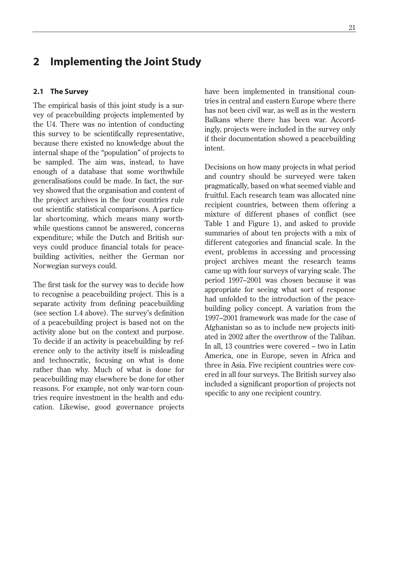### **2 Implementing the Joint Study**

### **2.1 The Survey**

The empirical basis of this joint study is a survey of peacebuilding projects implemented by the U4. There was no intention of conducting this survey to be scientifically representative, because there existed no knowledge about the internal shape of the "population" of projects to be sampled. The aim was, instead, to have enough of a database that some worthwhile generalisations could be made. In fact, the survey showed that the organisation and content of the project archives in the four countries rule out scientific statistical comparisons. A particular shortcoming, which means many worthwhile questions cannot be answered, concerns expenditure; while the Dutch and British surveys could produce financial totals for peacebuilding activities, neither the German nor Norwegian surveys could.

The first task for the survey was to decide how to recognise a peacebuilding project. This is a separate activity from defining peacebuilding (see section 1.4 above). The survey's definition of a peacebuilding project is based not on the activity alone but on the context and purpose. To decide if an activity is peacebuilding by reference only to the activity itself is misleading and technocratic, focusing on what is done rather than why. Much of what is done for peacebuilding may elsewhere be done for other reasons. For example, not only war-torn countries require investment in the health and education. Likewise, good governance projects have been implemented in transitional countries in central and eastern Europe where there has not been civil war, as well as in the western Balkans where there has been war. Accordingly, projects were included in the survey only if their documentation showed a peacebuilding intent.

Decisions on how many projects in what period and country should be surveyed were taken pragmatically, based on what seemed viable and fruitful. Each research team was allocated nine recipient countries, between them offering a mixture of different phases of conflict (see Table 1 and Figure 1), and asked to provide summaries of about ten projects with a mix of different categories and financial scale. In the event, problems in accessing and processing project archives meant the research teams came up with four surveys of varying scale. The period 1997–2001 was chosen because it was appropriate for seeing what sort of response had unfolded to the introduction of the peacebuilding policy concept. A variation from the 1997–2001 framework was made for the case of Afghanistan so as to include new projects initiated in 2002 after the overthrow of the Taliban. In all, 13 countries were covered – two in Latin America, one in Europe, seven in Africa and three in Asia. Five recipient countries were covered in all four surveys. The British survey also included a significant proportion of projects not specific to any one recipient country.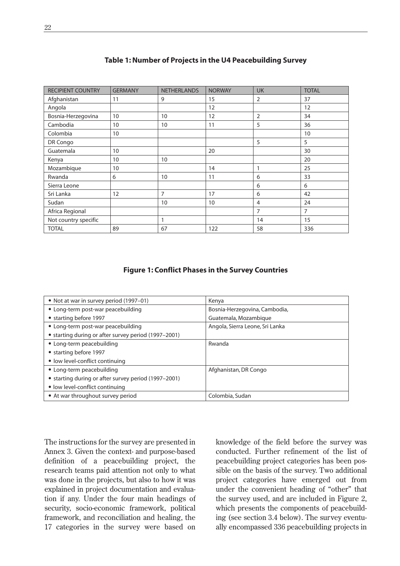| <b>RECIPIENT COUNTRY</b> | <b>GERMANY</b> | <b>NETHERLANDS</b> | <b>NORWAY</b> | <b>UK</b>      | <b>TOTAL</b>   |
|--------------------------|----------------|--------------------|---------------|----------------|----------------|
| Afghanistan              | 11             | 9                  | 15            | 2              | 37             |
| Angola                   |                |                    | 12            |                | 12             |
| Bosnia-Herzegovina       | 10             | 10                 | 12            | $\overline{2}$ | 34             |
| Cambodia                 | 10             | 10                 | 11            | 5              | 36             |
| Colombia                 | 10             |                    |               |                | 10             |
| DR Congo                 |                |                    |               | 5              | 5              |
| Guatemala                | 10             |                    | 20            |                | 30             |
| Kenya                    | 10             | 10                 |               |                | 20             |
| Mozambique               | 10             |                    | 14            | 1              | 25             |
| Rwanda                   | 6              | 10                 | 11            | 6              | 33             |
| Sierra Leone             |                |                    |               | 6              | 6              |
| Sri Lanka                | 12             | 7                  | 17            | 6              | 42             |
| Sudan                    |                | 10                 | 10            | $\overline{4}$ | 24             |
| Africa Regional          |                |                    |               | 7              | $\overline{7}$ |
| Not country specific     |                | 1                  |               | 14             | 15             |
| <b>TOTAL</b>             | 89             | 67                 | 122           | 58             | 336            |

### **Table 1: Number of Projects in the U4 Peacebuilding Survey**

### **Figure 1: Conflict Phases in the Survey Countries**

| • Not at war in survey period (1997-01)              | Kenya                           |
|------------------------------------------------------|---------------------------------|
| • Long-term post-war peacebuilding                   | Bosnia-Herzegovina, Cambodia,   |
| • starting before 1997                               | Guatemala, Mozambique           |
| • Long-term post-war peacebuilding                   | Angola, Sierra Leone, Sri Lanka |
| • starting during or after survey period (1997-2001) |                                 |
| • Long-term peacebuilding                            | Rwanda                          |
| • starting before 1997                               |                                 |
| • low level-conflict continuing                      |                                 |
| • Long-term peacebuilding                            | Afghanistan, DR Congo           |
| • starting during or after survey period (1997-2001) |                                 |
| • low level-conflict continuing                      |                                 |
| • At war throughout survey period                    | Colombia, Sudan                 |

The instructions for the survey are presented in Annex 3. Given the context- and purpose-based definition of a peacebuilding project, the research teams paid attention not only to what was done in the projects, but also to how it was explained in project documentation and evaluation if any. Under the four main headings of security, socio-economic framework, political framework, and reconciliation and healing, the 17 categories in the survey were based on knowledge of the field before the survey was conducted. Further refinement of the list of peacebuilding project categories has been possible on the basis of the survey. Two additional project categories have emerged out from under the convenient heading of "other" that the survey used, and are included in Figure 2, which presents the components of peacebuilding (see section 3.4 below). The survey eventually encompassed 336 peacebuilding projects in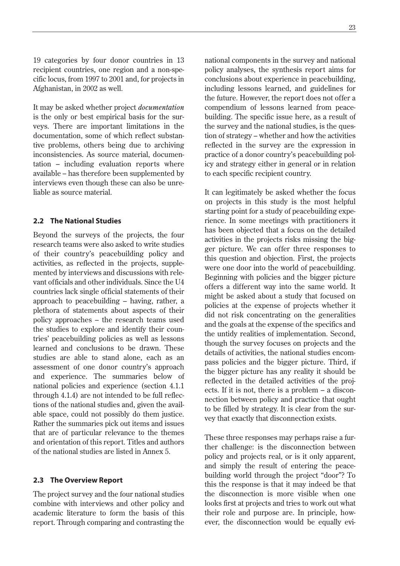19 categories by four donor countries in 13 recipient countries, one region and a non-specific locus, from 1997 to 2001 and, for projects in Afghanistan, in 2002 as well.

It may be asked whether project *documentation* is the only or best empirical basis for the surveys. There are important limitations in the documentation, some of which reflect substantive problems, others being due to archiving inconsistencies. As source material, documentation – including evaluation reports where available – has therefore been supplemented by interviews even though these can also be unreliable as source material.

### **2.2 The National Studies**

Beyond the surveys of the projects, the four research teams were also asked to write studies of their country's peacebuilding policy and activities, as reflected in the projects, supplemented by interviews and discussions with relevant officials and other individuals. Since the U4 countries lack single official statements of their approach to peacebuilding – having, rather, a plethora of statements about aspects of their policy approaches – the research teams used the studies to explore and identify their countries' peacebuilding policies as well as lessons learned and conclusions to be drawn. These studies are able to stand alone, each as an assessment of one donor country's approach and experience. The summaries below of national policies and experience (section 4.1.1 through 4.1.4) are not intended to be full reflections of the national studies and, given the available space, could not possibly do them justice. Rather the summaries pick out items and issues that are of particular relevance to the themes and orientation of this report. Titles and authors of the national studies are listed in Annex 5.

### **2.3 The Overview Report**

The project survey and the four national studies combine with interviews and other policy and academic literature to form the basis of this report. Through comparing and contrasting the national components in the survey and national policy analyses, the synthesis report aims for conclusions about experience in peacebuilding, including lessons learned, and guidelines for the future. However, the report does not offer a compendium of lessons learned from peacebuilding. The specific issue here, as a result of the survey and the national studies, is the question of strategy – whether and how the activities reflected in the survey are the expression in practice of a donor country's peacebuilding policy and strategy either in general or in relation to each specific recipient country.

It can legitimately be asked whether the focus on projects in this study is the most helpful starting point for a study of peacebuilding experience. In some meetings with practitioners it has been objected that a focus on the detailed activities in the projects risks missing the bigger picture. We can offer three responses to this question and objection. First, the projects were one door into the world of peacebuilding. Beginning with policies and the bigger picture offers a different way into the same world. It might be asked about a study that focused on policies at the expense of projects whether it did not risk concentrating on the generalities and the goals at the expense of the specifics and the untidy realities of implementation. Second, though the survey focuses on projects and the details of activities, the national studies encompass policies and the bigger picture. Third, if the bigger picture has any reality it should be reflected in the detailed activities of the projects. If it is not, there is a problem – a disconnection between policy and practice that ought to be filled by strategy. It is clear from the survey that exactly that disconnection exists.

These three responses may perhaps raise a further challenge: is the disconnection between policy and projects real, or is it only apparent, and simply the result of entering the peacebuilding world through the project "door"? To this the response is that it may indeed be that the disconnection is more visible when one looks first at projects and tries to work out what their role and purpose are. In principle, however, the disconnection would be equally evi-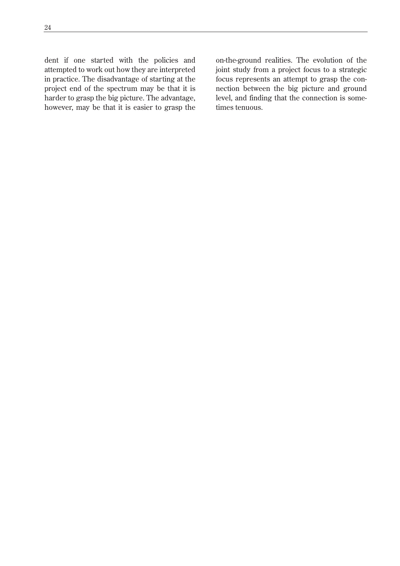dent if one started with the policies and attempted to work out how they are interpreted in practice. The disadvantage of starting at the project end of the spectrum may be that it is harder to grasp the big picture. The advantage, however, may be that it is easier to grasp the

on-the-ground realities. The evolution of the joint study from a project focus to a strategic focus represents an attempt to grasp the connection between the big picture and ground level, and finding that the connection is sometimes tenuous.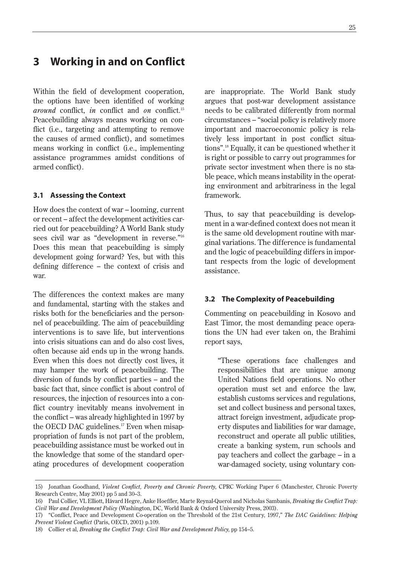### **3 Working in and on Conflict**

Within the field of development cooperation, the options have been identified of working *around* conflict, *in* conflict and *on* conflict.15 Peacebuilding always means working on conflict (i.e., targeting and attempting to remove the causes of armed conflict), and sometimes means working in conflict (i.e., implementing assistance programmes amidst conditions of armed conflict).

### **3.1 Assessing the Context**

How does the context of war – looming, current or recent – affect the development activities carried out for peacebuilding? A World Bank study sees civil war as "development in reverse."<sup>16</sup> Does this mean that peacebuilding is simply development going forward? Yes, but with this defining difference – the context of crisis and war.

The differences the context makes are many and fundamental, starting with the stakes and risks both for the beneficiaries and the personnel of peacebuilding. The aim of peacebuilding interventions is to save life, but interventions into crisis situations can and do also cost lives, often because aid ends up in the wrong hands. Even when this does not directly cost lives, it may hamper the work of peacebuilding. The diversion of funds by conflict parties – and the basic fact that, since conflict is about control of resources, the injection of resources into a conflict country inevitably means involvement in the conflict – was already highlighted in 1997 by the OECD DAC guidelines.<sup>17</sup> Even when misappropriation of funds is not part of the problem, peacebuilding assistance must be worked out in the knowledge that some of the standard operating procedures of development cooperation are inappropriate. The World Bank study argues that post-war development assistance needs to be calibrated differently from normal circumstances – "social policy is relatively more important and macroeconomic policy is relatively less important in post conflict situations".18 Equally, it can be questioned whether it is right or possible to carry out programmes for private sector investment when there is no stable peace, which means instability in the operating environment and arbitrariness in the legal framework.

Thus, to say that peacebuilding is development in a war-defined context does not mean it is the same old development routine with marginal variations. The difference is fundamental and the logic of peacebuilding differs in important respects from the logic of development assistance.

### **3.2 The Complexity of Peacebuilding**

Commenting on peacebuilding in Kosovo and East Timor, the most demanding peace operations the UN had ever taken on, the Brahimi report says,

"These operations face challenges and responsibilities that are unique among United Nations field operations. No other operation must set and enforce the law, establish customs services and regulations, set and collect business and personal taxes, attract foreign investment, adjudicate property disputes and liabilities for war damage, reconstruct and operate all public utilities, create a banking system, run schools and pay teachers and collect the garbage – in a war-damaged society, using voluntary con-

<sup>15)</sup> Jonathan Goodhand, *Violent Conflict, Poverty and Chronic Poverty*, CPRC Working Paper 6 (Manchester, Chronic Poverty Research Centre, May 2001) pp 5 and 30–3.

<sup>16)</sup> Paul Collier, VL Elliott, Håvard Hegre, Anke Hoeffler, Marte Reynal-Querol and Nicholas Sambanis, *Breaking the Conflict Trap: Civil War and Development Policy* (Washington, DC, World Bank & Oxford University Press, 2003).

<sup>17) &</sup>quot;Conflict, Peace and Development Co-operation on the Threshold of the 21st Century, 1997," *The DAC Guidelines: Helping Prevent Violent Conflict* (Paris, OECD, 2001) p.109.

<sup>18)</sup> Collier et al, *Breaking the Conflict Trap: Civil War and Development Policy,* pp 154–5.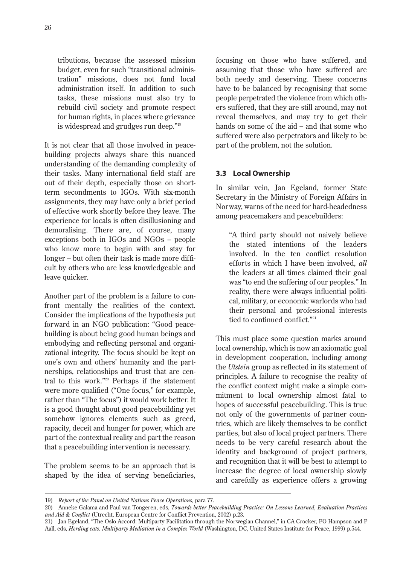tributions, because the assessed mission budget, even for such "transitional administration" missions, does not fund local administration itself. In addition to such tasks, these missions must also try to rebuild civil society and promote respect for human rights, in places where grievance is widespread and grudges run deep."19

It is not clear that all those involved in peacebuilding projects always share this nuanced understanding of the demanding complexity of their tasks. Many international field staff are out of their depth, especially those on shortterm secondments to IGOs. With six-month assignments, they may have only a brief period of effective work shortly before they leave. The experience for locals is often disillusioning and demoralising. There are, of course, many exceptions both in IGOs and NGOs – people who know more to begin with and stay for longer – but often their task is made more difficult by others who are less knowledgeable and leave quicker.

Another part of the problem is a failure to confront mentally the realities of the context. Consider the implications of the hypothesis put forward in an NGO publication: "Good peacebuilding is about being good human beings and embodying and reflecting personal and organizational integrity. The focus should be kept on one's own and others' humanity and the partnerships, relationships and trust that are central to this work."20 Perhaps if the statement were more qualified ("One focus," for example, rather than "The focus") it would work better. It is a good thought about good peacebuilding yet somehow ignores elements such as greed, rapacity, deceit and hunger for power, which are part of the contextual reality and part the reason that a peacebuilding intervention is necessary.

The problem seems to be an approach that is shaped by the idea of serving beneficiaries, focusing on those who have suffered, and assuming that those who have suffered are both needy and deserving. These concerns have to be balanced by recognising that some people perpetrated the violence from which others suffered, that they are still around, may not reveal themselves, and may try to get their hands on some of the aid – and that some who suffered were also perpetrators and likely to be part of the problem, not the solution.

### **3.3 Local Ownership**

In similar vein, Jan Egeland, former State Secretary in the Ministry of Foreign Affairs in Norway, warns of the need for hard-headedness among peacemakers and peacebuilders:

"A third party should not naively believe the stated intentions of the leaders involved. In the ten conflict resolution efforts in which I have been involved, *all* the leaders at all times claimed their goal was "to end the suffering of our peoples." In reality, there were always influential political, military, or economic warlords who had their personal and professional interests tied to continued conflict."<sup>21</sup>

This must place some question marks around local ownership, which is now an axiomatic goal in development cooperation, including among the *Utstein* group as reflected in its statement of principles. A failure to recognise the reality of the conflict context might make a simple commitment to local ownership almost fatal to hopes of successful peacebuilding. This is true not only of the governments of partner countries, which are likely themselves to be conflict parties, but also of local project partners. There needs to be very careful research about the identity and background of project partners, and recognition that it will be best to attempt to increase the degree of local ownership slowly and carefully as experience offers a growing

<sup>19)</sup> *Report of the Panel on United Nations Peace Operations,* para 77.

<sup>20)</sup> Anneke Galama and Paul van Tongeren, eds, *Towards better Peacebuilding Practice: On Lessons Learned, Evaluation Practices and Aid & Conflict* (Utrecht, European Centre for Conflict Prevention, 2002) p.23.

<sup>21)</sup> Jan Egeland, "The Oslo Accord: Multiparty Facilitation through the Norwegian Channel," in CA Crocker, FO Hampson and P Aall, eds, *Herding cats: Multiparty Mediation in a Complex World* (Washington, DC, United States Institute for Peace, 1999) p.544.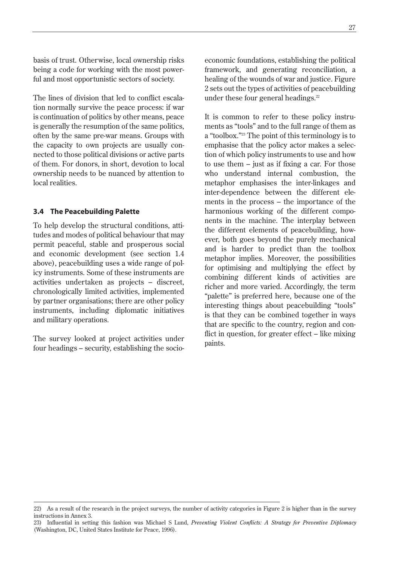basis of trust. Otherwise, local ownership risks being a code for working with the most powerful and most opportunistic sectors of society.

The lines of division that led to conflict escalation normally survive the peace process: if war is continuation of politics by other means, peace is generally the resumption of the same politics, often by the same pre-war means. Groups with the capacity to own projects are usually connected to those political divisions or active parts of them. For donors, in short, devotion to local ownership needs to be nuanced by attention to local realities.

### **3.4 The Peacebuilding Palette**

To help develop the structural conditions, attitudes and modes of political behaviour that may permit peaceful, stable and prosperous social and economic development (see section 1.4 above), peacebuilding uses a wide range of policy instruments. Some of these instruments are activities undertaken as projects – discreet, chronologically limited activities, implemented by partner organisations; there are other policy instruments, including diplomatic initiatives and military operations.

The survey looked at project activities under four headings – security, establishing the socioeconomic foundations, establishing the political framework, and generating reconciliation, a healing of the wounds of war and justice. Figure 2 sets out the types of activities of peacebuilding under these four general headings. $22$ 

It is common to refer to these policy instruments as "tools" and to the full range of them as a "toolbox."23 The point of this terminology is to emphasise that the policy actor makes a selection of which policy instruments to use and how to use them – just as if fixing a car. For those who understand internal combustion, the metaphor emphasises the inter-linkages and inter-dependence between the different elements in the process – the importance of the harmonious working of the different components in the machine. The interplay between the different elements of peacebuilding, however, both goes beyond the purely mechanical and is harder to predict than the toolbox metaphor implies. Moreover, the possibilities for optimising and multiplying the effect by combining different kinds of activities are richer and more varied. Accordingly, the term "palette" is preferred here, because one of the interesting things about peacebuilding "tools" is that they can be combined together in ways that are specific to the country, region and conflict in question, for greater effect – like mixing paints.

<sup>22)</sup> As a result of the research in the project surveys, the number of activity categories in Figure 2 is higher than in the survey instructions in Annex 3.

<sup>23)</sup> Influential in setting this fashion was Michael S Lund, *Preventing Violent Conflicts: A Strategy for Preventive Diplomacy* (Washington, DC, United States Institute for Peace, 1996).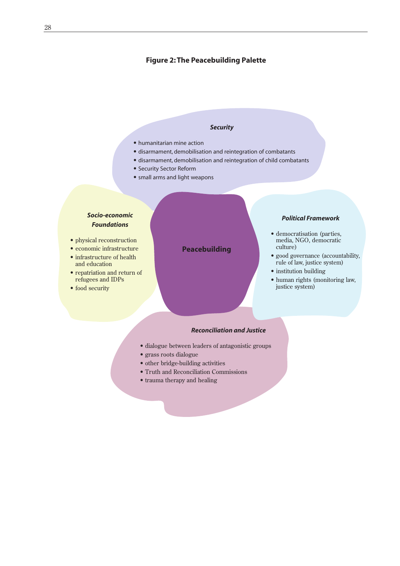### **Figure 2: The Peacebuilding Palette**

### *Security*

- humanitarian mine action
- disarmament, demobilisation and reintegration of combatants
- disarmament, demobilisation and reintegration of child combatants
- Security Sector Reform
- small arms and light weapons

### *Socio-economic Foundations*

- physical reconstruction
- economic infrastructure
- infrastructure of health and education
- repatriation and return of refugees and IDPs
- food security

### **Peacebuilding**

### *Political Framework*

- democratisation (parties, media, NGO, democratic culture)
- good governance (accountability, rule of law, justice system)
- institution building
- human rights (monitoring law, justice system)

#### *Reconciliation and Justice*

- dialogue between leaders of antagonistic groups
- grass roots dialogue
- other bridge-building activities
- Truth and Reconciliation Commissions
- trauma therapy and healing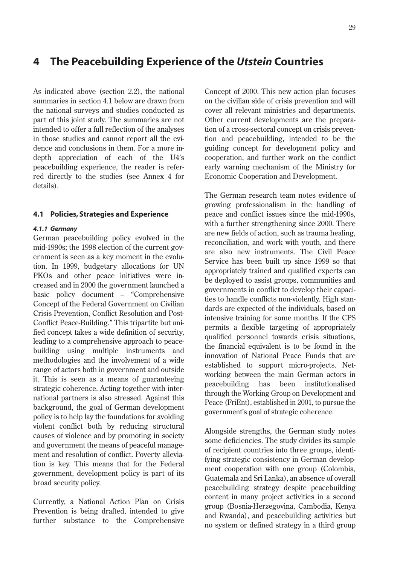### **4 The Peacebuilding Experience of the** *Utstein* **Countries**

As indicated above (section 2.2), the national summaries in section 4.1 below are drawn from the national surveys and studies conducted as part of this joint study. The summaries are not intended to offer a full reflection of the analyses in those studies and cannot report all the evidence and conclusions in them. For a more indepth appreciation of each of the U4's peacebuilding experience, the reader is referred directly to the studies (see Annex 4 for details).

### **4.1 Policies, Strategies and Experience**

#### *4.1.1 Germany*

German peacebuilding policy evolved in the mid-1990s; the 1998 election of the current government is seen as a key moment in the evolution. In 1999, budgetary allocations for UN PKOs and other peace initiatives were increased and in 2000 the government launched a basic policy document – "Comprehensive Concept of the Federal Government on Civilian Crisis Prevention, Conflict Resolution and Post-Conflict Peace-Building." This tripartite but unified concept takes a wide definition of security, leading to a comprehensive approach to peacebuilding using multiple instruments and methodologies and the involvement of a wide range of actors both in government and outside it. This is seen as a means of guaranteeing strategic coherence. Acting together with international partners is also stressed. Against this background, the goal of German development policy is to help lay the foundations for avoiding violent conflict both by reducing structural causes of violence and by promoting in society and government the means of peaceful management and resolution of conflict. Poverty alleviation is key. This means that for the Federal government, development policy is part of its broad security policy.

Currently, a National Action Plan on Crisis Prevention is being drafted, intended to give further substance to the Comprehensive

Concept of 2000. This new action plan focuses on the civilian side of crisis prevention and will cover all relevant ministries and departments. Other current developments are the preparation of a cross-sectoral concept on crisis prevention and peacebuilding, intended to be the guiding concept for development policy and cooperation, and further work on the conflict early warning mechanism of the Ministry for Economic Cooperation and Development.

The German research team notes evidence of growing professionalism in the handling of peace and conflict issues since the mid-1990s, with a further strengthening since 2000. There are new fields of action, such as trauma healing, reconciliation, and work with youth, and there are also new instruments. The Civil Peace Service has been built up since 1999 so that appropriately trained and qualified experts can be deployed to assist groups, communities and governments in conflict to develop their capacities to handle conflicts non-violently. High standards are expected of the individuals, based on intensive training for some months. If the CPS permits a flexible targeting of appropriately qualified personnel towards crisis situations, the financial equivalent is to be found in the innovation of National Peace Funds that are established to support micro-projects. Networking between the main German actors in peacebuilding has been institutionalised through the Working Group on Development and Peace (FriEnt), established in 2001, to pursue the government's goal of strategic coherence.

Alongside strengths, the German study notes some deficiencies. The study divides its sample of recipient countries into three groups, identifying strategic consistency in German development cooperation with one group (Colombia, Guatemala and Sri Lanka), an absence of overall peacebuilding strategy despite peacebuilding content in many project activities in a second group (Bosnia-Herzegovina, Cambodia, Kenya and Rwanda), and peacebuilding activities but no system or defined strategy in a third group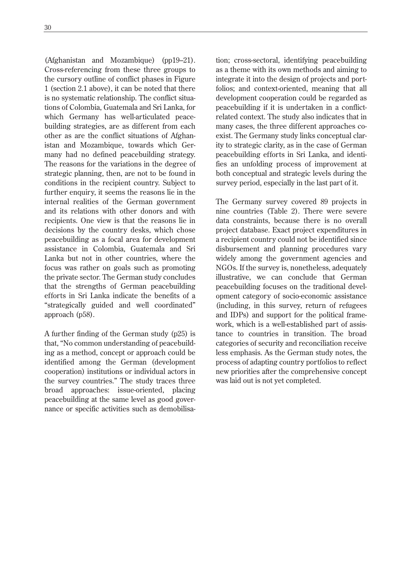(Afghanistan and Mozambique) (pp19–21). Cross-referencing from these three groups to the cursory outline of conflict phases in Figure 1 (section 2.1 above), it can be noted that there is no systematic relationship. The conflict situations of Colombia, Guatemala and Sri Lanka, for which Germany has well-articulated peacebuilding strategies, are as different from each other as are the conflict situations of Afghanistan and Mozambique, towards which Germany had no defined peacebuilding strategy. The reasons for the variations in the degree of strategic planning, then, are not to be found in conditions in the recipient country. Subject to further enquiry, it seems the reasons lie in the internal realities of the German government and its relations with other donors and with recipients. One view is that the reasons lie in decisions by the country desks, which chose peacebuilding as a focal area for development assistance in Colombia, Guatemala and Sri Lanka but not in other countries, where the focus was rather on goals such as promoting the private sector. The German study concludes that the strengths of German peacebuilding efforts in Sri Lanka indicate the benefits of a "strategically guided and well coordinated" approach (p58).

A further finding of the German study (p25) is that, "No common understanding of peacebuilding as a method, concept or approach could be identified among the German (development cooperation) institutions or individual actors in the survey countries." The study traces three broad approaches: issue-oriented, placing peacebuilding at the same level as good governance or specific activities such as demobilisation; cross-sectoral, identifying peacebuilding as a theme with its own methods and aiming to integrate it into the design of projects and portfolios; and context-oriented, meaning that all development cooperation could be regarded as peacebuilding if it is undertaken in a conflictrelated context. The study also indicates that in many cases, the three different approaches coexist. The Germany study links conceptual clarity to strategic clarity, as in the case of German peacebuilding efforts in Sri Lanka, and identifies an unfolding process of improvement at both conceptual and strategic levels during the survey period, especially in the last part of it.

The Germany survey covered 89 projects in nine countries (Table 2). There were severe data constraints, because there is no overall project database. Exact project expenditures in a recipient country could not be identified since disbursement and planning procedures vary widely among the government agencies and NGOs. If the survey is, nonetheless, adequately illustrative, we can conclude that German peacebuilding focuses on the traditional development category of socio-economic assistance (including, in this survey, return of refugees and IDPs) and support for the political framework, which is a well-established part of assistance to countries in transition. The broad categories of security and reconciliation receive less emphasis. As the German study notes, the process of adapting country portfolios to reflect new priorities after the comprehensive concept was laid out is not yet completed.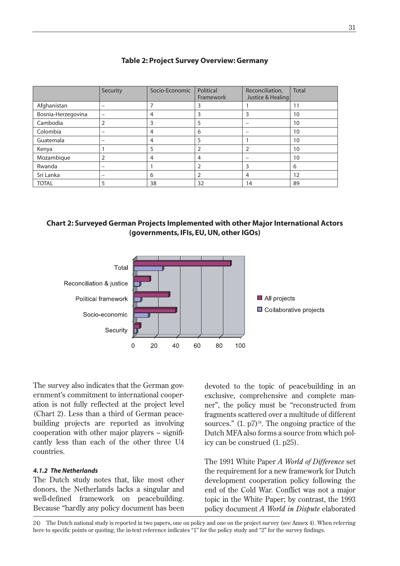|                    | Security                 | Socio-Economic | Political<br>Framework | Reconciliation,<br>Justice & Healing | <b>Total</b> |
|--------------------|--------------------------|----------------|------------------------|--------------------------------------|--------------|
| Afghanistan        | $\overline{\phantom{0}}$ |                | 3                      |                                      | 11           |
| Bosnia-Herzegovina |                          | 4              | 3                      | 3                                    | 10           |
| Cambodia           |                          | 3              | 5                      |                                      | 10           |
| Colombia           | $\overline{\phantom{0}}$ | 4              | 6                      | -                                    | 10           |
| Guatemala          | -                        | 4              | 5                      |                                      | 10           |
| Kenya              |                          |                | 2                      | $\overline{2}$                       | 10           |
| Mozambique         | 2                        | 4              | $\overline{4}$         | -                                    | 10           |
| Rwanda             | $\overline{\phantom{0}}$ |                | 2                      | 3                                    | 6            |
| Sri Lanka          | $\overline{\phantom{0}}$ | 6              | 2                      | 4                                    | 12           |
| <b>TOTAL</b>       |                          | 38             | 32                     | 14                                   | 89           |

### **Table 2: Project Survey Overview: Germany**





The survey also indicates that the German government's commitment to international cooperation is not fully reflected at the project level (Chart 2). Less than a third of German peacebuilding projects are reported as involving cooperation with other major players – significantly less than each of the other three U4 countries.

### *4.1.2 The Netherlands*

The Dutch study notes that, like most other donors, the Netherlands lacks a singular and well-defined framework on peacebuilding. Because "hardly any policy document has been

devoted to the topic of peacebuilding in an exclusive, comprehensive and complete manner", the policy must be "reconstructed from fragments scattered over a multitude of different sources."  $(1, p7)^{24}$ . The ongoing practice of the Dutch MFA also forms a source from which policy can be construed (1. p25).

The 1991 White Paper *A World of Difference* set the requirement for a new framework for Dutch development cooperation policy following the end of the Cold War. Conflict was not a major topic in the White Paper; by contrast, the 1993 policy document *A World in Dispute* elaborated

24) The Dutch national study is reported in two papers, one on policy and one on the project survey (see Annex 4). When referring here to specific points or quoting, the in-text reference indicates "1" for the policy study and "2" for the survey findings.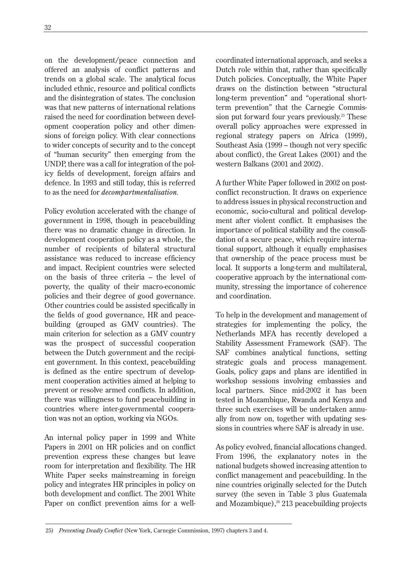on the development/peace connection and offered an analysis of conflict patterns and trends on a global scale. The analytical focus included ethnic, resource and political conflicts and the disintegration of states. The conclusion was that new patterns of international relations raised the need for coordination between development cooperation policy and other dimensions of foreign policy. With clear connections to wider concepts of security and to the concept of "human security" then emerging from the UNDP, there was a call for integration of the policy fields of development, foreign affairs and defence. In 1993 and still today, this is referred to as the need for *decompartmentalisation.*

Policy evolution accelerated with the change of government in 1998, though in peacebuilding there was no dramatic change in direction. In development cooperation policy as a whole, the number of recipients of bilateral structural assistance was reduced to increase efficiency and impact. Recipient countries were selected on the basis of three criteria – the level of poverty, the quality of their macro-economic policies and their degree of good governance. Other countries could be assisted specifically in the fields of good governance, HR and peacebuilding (grouped as GMV countries). The main criterion for selection as a GMV country was the prospect of successful cooperation between the Dutch government and the recipient government. In this context, peacebuilding is defined as the entire spectrum of development cooperation activities aimed at helping to prevent or resolve armed conflicts. In addition, there was willingness to fund peacebuilding in countries where inter-governmental cooperation was not an option, working via NGOs.

An internal policy paper in 1999 and White Papers in 2001 on HR policies and on conflict prevention express these changes but leave room for interpretation and flexibility. The HR White Paper seeks mainstreaming in foreign policy and integrates HR principles in policy on both development and conflict. The 2001 White Paper on conflict prevention aims for a wellcoordinated international approach, and seeks a Dutch role within that, rather than specifically Dutch policies. Conceptually, the White Paper draws on the distinction between "structural long-term prevention" and "operational shortterm prevention" that the Carnegie Commission put forward four years previously.<sup>25</sup> These overall policy approaches were expressed in regional strategy papers on Africa (1999), Southeast Asia (1999 – though not very specific about conflict), the Great Lakes (2001) and the western Balkans (2001 and 2002).

A further White Paper followed in 2002 on postconflict reconstruction. It draws on experience to address issues in physical reconstruction and economic, socio-cultural and political development after violent conflict. It emphasises the importance of political stability and the consolidation of a secure peace, which require international support, although it equally emphasises that ownership of the peace process must be local. It supports a long-term and multilateral, cooperative approach by the international community, stressing the importance of coherence and coordination.

To help in the development and management of strategies for implementing the policy, the Netherlands MFA has recently developed a Stability Assessment Framework (SAF). The SAF combines analytical functions, setting strategic goals and process management. Goals, policy gaps and plans are identified in workshop sessions involving embassies and local partners. Since mid-2002 it has been tested in Mozambique, Rwanda and Kenya and three such exercises will be undertaken annually from now on, together with updating sessions in countries where SAF is already in use.

As policy evolved, financial allocations changed. From 1996, the explanatory notes in the national budgets showed increasing attention to conflict management and peacebuilding. In the nine countries originally selected for the Dutch survey (the seven in Table 3 plus Guatemala and Mozambique), $26$  213 peacebuilding projects

<sup>25)</sup> *Preventing Deadly Conflict* (New York, Carnegie Commission, 1997) chapters 3 and 4.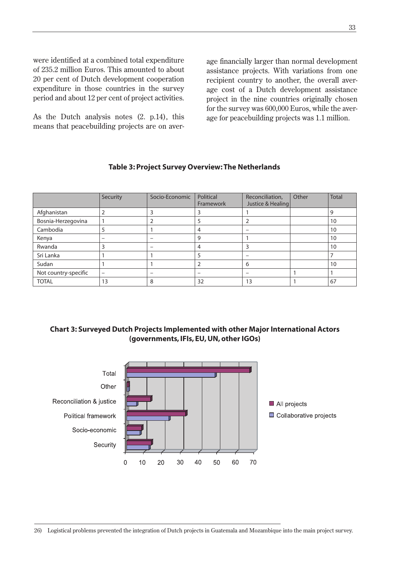were identified at a combined total expenditure of 235.2 million Euros. This amounted to about 20 per cent of Dutch development cooperation expenditure in those countries in the survey period and about 12 per cent of project activities.

As the Dutch analysis notes (2. p.14), this means that peacebuilding projects are on aver-

age financially larger than normal development assistance projects. With variations from one recipient country to another, the overall average cost of a Dutch development assistance project in the nine countries originally chosen for the survey was 600,000 Euros, while the average for peacebuilding projects was 1.1 million.

|                      | Security          | Socio-Economic           | Political<br>Framework   | Reconciliation,<br>Justice & Healing | Other | <b>Total</b> |
|----------------------|-------------------|--------------------------|--------------------------|--------------------------------------|-------|--------------|
| Afghanistan          |                   | 3                        | 3                        |                                      |       | q            |
| Bosnia-Herzegovina   |                   |                          | 5                        |                                      |       | 10           |
| Cambodia             |                   |                          | 4                        | $\overline{\phantom{0}}$             |       | 10           |
| Kenya                | -                 | -                        | 9                        |                                      |       | 10           |
| Rwanda               |                   | -                        | 4                        | 3                                    |       | 10           |
| Sri Lanka            |                   |                          | 5                        | -                                    |       |              |
| Sudan                |                   |                          | $\overline{2}$           | 6                                    |       | 10           |
| Not country-specific | $\qquad \qquad -$ | $\overline{\phantom{a}}$ | $\overline{\phantom{0}}$ | -                                    |       |              |
| <b>TOTAL</b>         | 13                | 8                        | 32                       | 13                                   |       | 67           |

### **Table 3: Project Survey Overview: The Netherlands**

### **Chart 3: Surveyed Dutch Projects Implemented with other Major International Actors (governments, IFIs, EU, UN, other IGOs)**

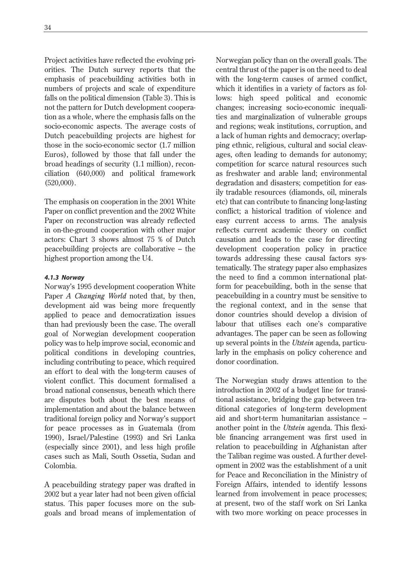Project activities have reflected the evolving priorities. The Dutch survey reports that the emphasis of peacebuilding activities both in numbers of projects and scale of expenditure falls on the political dimension (Table 3). This is not the pattern for Dutch development cooperation as a whole, where the emphasis falls on the socio-economic aspects. The average costs of Dutch peacebuilding projects are highest for those in the socio-economic sector (1.7 million Euros), followed by those that fall under the broad headings of security (1.1 million), reconciliation (640,000) and political framework (520,000).

The emphasis on cooperation in the 2001 White Paper on conflict prevention and the 2002 White Paper on reconstruction was already reflected in on-the-ground cooperation with other major actors: Chart 3 shows almost 75 % of Dutch peacebuilding projects are collaborative – the highest proportion among the U4.

### *4.1.3 Norway*

Norway's 1995 development cooperation White Paper *A Changing World* noted that, by then, development aid was being more frequently applied to peace and democratization issues than had previously been the case. The overall goal of Norwegian development cooperation policy was to help improve social, economic and political conditions in developing countries, including contributing to peace, which required an effort to deal with the long-term causes of violent conflict. This document formalised a broad national consensus, beneath which there are disputes both about the best means of implementation and about the balance between traditional foreign policy and Norway's support for peace processes as in Guatemala (from 1990), Israel/Palestine (1993) and Sri Lanka (especially since 2001), and less high profile cases such as Mali, South Ossetia, Sudan and Colombia.

A peacebuilding strategy paper was drafted in 2002 but a year later had not been given official status. This paper focuses more on the subgoals and broad means of implementation of Norwegian policy than on the overall goals. The central thrust of the paper is on the need to deal with the long-term causes of armed conflict, which it identifies in a variety of factors as follows: high speed political and economic changes; increasing socio-economic inequalities and marginalization of vulnerable groups and regions; weak institutions, corruption, and a lack of human rights and democracy; overlapping ethnic, religious, cultural and social cleavages, often leading to demands for autonomy; competition for scarce natural resources such as freshwater and arable land; environmental degradation and disasters; competition for easily tradable resources (diamonds, oil, minerals etc) that can contribute to financing long-lasting conflict; a historical tradition of violence and easy current access to arms. The analysis reflects current academic theory on conflict causation and leads to the case for directing development cooperation policy in practice towards addressing these causal factors systematically. The strategy paper also emphasizes the need to find a common international platform for peacebuilding, both in the sense that peacebuilding in a country must be sensitive to the regional context, and in the sense that donor countries should develop a division of labour that utilises each one's comparative advantages. The paper can be seen as following up several points in the *Utstein* agenda, particularly in the emphasis on policy coherence and donor coordination.

The Norwegian study draws attention to the introduction in 2002 of a budget line for transitional assistance, bridging the gap between traditional categories of long-term development aid and short-term humanitarian assistance – another point in the *Utstein* agenda. This flexible financing arrangement was first used in relation to peacebuilding in Afghanistan after the Taliban regime was ousted. A further development in 2002 was the establishment of a unit for Peace and Reconciliation in the Ministry of Foreign Affairs, intended to identify lessons learned from involvement in peace processes; at present, two of the staff work on Sri Lanka with two more working on peace processes in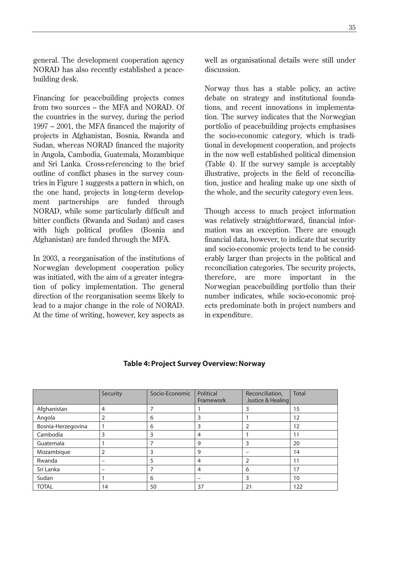general. The development cooperation agency NORAD has also recently established a peacebuilding desk.

Financing for peacebuilding projects comes from two sources – the MFA and NORAD. Of the countries in the survey, during the period 1997 – 2001, the MFA financed the majority of projects in Afghanistan, Bosnia, Rwanda and Sudan, whereas NORAD financed the majority in Angola, Cambodia, Guatemala, Mozambique and Sri Lanka. Cross-referencing to the brief outline of conflict phases in the survey countries in Figure 1 suggests a pattern in which, on the one hand, projects in long-term development partnerships are funded through NORAD, while some particularly difficult and bitter conflicts (Rwanda and Sudan) and cases with high political profiles (Bosnia and Afghanistan) are funded through the MFA.

In 2003, a reorganisation of the institutions of Norwegian development cooperation policy was initiated, with the aim of a greater integration of policy implementation. The general direction of the reorganisation seems likely to lead to a major change in the role of NORAD. At the time of writing, however, key aspects as well as organisational details were still under discussion.

Norway thus has a stable policy, an active debate on strategy and institutional foundations, and recent innovations in implementation. The survey indicates that the Norwegian portfolio of peacebuilding projects emphasises the socio-economic category, which is traditional in development cooperation, and projects in the now well established political dimension (Table 4). If the survey sample is acceptably illustrative, projects in the field of reconciliation, justice and healing make up one sixth of the whole, and the security category even less.

Though access to much project information was relatively straightforward, financial information was an exception. There are enough financial data, however, to indicate that security and socio-economic projects tend to be considerably larger than projects in the political and reconciliation categories. The security projects, therefore, are more important in the Norwegian peacebuilding portfolio than their number indicates, while socio-economic projects predominate both in project numbers and in expenditure.

|                    | Security                 | Socio-Economic | Political<br>Framework | Reconciliation,<br>Justice & Healing | <b>Total</b> |
|--------------------|--------------------------|----------------|------------------------|--------------------------------------|--------------|
| Afghanistan        | 4                        |                |                        | 3                                    | 15           |
| Angola             | 2                        | 6              | 3                      |                                      | 12           |
| Bosnia-Herzegovina |                          | 6              | 3                      | $\overline{2}$                       | 12           |
| Cambodia           | 3                        | 3              | $\overline{4}$         |                                      | 11           |
| Guatemala          |                          |                | 9                      | 3                                    | 20           |
| Mozambique         | 2                        |                | 9                      | -                                    | 14           |
| Rwanda             | $\overline{\phantom{0}}$ | ר              | $\overline{4}$         | 2                                    | 11           |
| Sri Lanka          | $\overline{\phantom{0}}$ |                | $\overline{4}$         | 6                                    | 17           |
| Sudan              |                          | 6              | -                      | 3                                    | 10           |
| <b>TOTAL</b>       | 14                       | 50             | 37                     | 21                                   | 122          |

### **Table 4: Project Survey Overview: Norway**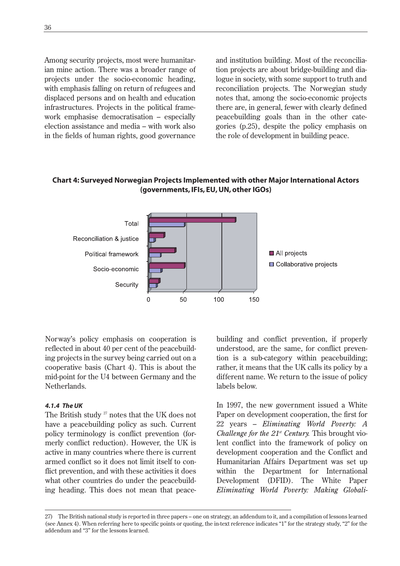Among security projects, most were humanitarian mine action. There was a broader range of projects under the socio-economic heading, with emphasis falling on return of refugees and displaced persons and on health and education infrastructures. Projects in the political framework emphasise democratisation – especially election assistance and media – with work also in the fields of human rights, good governance

and institution building. Most of the reconciliation projects are about bridge-building and dialogue in society, with some support to truth and reconciliation projects. The Norwegian study notes that, among the socio-economic projects there are, in general, fewer with clearly defined peacebuilding goals than in the other categories (p.25), despite the policy emphasis on the role of development in building peace.

### **Chart 4: Surveyed Norwegian Projects Implemented with other Major International Actors (governments, IFIs, EU, UN, other IGOs)**



Norway's policy emphasis on cooperation is reflected in about 40 per cent of the peacebuilding projects in the survey being carried out on a cooperative basis (Chart 4). This is about the mid-point for the U4 between Germany and the Netherlands.

#### *4.1.4 The UK*

The British study <sup>27</sup> notes that the UK does not have a peacebuilding policy as such. Current policy terminology is conflict prevention (formerly conflict reduction). However, the UK is active in many countries where there is current armed conflict so it does not limit itself to conflict prevention, and with these activities it does what other countries do under the peacebuilding heading. This does not mean that peacebuilding and conflict prevention, if properly understood, are the same, for conflict prevention is a sub-category within peacebuilding; rather, it means that the UK calls its policy by a different name. We return to the issue of policy labels below.

In 1997, the new government issued a White Paper on development cooperation, the first for 22 years – *Eliminating World Poverty: A Challenge for the 21<sup>st</sup> Century.* This brought violent conflict into the framework of policy on development cooperation and the Conflict and Humanitarian Affairs Department was set up within the Department for International Development (DFID). The White Paper *Eliminating World Poverty: Making Globali-*

<sup>27)</sup> The British national study is reported in three papers – one on strategy, an addendum to it, and a compilation of lessons learned (see Annex 4). When referring here to specific points or quoting, the in-text reference indicates "1" for the strategy study, "2" for the addendum and "3" for the lessons learned.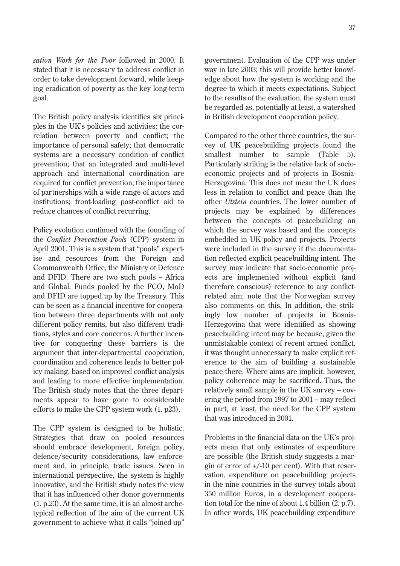*sation Work for the Poor* followed in 2000. It stated that it is necessary to address conflict in order to take development forward, while keeping eradication of poverty as the key long-term goal.

The British policy analysis identifies six principles in the UK's policies and activities: the correlation between poverty and conflict; the importance of personal safety; that democratic systems are a necessary condition of conflict prevention; that an integrated and multi-level approach and international coordination are required for conflict prevention; the importance of partnerships with a wide range of actors and institutions; front-loading post-conflict aid to reduce chances of conflict recurring.

Policy evolution continued with the founding of the *Conflict Prevention Pools* (CPP) system in April 2001. This is a system that "pools" expertise and resources from the Foreign and Commonwealth Office, the Ministry of Defence and DFID. There are two such pools – Africa and Global. Funds pooled by the FCO, MoD and DFID are topped up by the Treasury. This can be seen as a financial incentive for cooperation between three departments with not only different policy remits, but also different traditions, styles and core concerns. A further incentive for conquering these barriers is the argument that inter-departmental cooperation, coordination and coherence leads to better policy making, based on improved conflict analysis and leading to more effective implementation. The British study notes that the three departments appear to have gone to considerable efforts to make the CPP system work (1. p23).

The CPP system is designed to be holistic. Strategies that draw on pooled resources should embrace development, foreign policy, defence/security considerations, law enforcement and, in principle, trade issues. Seen in international perspective, the system is highly innovative, and the British study notes the view that it has influenced other donor governments (1. p.23). At the same time, it is an almost archetypical reflection of the aim of the current UK government to achieve what it calls "joined-up"

government. Evaluation of the CPP was under way in late 2003; this will provide better knowledge about how the system is working and the degree to which it meets expectations. Subject to the results of the evaluation, the system must be regarded as, potentially at least, a watershed in British development cooperation policy.

Compared to the other three countries, the survey of UK peacebuilding projects found the smallest number to sample (Table 5). Particularly striking is the relative lack of socioeconomic projects and of projects in Bosnia-Herzegovina. This does not mean the UK does less in relation to conflict and peace than the other *Utstein* countries. The lower number of projects may be explained by differences between the concepts of peacebuilding on which the survey was based and the concepts embedded in UK policy and projects. Projects were included in the survey if the documentation reflected explicit peacebuilding intent. The survey may indicate that socio-economic projects are implemented without explicit (and therefore conscious) reference to any conflictrelated aim; note that the Norwegian survey also comments on this. In addition, the strikingly low number of projects in Bosnia-Herzegovina that were identified as showing peacebuilding intent may be because, given the unmistakable context of recent armed conflict, it was thought unnecessary to make explicit reference to the aim of building a sustainable peace there. Where aims are implicit, however, policy coherence may be sacrificed. Thus, the relatively small sample in the UK survey – covering the period from 1997 to 2001 – may reflect in part, at least, the need for the CPP system that was introduced in 2001.

Problems in the financial data on the UK's projects mean that only estimates of expenditure are possible (the British study suggests a margin of error of  $+/-10$  per cent). With that reservation, expenditure on peacebuilding projects in the nine countries in the survey totals about 350 million Euros, in a development cooperation total for the nine of about 1.4 billion (2. p.7). In other words, UK peacebuilding expenditure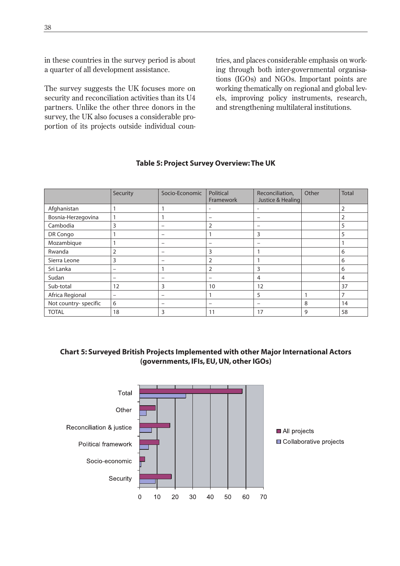in these countries in the survey period is about a quarter of all development assistance.

The survey suggests the UK focuses more on security and reconciliation activities than its U4 partners. Unlike the other three donors in the survey, the UK also focuses a considerable proportion of its projects outside individual countries, and places considerable emphasis on working through both inter-governmental organisations (IGOs) and NGOs. Important points are working thematically on regional and global levels, improving policy instruments, research, and strengthening multilateral institutions.

|                       | Security                 | Socio-Economic               | Political<br>Framework   | Reconciliation,<br>Justice & Healing | Other | <b>Total</b>   |
|-----------------------|--------------------------|------------------------------|--------------------------|--------------------------------------|-------|----------------|
| Afghanistan           |                          |                              | $\overline{\phantom{a}}$ | $\overline{\phantom{0}}$             |       | $\overline{2}$ |
| Bosnia-Herzegovina    |                          |                              | -                        | -                                    |       | 2              |
| Cambodia              | 3                        | -                            | 2                        | -                                    |       | 5              |
| DR Congo              |                          | $\overline{\phantom{0}}$     | 1                        | 3                                    |       | 5              |
| Mozambique            |                          | $\qquad \qquad \blacksquare$ | -                        | -                                    |       |                |
| Rwanda                | 2                        | -                            | 3                        |                                      |       | 6              |
| Sierra Leone          | 3                        | $\qquad \qquad \blacksquare$ | 2                        |                                      |       | 6              |
| Sri Lanka             | -                        |                              | 2                        | 3                                    |       | 6              |
| Sudan                 | $\overline{\phantom{m}}$ | $\qquad \qquad \blacksquare$ | -                        | $\overline{4}$                       |       | $\overline{4}$ |
| Sub-total             | 12                       | 3                            | 10                       | 12                                   |       | 37             |
| Africa Regional       | $\qquad \qquad$          |                              | 1                        | 5                                    | 1     | $\overline{7}$ |
| Not country- specific | 6                        | $\overline{\phantom{0}}$     | -                        | -                                    | 8     | 14             |
| <b>TOTAL</b>          | 18                       | 3                            | 11                       | 17                                   | 9     | 58             |

## **Table 5: Project Survey Overview: The UK**

# **Chart 5: Surveyed British Projects Implemented with other Major International Actors (governments, IFIs, EU, UN, other IGOs)**

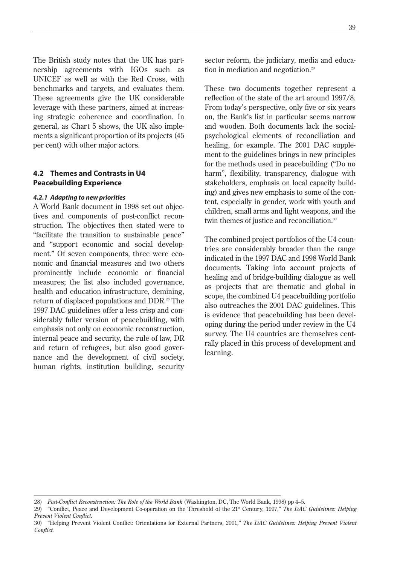The British study notes that the UK has partnership agreements with IGOs such as UNICEF as well as with the Red Cross, with benchmarks and targets, and evaluates them. These agreements give the UK considerable leverage with these partners, aimed at increasing strategic coherence and coordination. In general, as Chart 5 shows, the UK also implements a significant proportion of its projects (45 per cent) with other major actors.

## **4.2 Themes and Contrasts in U4 Peacebuilding Experience**

#### *4.2.1 Adapting to new priorities*

A World Bank document in 1998 set out objectives and components of post-conflict reconstruction. The objectives then stated were to "facilitate the transition to sustainable peace" and "support economic and social development." Of seven components, three were economic and financial measures and two others prominently include economic or financial measures; the list also included governance, health and education infrastructure, demining, return of displaced populations and DDR.<sup>28</sup> The 1997 DAC guidelines offer a less crisp and considerably fuller version of peacebuilding, with emphasis not only on economic reconstruction, internal peace and security, the rule of law, DR and return of refugees, but also good governance and the development of civil society, human rights, institution building, security sector reform, the judiciary, media and education in mediation and negotiation.<sup>29</sup>

These two documents together represent a reflection of the state of the art around 1997/8. From today's perspective, only five or six years on, the Bank's list in particular seems narrow and wooden. Both documents lack the socialpsychological elements of reconciliation and healing, for example. The 2001 DAC supplement to the guidelines brings in new principles for the methods used in peacebuilding ("Do no harm", flexibility, transparency, dialogue with stakeholders, emphasis on local capacity building) and gives new emphasis to some of the content, especially in gender, work with youth and children, small arms and light weapons, and the twin themes of justice and reconciliation.<sup>30</sup>

The combined project portfolios of the U4 countries are considerably broader than the range indicated in the 1997 DAC and 1998 World Bank documents. Taking into account projects of healing and of bridge-building dialogue as well as projects that are thematic and global in scope, the combined U4 peacebuilding portfolio also outreaches the 2001 DAC guidelines. This is evidence that peacebuilding has been developing during the period under review in the U4 survey. The U4 countries are themselves centrally placed in this process of development and learning.

<sup>28)</sup> *Post-Conflict Reconstruction: The Role of the World Bank* (Washington, DC, The World Bank, 1998) pp 4–5.

<sup>29) &</sup>quot;Conflict, Peace and Development Co-operation on the Threshold of the 21<sup>st</sup> Century, 1997," *The DAC Guidelines: Helping Prevent Violent Conflict.*

<sup>30) &</sup>quot;Helping Prevent Violent Conflict: Orientations for External Partners, 2001," *The DAC Guidelines: Helping Prevent Violent Conflict.*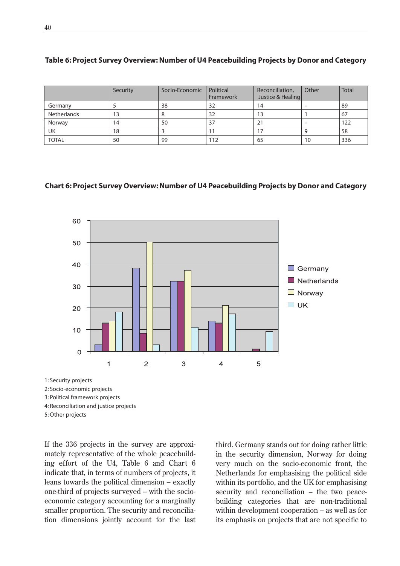|              | Security | Socio-Economic | Political | Reconciliation,   | Other | <b>Total</b> |
|--------------|----------|----------------|-----------|-------------------|-------|--------------|
|              |          |                | Framework | Justice & Healing |       |              |
| Germany      |          | 38             | 32        | 14                | -     | 89           |
| Netherlands  | 13       |                | 32        | 13                |       | 67           |
| Norway       | 14       | 50             | 37        |                   | -     | 122          |
| UK           | 18       |                |           |                   | q     | 58           |
| <b>TOTAL</b> | 50       | 99             | 112       | 65                | 10    | 336          |

#### **Table 6: Project Survey Overview: Number of U4 Peacebuilding Projects by Donor and Category**

#### **Chart 6: Project Survey Overview: Number of U4 Peacebuilding Projects by Donor and Category**



2: Socio-economic projects

3: Political framework projects

4: Reconciliation and justice projects

5: Other projects

If the 336 projects in the survey are approximately representative of the whole peacebuilding effort of the U4, Table 6 and Chart 6 indicate that, in terms of numbers of projects, it leans towards the political dimension – exactly one-third of projects surveyed – with the socioeconomic category accounting for a marginally smaller proportion. The security and reconciliation dimensions jointly account for the last

third. Germany stands out for doing rather little in the security dimension, Norway for doing very much on the socio-economic front, the Netherlands for emphasising the political side within its portfolio, and the UK for emphasising security and reconciliation – the two peacebuilding categories that are non-traditional within development cooperation – as well as for its emphasis on projects that are not specific to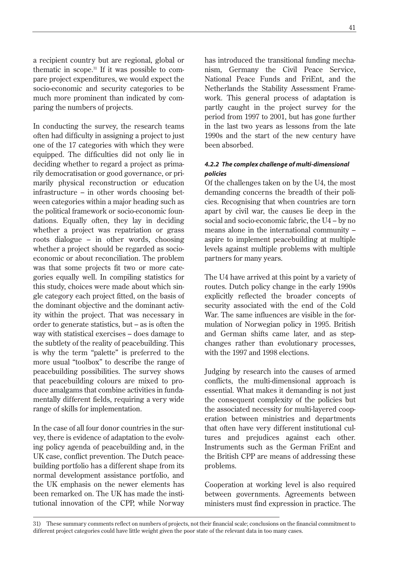a recipient country but are regional, global or thematic in scope.<sup>31</sup> If it was possible to compare project expenditures, we would expect the socio-economic and security categories to be much more prominent than indicated by comparing the numbers of projects.

In conducting the survey, the research teams often had difficulty in assigning a project to just one of the 17 categories with which they were equipped. The difficulties did not only lie in deciding whether to regard a project as primarily democratisation or good governance, or primarily physical reconstruction or education infrastructure – in other words choosing between categories within a major heading such as the political framework or socio-economic foundations. Equally often, they lay in deciding whether a project was repatriation or grass roots dialogue – in other words, choosing whether a project should be regarded as socioeconomic or about reconciliation. The problem was that some projects fit two or more categories equally well. In compiling statistics for this study, choices were made about which single category each project fitted, on the basis of the dominant objective and the dominant activity within the project. That was necessary in order to generate statistics, but – as is often the way with statistical exercises – does damage to the subtlety of the reality of peacebuilding. This is why the term "palette" is preferred to the more usual "toolbox" to describe the range of peacebuilding possibilities. The survey shows that peacebuilding colours are mixed to produce amalgams that combine activities in fundamentally different fields, requiring a very wide range of skills for implementation.

In the case of all four donor countries in the survey, there is evidence of adaptation to the evolving policy agenda of peacebuilding and, in the UK case, conflict prevention. The Dutch peacebuilding portfolio has a different shape from its normal development assistance portfolio, and the UK emphasis on the newer elements has been remarked on. The UK has made the institutional innovation of the CPP, while Norway has introduced the transitional funding mechanism, Germany the Civil Peace Service, National Peace Funds and FriEnt, and the Netherlands the Stability Assessment Framework. This general process of adaptation is partly caught in the project survey for the period from 1997 to 2001, but has gone further in the last two years as lessons from the late 1990s and the start of the new century have been absorbed.

## *4.2.2 The complex challenge of multi-dimensional policies*

Of the challenges taken on by the U4, the most demanding concerns the breadth of their policies. Recognising that when countries are torn apart by civil war, the causes lie deep in the social and socio-economic fabric, the U4 – by no means alone in the international community – aspire to implement peacebuilding at multiple levels against multiple problems with multiple partners for many years.

The U4 have arrived at this point by a variety of routes. Dutch policy change in the early 1990s explicitly reflected the broader concepts of security associated with the end of the Cold War. The same influences are visible in the formulation of Norwegian policy in 1995. British and German shifts came later, and as stepchanges rather than evolutionary processes, with the 1997 and 1998 elections.

Judging by research into the causes of armed conflicts, the multi-dimensional approach is essential. What makes it demanding is not just the consequent complexity of the policies but the associated necessity for multi-layered cooperation between ministries and departments that often have very different institutional cultures and prejudices against each other. Instruments such as the German FriEnt and the British CPP are means of addressing these problems.

Cooperation at working level is also required between governments. Agreements between ministers must find expression in practice. The

<sup>31)</sup> These summary comments reflect on numbers of projects, not their financial scale; conclusions on the financial commitment to different project categories could have little weight given the poor state of the relevant data in too many cases.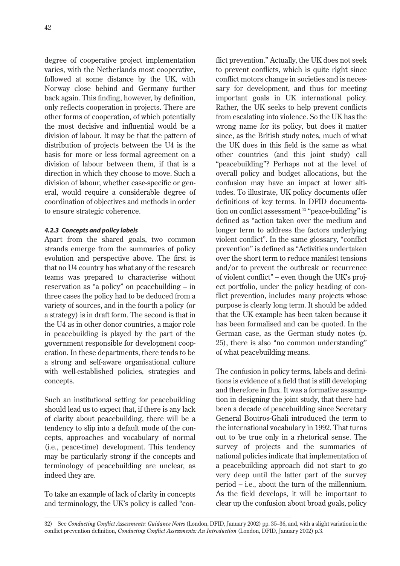degree of cooperative project implementation varies, with the Netherlands most cooperative, followed at some distance by the UK, with Norway close behind and Germany further back again. This finding, however, by definition, only reflects cooperation in projects. There are other forms of cooperation, of which potentially the most decisive and influential would be a division of labour. It may be that the pattern of distribution of projects between the U4 is the basis for more or less formal agreement on a division of labour between them, if that is a direction in which they choose to move. Such a division of labour, whether case-specific or general, would require a considerable degree of coordination of objectives and methods in order to ensure strategic coherence.

## *4.2.3 Concepts and policy labels*

Apart from the shared goals, two common strands emerge from the summaries of policy evolution and perspective above. The first is that no U4 country has what any of the research teams was prepared to characterise without reservation as "a policy" on peacebuilding – in three cases the policy had to be deduced from a variety of sources, and in the fourth a policy (or a strategy) is in draft form. The second is that in the U4 as in other donor countries, a major role in peacebuilding is played by the part of the government responsible for development cooperation. In these departments, there tends to be a strong and self-aware organisational culture with well-established policies, strategies and concepts.

Such an institutional setting for peacebuilding should lead us to expect that, if there is any lack of clarity about peacebuilding, there will be a tendency to slip into a default mode of the concepts, approaches and vocabulary of normal (i.e., peace-time) development. This tendency may be particularly strong if the concepts and terminology of peacebuilding are unclear, as indeed they are.

To take an example of lack of clarity in concepts and terminology, the UK's policy is called "conflict prevention." Actually, the UK does not seek to prevent conflicts, which is quite right since conflict motors change in societies and is necessary for development, and thus for meeting important goals in UK international policy. Rather, the UK seeks to help prevent conflicts from escalating into violence. So the UK has the wrong name for its policy, but does it matter since, as the British study notes, much of what the UK does in this field is the same as what other countries (and this joint study) call "peacebuilding"? Perhaps not at the level of overall policy and budget allocations, but the confusion may have an impact at lower altitudes. To illustrate, UK policy documents offer definitions of key terms. In DFID documentation on conflict assessment<sup>32</sup> "peace-building" is defined as "action taken over the medium and longer term to address the factors underlying violent conflict". In the same glossary, "conflict prevention" is defined as "Activities undertaken over the short term to reduce manifest tensions and/or to prevent the outbreak or recurrence of violent conflict" – even though the UK's project portfolio, under the policy heading of conflict prevention, includes many projects whose purpose is clearly long term. It should be added that the UK example has been taken because it has been formalised and can be quoted. In the German case, as the German study notes (p. 25), there is also "no common understanding" of what peacebuilding means.

The confusion in policy terms, labels and definitions is evidence of a field that is still developing and therefore in flux. It was a formative assumption in designing the joint study, that there had been a decade of peacebuilding since Secretary General Boutros-Ghali introduced the term to the international vocabulary in 1992. That turns out to be true only in a rhetorical sense. The survey of projects and the summaries of national policies indicate that implementation of a peacebuilding approach did not start to go very deep until the latter part of the survey period – i.e., about the turn of the millennium. As the field develops, it will be important to clear up the confusion about broad goals, policy

32) See *Conducting Conflict Assessments: Guidance Notes* (London, DFID, January 2002) pp. 35–36, and, with a slight variation in the conflict prevention definition, *Conducting Conflict Assessments: An Introduction* (London, DFID, January 2002) p.3.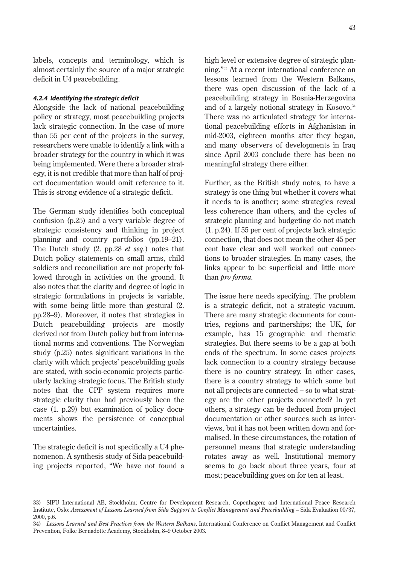labels, concepts and terminology, which is almost certainly the source of a major strategic deficit in U4 peacebuilding.

#### *4.2.4 Identifying the strategic deficit*

Alongside the lack of national peacebuilding policy or strategy, most peacebuilding projects lack strategic connection. In the case of more than 55 per cent of the projects in the survey, researchers were unable to identify a link with a broader strategy for the country in which it was being implemented. Were there a broader strategy, it is not credible that more than half of project documentation would omit reference to it. This is strong evidence of a strategic deficit.

The German study identifies both conceptual confusion (p.25) and a very variable degree of strategic consistency and thinking in project planning and country portfolios (pp.19–21). The Dutch study (2. pp.28 *et seq.*) notes that Dutch policy statements on small arms, child soldiers and reconciliation are not properly followed through in activities on the ground. It also notes that the clarity and degree of logic in strategic formulations in projects is variable, with some being little more than gestural (2. pp.28–9). Moreover, it notes that strategies in Dutch peacebuilding projects are mostly derived not from Dutch policy but from international norms and conventions. The Norwegian study (p.25) notes significant variations in the clarity with which projects' peacebuilding goals are stated, with socio-economic projects particularly lacking strategic focus. The British study notes that the CPP system requires more strategic clarity than had previously been the case (1. p.29) but examination of policy documents shows the persistence of conceptual uncertainties.

The strategic deficit is not specifically a U4 phenomenon. A synthesis study of Sida peacebuilding projects reported, "We have not found a high level or extensive degree of strategic planning."33 At a recent international conference on lessons learned from the Western Balkans, there was open discussion of the lack of a peacebuilding strategy in Bosnia-Herzegovina and of a largely notional strategy in Kosovo.<sup>34</sup> There was no articulated strategy for international peacebuilding efforts in Afghanistan in mid-2003, eighteen months after they began, and many observers of developments in Iraq since April 2003 conclude there has been no meaningful strategy there either.

Further, as the British study notes, to have a strategy is one thing but whether it covers what it needs to is another; some strategies reveal less coherence than others, and the cycles of strategic planning and budgeting do not match (1. p.24). If 55 per cent of projects lack strategic connection, that does not mean the other 45 per cent have clear and well worked out connections to broader strategies. In many cases, the links appear to be superficial and little more than *pro forma.*

The issue here needs specifying. The problem is a strategic deficit, not a strategic vacuum. There are many strategic documents for countries, regions and partnerships; the UK, for example, has 15 geographic and thematic strategies. But there seems to be a gap at both ends of the spectrum. In some cases projects lack connection to a country strategy because there is no country strategy. In other cases, there is a country strategy to which some but not all projects are connected – so to what strategy are the other projects connected? In yet others, a strategy can be deduced from project documentation or other sources such as interviews, but it has not been written down and formalised. In these circumstances, the rotation of personnel means that strategic understanding rotates away as well. Institutional memory seems to go back about three years, four at most; peacebuilding goes on for ten at least.

<sup>33)</sup> SIPU International AB, Stockholm; Centre for Development Research, Copenhagen; and International Peace Research Institute, Oslo: *Assessment of Lessons Learned from Sida Support to Conflict Management and Peacebuilding* – Sida Evaluation 00/37, 2000, p.6.

<sup>34)</sup> *Lessons Learned and Best Practices from the Western Balkans,* International Conference on Conflict Management and Conflict Prevention, Folke Bernadotte Academy, Stockholm, 8–9 October 2003.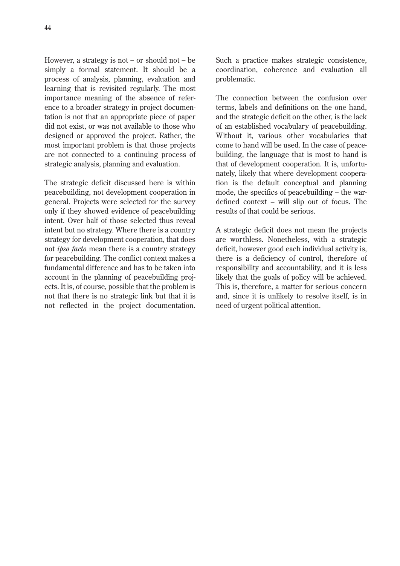However, a strategy is not – or should not – be simply a formal statement. It should be a process of analysis, planning, evaluation and learning that is revisited regularly. The most importance meaning of the absence of reference to a broader strategy in project documentation is not that an appropriate piece of paper did not exist, or was not available to those who designed or approved the project. Rather, the most important problem is that those projects are not connected to a continuing process of strategic analysis, planning and evaluation.

The strategic deficit discussed here is within peacebuilding, not development cooperation in general. Projects were selected for the survey only if they showed evidence of peacebuilding intent. Over half of those selected thus reveal intent but no strategy. Where there is a country strategy for development cooperation, that does not *ipso facto* mean there is a country strategy for peacebuilding. The conflict context makes a fundamental difference and has to be taken into account in the planning of peacebuilding projects. It is, of course, possible that the problem is not that there is no strategic link but that it is not reflected in the project documentation.

Such a practice makes strategic consistence, coordination, coherence and evaluation all problematic.

The connection between the confusion over terms, labels and definitions on the one hand, and the strategic deficit on the other, is the lack of an established vocabulary of peacebuilding. Without it, various other vocabularies that come to hand will be used. In the case of peacebuilding, the language that is most to hand is that of development cooperation. It is, unfortunately, likely that where development cooperation is the default conceptual and planning mode, the specifics of peacebuilding – the wardefined context – will slip out of focus. The results of that could be serious.

A strategic deficit does not mean the projects are worthless. Nonetheless, with a strategic deficit, however good each individual activity is, there is a deficiency of control, therefore of responsibility and accountability, and it is less likely that the goals of policy will be achieved. This is, therefore, a matter for serious concern and, since it is unlikely to resolve itself, is in need of urgent political attention.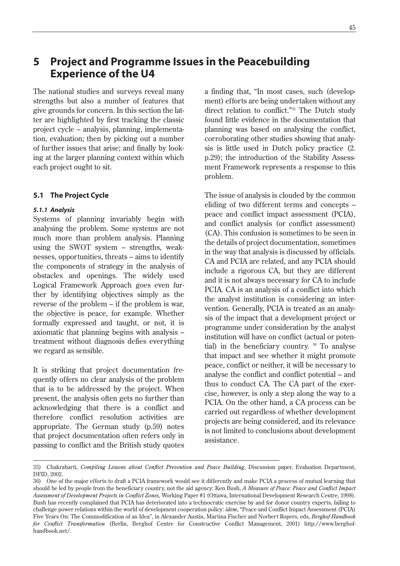# **5 Project and Programme Issues in the Peacebuilding Experience of the U4**

The national studies and surveys reveal many strengths but also a number of features that give grounds for concern. In this section the latter are highlighted by first tracking the classic project cycle – analysis, planning, implementation, evaluation; then by picking out a number of further issues that arise; and finally by looking at the larger planning context within which each project ought to sit.

### **5.1 The Project Cycle**

#### *5.1.1 Analysis*

Systems of planning invariably begin with analysing the problem. Some systems are not much more than problem analysis. Planning using the SWOT system – strengths, weaknesses, opportunities, threats – aims to identify the components of strategy in the analysis of obstacles and openings. The widely used Logical Framework Approach goes even further by identifying objectives simply as the reverse of the problem – if the problem is war, the objective is peace, for example. Whether formally expressed and taught, or not, it is axiomatic that planning begins with analysis – treatment without diagnosis defies everything we regard as sensible.

It is striking that project documentation frequently offers no clear analysis of the problem that is to be addressed by the project. When present, the analysis often gets no further than acknowledging that there is a conflict and therefore conflict resolution activities are appropriate. The German study (p.59) notes that project documentation often refers only in passing to conflict and the British study quotes a finding that, "In most cases, such (development) efforts are being undertaken without any direct relation to conflict."35 The Dutch study found little evidence in the documentation that planning was based on analysing the conflict, corroborating other studies showing that analysis is little used in Dutch policy practice (2. p.29); the introduction of the Stability Assessment Framework represents a response to this problem.

The issue of analysis is clouded by the common eliding of two different terms and concepts – peace and conflict impact assessment (PCIA), and conflict analysis (or conflict assessment) (CA). This confusion is sometimes to be seen in the details of project documentation, sometimes in the way that analysis is discussed by officials. CA and PCIA are related, and any PCIA should include a rigorous CA, but they are different and it is not always necessary for CA to include PCIA. CA is an analysis of a conflict into which the analyst institution is considering an intervention. Generally, PCIA is treated as an analysis of the impact that a development project or programme under consideration by the analyst institution will have on conflict (actual or potential) in the beneficiary country. 36 To analyse that impact and see whether it might promote peace, conflict or neither, it will be necessary to analyse the conflict and conflict potential – and thus to conduct CA. The CA part of the exercise, however, is only a step along the way to a PCIA. On the other hand, a CA process can be carried out regardless of whether development projects are being considered, and its relevance is not limited to conclusions about development assistance.

<sup>35)</sup> Chakrabarti, *Compiling Lessons about Conflict Prevention and Peace Building,* Discussion paper, Evaluation Department, DFID, 2002.

<sup>36)</sup> One of the major efforts to draft a PCIA framework would see it differently and make PCIA a process of mutual learning that should be led by people from the beneficiary country, not the aid agency: Ken Bush, *A Measure of Peace: Peace and Conflict Impact Assessment of Development Projects in Conflict Zones,* Working Paper #1 (Ottawa, International Development Research Centre, 1998). Bush has recently complained that PCIA has deteriorated into a technocratic exercise by and for donor country experts, failing to challenge power relations within the world of development cooperation policy: *idem*, "Peace and Conflict Impact Assessment (PCIA) Five Years On: The Commodification of an Idea", in Alexander Austin, Martina Fischer and Norbert Ropers, eds, *Berghof Handbook for Conflict Transformation* (Berlin, Berghof Centre for Constructive Conflict Management, 2001) http://www.berghofhandbook.net/.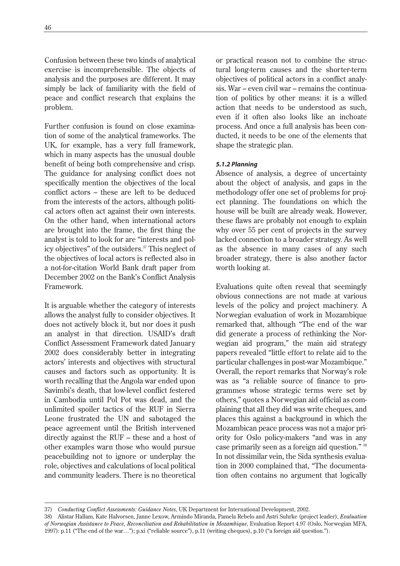Confusion between these two kinds of analytical exercise is incomprehensible. The objects of analysis and the purposes are different. It may simply be lack of familiarity with the field of peace and conflict research that explains the problem.

Further confusion is found on close examination of some of the analytical frameworks. The UK, for example, has a very full framework, which in many aspects has the unusual double benefit of being both comprehensive and crisp. The guidance for analysing conflict does not specifically mention the objectives of the local conflict actors – these are left to be deduced from the interests of the actors, although political actors often act against their own interests. On the other hand, when international actors are brought into the frame, the first thing the analyst is told to look for are "interests and policy objectives" of the outsiders.<sup>37</sup> This neglect of the objectives of local actors is reflected also in a not-for-citation World Bank draft paper from December 2002 on the Bank's Conflict Analysis Framework.

It is arguable whether the category of interests allows the analyst fully to consider objectives. It does not actively block it, but nor does it push an analyst in that direction. USAID's draft Conflict Assessment Framework dated January 2002 does considerably better in integrating actors' interests and objectives with structural causes and factors such as opportunity. It is worth recalling that the Angola war ended upon Savimbi's death, that low-level conflict festered in Cambodia until Pol Pot was dead, and the unlimited spoiler tactics of the RUF in Sierra Leone frustrated the UN and sabotaged the peace agreement until the British intervened directly against the RUF – these and a host of other examples warn those who would pursue peacebuilding not to ignore or underplay the role, objectives and calculations of local political and community leaders. There is no theoretical

or practical reason not to combine the structural long-term causes and the shorter-term objectives of political actors in a conflict analysis. War – even civil war – remains the continuation of politics by other means: it is a willed action that needs to be understood as such, even if it often also looks like an inchoate process. And once a full analysis has been conducted, it needs to be one of the elements that shape the strategic plan.

## *5.1.2 Planning*

Absence of analysis, a degree of uncertainty about the object of analysis, and gaps in the methodology offer one set of problems for project planning. The foundations on which the house will be built are already weak. However, these flaws are probably not enough to explain why over 55 per cent of projects in the survey lacked connection to a broader strategy. As well as the absence in many cases of any such broader strategy, there is also another factor worth looking at.

Evaluations quite often reveal that seemingly obvious connections are not made at various levels of the policy and project machinery. A Norwegian evaluation of work in Mozambique remarked that, although "The end of the war did generate a process of rethinking the Norwegian aid program," the main aid strategy papers revealed "little effort to relate aid to the particular challenges in post-war Mozambique." Overall, the report remarks that Norway's role was as "a reliable source of finance to programmes whose strategic terms were set by others," quotes a Norwegian aid official as complaining that all they did was write cheques, and places this against a background in which the Mozambican peace process was not a major priority for Oslo policy-makers "and was in any case primarily seen as a foreign aid question." 38 In not dissimilar vein, the Sida synthesis evaluation in 2000 complained that, "The documentation often contains no argument that logically

<sup>37)</sup> *Conducting Conflict Assessments: Guidance Notes,* UK Department for International Development, 2002.

<sup>38)</sup> Alistar Hallam, Kate Halvorsen, Janne Lexow, Armindo Miranda, Pamela Rebelo and Astri Suhrke (project leader), *Evaluation of Norwegian Assistance to Peace, Reconciliation and Rehabilitation in Mozambique,* Evaluation Report 4.97 (Oslo, Norwegian MFA, 1997): p.11 ("The end of the war…"); p.xi ("reliable source"), p.11 (writing cheques), p.10 ("a foreign aid question.").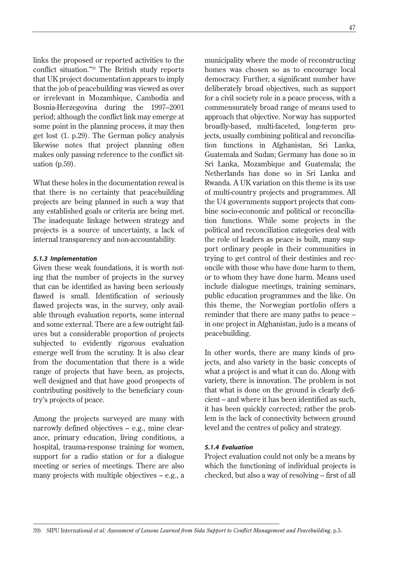links the proposed or reported activities to the conflict situation."39 The British study reports that UK project documentation appears to imply that the job of peacebuilding was viewed as over or irrelevant in Mozambique, Cambodia and Bosnia-Herzegovina during the 1997–2001 period; although the conflict link may emerge at some point in the planning process, it may then get lost (1. p.29). The German policy analysis likewise notes that project planning often makes only passing reference to the conflict situation (p.59).

What these holes in the documentation reveal is that there is no certainty that peacebuilding projects are being planned in such a way that any established goals or criteria are being met. The inadequate linkage between strategy and projects is a source of uncertainty, a lack of internal transparency and non-accountability.

#### *5.1.3 Implementation*

Given these weak foundations, it is worth noting that the number of projects in the survey that can be identified as having been seriously flawed is small. Identification of seriously flawed projects was, in the survey, only available through evaluation reports, some internal and some external. There are a few outright failures but a considerable proportion of projects subjected to evidently rigorous evaluation emerge well from the scrutiny. It is also clear from the documentation that there is a wide range of projects that have been, as projects, well designed and that have good prospects of contributing positively to the beneficiary country's projects of peace.

Among the projects surveyed are many with narrowly defined objectives – e.g., mine clearance, primary education, living conditions, a hospital, trauma-response training for women, support for a radio station or for a dialogue meeting or series of meetings. There are also many projects with multiple objectives – e.g., a municipality where the mode of reconstructing homes was chosen so as to encourage local democracy. Further, a significant number have deliberately broad objectives, such as support for a civil society role in a peace process, with a commensurately broad range of means used to approach that objective. Norway has supported broadly-based, multi-faceted, long-term projects, usually combining political and reconciliation functions in Afghanistan, Sri Lanka, Guatemala and Sudan; Germany has done so in Sri Lanka, Mozambique and Guatemala; the Netherlands has done so in Sri Lanka and Rwanda. A UK variation on this theme is its use of multi-country projects and programmes. All the U4 governments support projects that combine socio-economic and political or reconciliation functions. While some projects in the political and reconciliation categories deal with the role of leaders as peace is built, many support ordinary people in their communities in trying to get control of their destinies and reconcile with those who have done harm to them, or to whom they have done harm. Means used include dialogue meetings, training seminars, public education programmes and the like. On this theme, the Norwegian portfolio offers a reminder that there are many paths to peace – in one project in Afghanistan, judo is a means of peacebuilding.

In other words, there are many kinds of projects, and also variety in the basic concepts of what a project is and what it can do. Along with variety, there is innovation. The problem is not that what is done on the ground is clearly deficient – and where it has been identified as such, it has been quickly corrected; rather the problem is the lack of connectivity between ground level and the centres of policy and strategy.

#### *5.1.4 Evaluation*

Project evaluation could not only be a means by which the functioning of individual projects is checked, but also a way of resolving – first of all

39) SIPU International *et al: Assessment of Lessons Learned from Sida Support to Conflict Management and Peacebuilding,* p.5.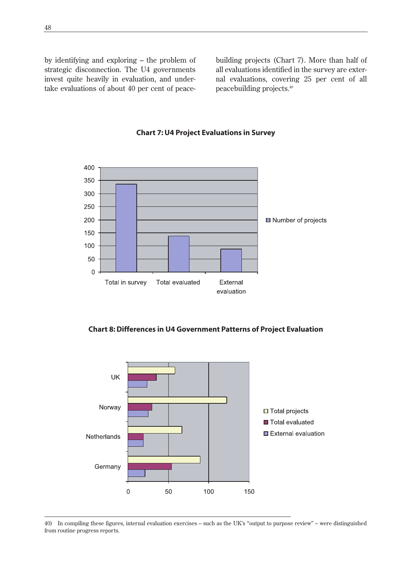by identifying and exploring – the problem of strategic disconnection. The U4 governments invest quite heavily in evaluation, and undertake evaluations of about 40 per cent of peacebuilding projects (Chart 7). More than half of all evaluations identified in the survey are external evaluations, covering 25 per cent of all peacebuilding projects.40



### **Chart 7: U4 Project Evaluations in Survey**

**Chart 8: Differences in U4 Government Patterns of Project Evaluation**



<sup>40)</sup> In compiling these figures, internal evaluation exercises – such as the UK's "output to purpose review" – were distinguished from routine progress reports.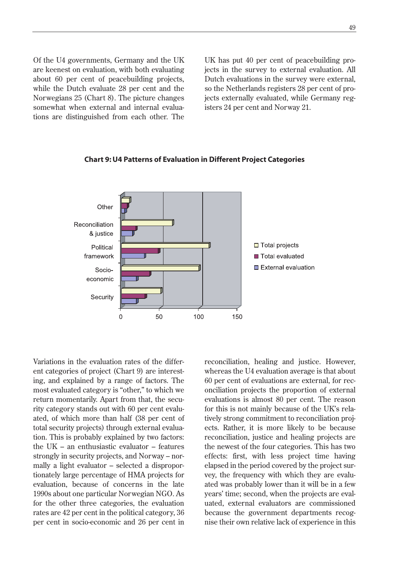Of the U4 governments, Germany and the UK are keenest on evaluation, with both evaluating about 60 per cent of peacebuilding projects, while the Dutch evaluate 28 per cent and the Norwegians 25 (Chart 8). The picture changes somewhat when external and internal evaluations are distinguished from each other. The UK has put 40 per cent of peacebuilding projects in the survey to external evaluation. All Dutch evaluations in the survey were external, so the Netherlands registers 28 per cent of projects externally evaluated, while Germany registers 24 per cent and Norway 21.



#### **Chart 9: U4 Patterns of Evaluation in Different Project Categories**

Variations in the evaluation rates of the different categories of project (Chart 9) are interesting, and explained by a range of factors. The most evaluated category is "other," to which we return momentarily. Apart from that, the security category stands out with 60 per cent evaluated, of which more than half (38 per cent of total security projects) through external evaluation. This is probably explained by two factors: the UK – an enthusiastic evaluator – features strongly in security projects, and Norway – normally a light evaluator – selected a disproportionately large percentage of HMA projects for evaluation, because of concerns in the late 1990s about one particular Norwegian NGO. As for the other three categories, the evaluation rates are 42 per cent in the political category, 36 per cent in socio-economic and 26 per cent in reconciliation, healing and justice. However, whereas the U4 evaluation average is that about 60 per cent of evaluations are external, for reconciliation projects the proportion of external evaluations is almost 80 per cent. The reason for this is not mainly because of the UK's relatively strong commitment to reconciliation projects. Rather, it is more likely to be because reconciliation, justice and healing projects are the newest of the four categories. This has two effects: first, with less project time having elapsed in the period covered by the project survey, the frequency with which they are evaluated was probably lower than it will be in a few years' time; second, when the projects are evaluated, external evaluators are commissioned because the government departments recognise their own relative lack of experience in this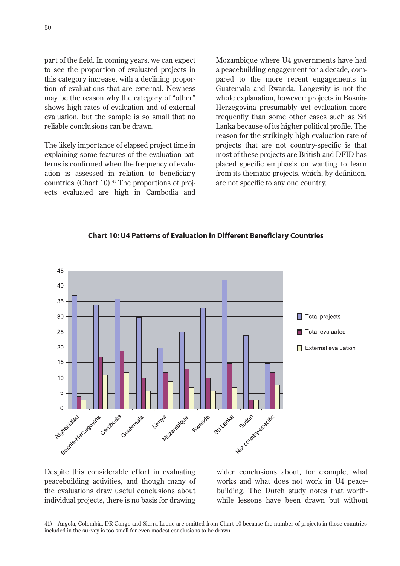part of the field. In coming years, we can expect to see the proportion of evaluated projects in this category increase, with a declining proportion of evaluations that are external. Newness may be the reason why the category of "other" shows high rates of evaluation and of external evaluation, but the sample is so small that no reliable conclusions can be drawn.

The likely importance of elapsed project time in explaining some features of the evaluation patterns is confirmed when the frequency of evaluation is assessed in relation to beneficiary countries (Chart  $10$ ).<sup>41</sup> The proportions of projects evaluated are high in Cambodia and

Mozambique where U4 governments have had a peacebuilding engagement for a decade, compared to the more recent engagements in Guatemala and Rwanda. Longevity is not the whole explanation, however: projects in Bosnia-Herzegovina presumably get evaluation more frequently than some other cases such as Sri Lanka because of its higher political profile. The reason for the strikingly high evaluation rate of projects that are not country-specific is that most of these projects are British and DFID has placed specific emphasis on wanting to learn from its thematic projects, which, by definition, are not specific to any one country.



## **Chart 10: U4 Patterns of Evaluation in Different Beneficiary Countries**

Despite this considerable effort in evaluating peacebuilding activities, and though many of the evaluations draw useful conclusions about individual projects, there is no basis for drawing

wider conclusions about, for example, what works and what does not work in U4 peacebuilding. The Dutch study notes that worthwhile lessons have been drawn but without

<sup>41)</sup> Angola, Colombia, DR Congo and Sierra Leone are omitted from Chart 10 because the number of projects in those countries included in the survey is too small for even modest conclusions to be drawn.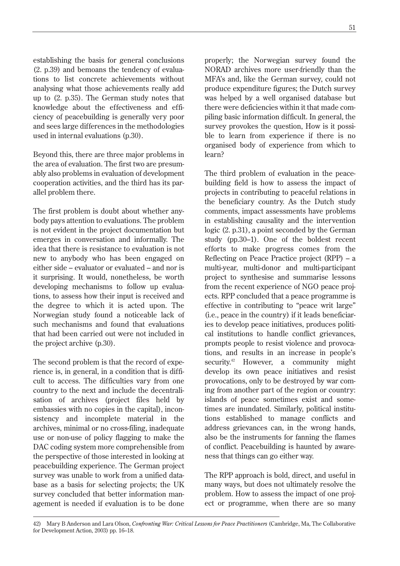establishing the basis for general conclusions (2. p.39) and bemoans the tendency of evaluations to list concrete achievements without analysing what those achievements really add up to (2. p.35). The German study notes that knowledge about the effectiveness and efficiency of peacebuilding is generally very poor and sees large differences in the methodologies used in internal evaluations (p.30).

Beyond this, there are three major problems in the area of evaluation. The first two are presumably also problems in evaluation of development cooperation activities, and the third has its parallel problem there.

The first problem is doubt about whether anybody pays attention to evaluations. The problem is not evident in the project documentation but emerges in conversation and informally. The idea that there is resistance to evaluation is not new to anybody who has been engaged on either side – evaluator or evaluated – and nor is it surprising. It would, nonetheless, be worth developing mechanisms to follow up evaluations, to assess how their input is received and the degree to which it is acted upon. The Norwegian study found a noticeable lack of such mechanisms and found that evaluations that had been carried out were not included in the project archive (p.30).

The second problem is that the record of experience is, in general, in a condition that is difficult to access. The difficulties vary from one country to the next and include the decentralisation of archives (project files held by embassies with no copies in the capital), inconsistency and incomplete material in the archives, minimal or no cross-filing, inadequate use or non-use of policy flagging to make the DAC coding system more comprehensible from the perspective of those interested in looking at peacebuilding experience. The German project survey was unable to work from a unified database as a basis for selecting projects; the UK survey concluded that better information management is needed if evaluation is to be done properly; the Norwegian survey found the NORAD archives more user-friendly than the MFA's and, like the German survey, could not produce expenditure figures; the Dutch survey was helped by a well organised database but there were deficiencies within it that made compiling basic information difficult. In general, the survey provokes the question, How is it possible to learn from experience if there is no organised body of experience from which to learn?

The third problem of evaluation in the peacebuilding field is how to assess the impact of projects in contributing to peaceful relations in the beneficiary country. As the Dutch study comments, impact assessments have problems in establishing causality and the intervention logic (2. p.31), a point seconded by the German study (pp.30–1). One of the boldest recent efforts to make progress comes from the Reflecting on Peace Practice project (RPP) – a multi-year, multi-donor and multi-participant project to synthesise and summarise lessons from the recent experience of NGO peace projects. RPP concluded that a peace programme is effective in contributing to "peace writ large" (i.e., peace in the country) if it leads beneficiaries to develop peace initiatives, produces political institutions to handle conflict grievances, prompts people to resist violence and provocations, and results in an increase in people's security.<sup>42</sup> However, a community might develop its own peace initiatives and resist provocations, only to be destroyed by war coming from another part of the region or country: islands of peace sometimes exist and sometimes are inundated. Similarly, political institutions established to manage conflicts and address grievances can, in the wrong hands, also be the instruments for fanning the flames of conflict. Peacebuilding is haunted by awareness that things can go either way.

The RPP approach is bold, direct, and useful in many ways, but does not ultimately resolve the problem. How to assess the impact of one project or programme, when there are so many

<sup>42)</sup> Mary B Anderson and Lara Olson, *Confronting War: Critical Lessons for Peace Practitioners* (Cambridge, Ma, The Collaborative for Development Action, 2003) pp. 16–18.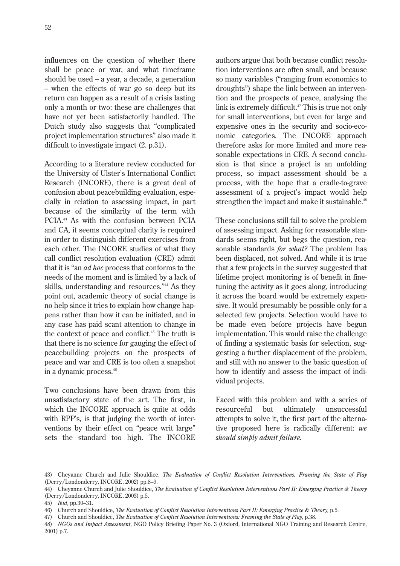influences on the question of whether there shall be peace or war, and what timeframe should be used – a year, a decade, a generation – when the effects of war go so deep but its return can happen as a result of a crisis lasting only a month or two: these are challenges that have not yet been satisfactorily handled. The Dutch study also suggests that "complicated project implementation structures" also made it difficult to investigate impact (2. p.31).

According to a literature review conducted for the University of Ulster's International Conflict Research (INCORE), there is a great deal of confusion about peacebuilding evaluation, especially in relation to assessing impact, in part because of the similarity of the term with PCIA.43 As with the confusion between PCIA and CA, it seems conceptual clarity is required in order to distinguish different exercises from each other. The INCORE studies of what they call conflict resolution evaluation (CRE) admit that it is "an *ad hoc* process that conforms to the needs of the moment and is limited by a lack of skills, understanding and resources."44 As they point out, academic theory of social change is no help since it tries to explain how change happens rather than how it can be initiated, and in any case has paid scant attention to change in the context of peace and conflict.<sup>45</sup> The truth is that there is no science for gauging the effect of peacebuilding projects on the prospects of peace and war and CRE is too often a snapshot in a dynamic process.46

Two conclusions have been drawn from this unsatisfactory state of the art. The first, in which the INCORE approach is quite at odds with RPP's, is that judging the worth of interventions by their effect on "peace writ large" sets the standard too high. The INCORE authors argue that both because conflict resolution interventions are often small, and because so many variables ("ranging from economics to droughts") shape the link between an intervention and the prospects of peace, analysing the link is extremely difficult.<sup>47</sup> This is true not only for small interventions, but even for large and expensive ones in the security and socio-economic categories. The INCORE approach therefore asks for more limited and more reasonable expectations in CRE. A second conclusion is that since a project is an unfolding process, so impact assessment should be a process, with the hope that a cradle-to-grave assessment of a project's impact would help strengthen the impact and make it sustainable.<sup>48</sup>

These conclusions still fail to solve the problem of assessing impact. Asking for reasonable standards seems right, but begs the question, reasonable standards *for what?* The problem has been displaced, not solved. And while it is true that a few projects in the survey suggested that lifetime project monitoring is of benefit in finetuning the activity as it goes along, introducing it across the board would be extremely expensive. It would presumably be possible only for a selected few projects. Selection would have to be made even before projects have begun implementation. This would raise the challenge of finding a systematic basis for selection, suggesting a further displacement of the problem, and still with no answer to the basic question of how to identify and assess the impact of individual projects.

Faced with this problem and with a series of resourceful but ultimately unsuccessful attempts to solve it, the first part of the alternative proposed here is radically different: *we should simply admit failure.* 

<sup>43)</sup> Cheyanne Church and Julie Shouldice, *The Evaluation of Conflict Resolution Interventions: Framing the State of Play* (Derry/Londonderry, INCORE, 2002) pp.8–9.

<sup>44)</sup> Cheyanne Church and Julie Shouldice, *The Evaluation of Conflict Resolution Interventions Part II: Emerging Practice & Theory* (Derry/Londonderry, INCORE, 2003) p.5.

<sup>45)</sup> *Ibid,* pp.30–31.

<sup>46)</sup> Church and Shouldice, *The Evaluation of Conflict Resolution Interventions Part II: Emerging Practice & Theory,* p.5.

<sup>47)</sup> Church and Shouldice, *The Evaluation of Conflict Resolution Interventions: Framing the State of Play,* p.38.

<sup>48)</sup> *NGOs and Impact Assessment,* NGO Policy Briefing Paper No. 3 (Oxford, International NGO Training and Research Centre, 2001) p.7.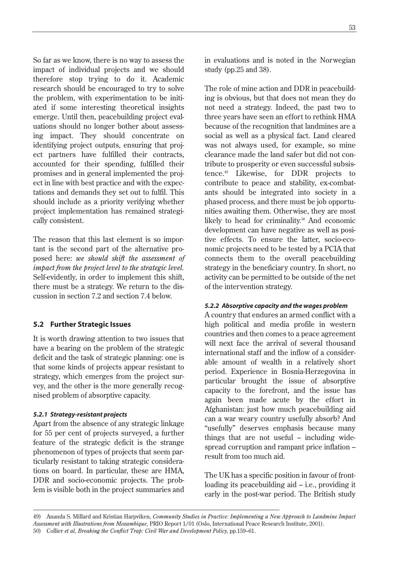So far as we know, there is no way to assess the impact of individual projects and we should therefore stop trying to do it. Academic research should be encouraged to try to solve the problem, with experimentation to be initiated if some interesting theoretical insights emerge. Until then, peacebuilding project evaluations should no longer bother about assessing impact. They should concentrate on identifying project outputs, ensuring that project partners have fulfilled their contracts, accounted for their spending, fulfilled their promises and in general implemented the project in line with best practice and with the expectations and demands they set out to fulfil. This should include as a priority verifying whether project implementation has remained strategically consistent.

The reason that this last element is so important is the second part of the alternative proposed here: *we should shift the assessment of impact from the project level to the strategic level.* Self-evidently, in order to implement this shift, there must be a strategy. We return to the discussion in section 7.2 and section 7.4 below.

### **5.2 Further Strategic Issues**

It is worth drawing attention to two issues that have a bearing on the problem of the strategic deficit and the task of strategic planning: one is that some kinds of projects appear resistant to strategy, which emerges from the project survey, and the other is the more generally recognised problem of absorptive capacity.

#### *5.2.1 Strategy-resistant projects*

Apart from the absence of any strategic linkage for 55 per cent of projects surveyed, a further feature of the strategic deficit is the strange phenomenon of types of projects that seem particularly resistant to taking strategic considerations on board. In particular, these are HMA, DDR and socio-economic projects. The problem is visible both in the project summaries and 53

in evaluations and is noted in the Norwegian study (pp.25 and 38).

The role of mine action and DDR in peacebuilding is obvious, but that does not mean they do not need a strategy. Indeed, the past two to three years have seen an effort to rethink HMA because of the recognition that landmines are a social as well as a physical fact. Land cleared was not always used, for example, so mine clearance made the land safer but did not contribute to prosperity or even successful subsistence.49 Likewise, for DDR projects to contribute to peace and stability, ex-combatants should be integrated into society in a phased process, and there must be job opportunities awaiting them. Otherwise, they are most likely to head for criminality.<sup>50</sup> And economic development can have negative as well as positive effects. To ensure the latter, socio-economic projects need to be tested by a PCIA that connects them to the overall peacebuilding strategy in the beneficiary country. In short, no activity can be permitted to be outside of the net of the intervention strategy.

### *5.2.2 Absorptive capacity and the wages problem*

A country that endures an armed conflict with a high political and media profile in western countries and then comes to a peace agreement will next face the arrival of several thousand international staff and the inflow of a considerable amount of wealth in a relatively short period. Experience in Bosnia-Herzegovina in particular brought the issue of absorptive capacity to the forefront, and the issue has again been made acute by the effort in Afghanistan: just how much peacebuilding aid can a war weary country usefully absorb? And "usefully" deserves emphasis because many things that are not useful – including widespread corruption and rampant price inflation – result from too much aid.

The UK has a specific position in favour of frontloading its peacebuilding aid – i.e., providing it early in the post-war period. The British study

<sup>49)</sup> Ananda S. Millard and Kristian Harpviken, *Community Studies in Practice: Implementing a New Approach to Landmine Impact Assessment with Illustrations from Mozambique,* PRIO Report 1/01 (Oslo, International Peace Research Institute, 2001). 50) Collier et al, Breaking the Conflict Trap: Civil War and Development Policy, pp.159–61.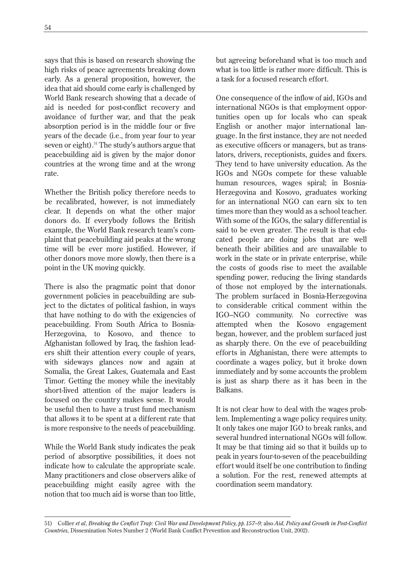says that this is based on research showing the high risks of peace agreements breaking down early. As a general proposition, however, the idea that aid should come early is challenged by World Bank research showing that a decade of aid is needed for post-conflict recovery and avoidance of further war, and that the peak absorption period is in the middle four or five years of the decade (i.e., from year four to year seven or eight).<sup>51</sup> The study's authors argue that peacebuilding aid is given by the major donor countries at the wrong time and at the wrong rate.

Whether the British policy therefore needs to be recalibrated, however, is not immediately clear. It depends on what the other major donors do. If everybody follows the British example, the World Bank research team's complaint that peacebuilding aid peaks at the wrong time will be ever more justified. However, if other donors move more slowly, then there is a point in the UK moving quickly.

There is also the pragmatic point that donor government policies in peacebuilding are subject to the dictates of political fashion, in ways that have nothing to do with the exigencies of peacebuilding. From South Africa to Bosnia-Herzegovina, to Kosovo, and thence to Afghanistan followed by Iraq, the fashion leaders shift their attention every couple of years, with sideways glances now and again at Somalia, the Great Lakes, Guatemala and East Timor. Getting the money while the inevitably short-lived attention of the major leaders is focused on the country makes sense. It would be useful then to have a trust fund mechanism that allows it to be spent at a different rate that is more responsive to the needs of peacebuilding.

While the World Bank study indicates the peak period of absorptive possibilities, it does not indicate how to calculate the appropriate scale. Many practitioners and close observers alike of peacebuilding might easily agree with the notion that too much aid is worse than too little,

but agreeing beforehand what is too much and what is too little is rather more difficult. This is a task for a focused research effort.

One consequence of the inflow of aid, IGOs and international NGOs is that employment opportunities open up for locals who can speak English or another major international language. In the first instance, they are not needed as executive officers or managers, but as translators, drivers, receptionists, guides and fixers. They tend to have university education. As the IGOs and NGOs compete for these valuable human resources, wages spiral; in Bosnia-Herzegovina and Kosovo, graduates working for an international NGO can earn six to ten times more than they would as a school teacher. With some of the IGOs, the salary differential is said to be even greater. The result is that educated people are doing jobs that are well beneath their abilities and are unavailable to work in the state or in private enterprise, while the costs of goods rise to meet the available spending power, reducing the living standards of those not employed by the internationals. The problem surfaced in Bosnia-Herzegovina to considerable critical comment within the IGO–NGO community. No corrective was attempted when the Kosovo engagement began, however, and the problem surfaced just as sharply there. On the eve of peacebuilding efforts in Afghanistan, there were attempts to coordinate a wages policy, but it broke down immediately and by some accounts the problem is just as sharp there as it has been in the Balkans.

It is not clear how to deal with the wages problem. Implementing a wage policy requires unity. It only takes one major IGO to break ranks, and several hundred international NGOs will follow. It may be that timing aid so that it builds up to peak in years four-to-seven of the peacebuilding effort would itself be one contribution to finding a solution. For the rest, renewed attempts at coordination seem mandatory.

<sup>51)</sup> Collier et al, Breaking the Conflict Trap: Civil War and Development Policy, pp. 157-9; also Aid, Policy and Growth in Post-Conflict *Countries,* Dissemination Notes Number 2 (World Bank Conflict Prevention and Reconstruction Unit, 2002).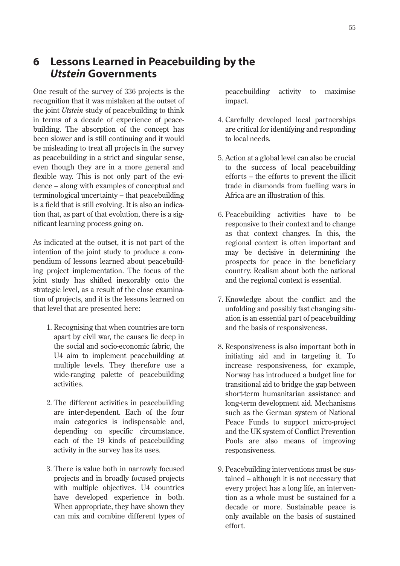# **6 Lessons Learned in Peacebuilding by the** *Utstein* **Governments**

One result of the survey of 336 projects is the recognition that it was mistaken at the outset of the joint *Utstein* study of peacebuilding to think in terms of a decade of experience of peacebuilding. The absorption of the concept has been slower and is still continuing and it would be misleading to treat all projects in the survey as peacebuilding in a strict and singular sense, even though they are in a more general and flexible way. This is not only part of the evidence – along with examples of conceptual and terminological uncertainty – that peacebuilding is a field that is still evolving. It is also an indication that, as part of that evolution, there is a significant learning process going on.

As indicated at the outset, it is not part of the intention of the joint study to produce a compendium of lessons learned about peacebuilding project implementation. The focus of the joint study has shifted inexorably onto the strategic level, as a result of the close examination of projects, and it is the lessons learned on that level that are presented here:

- 1. Recognising that when countries are torn apart by civil war, the causes lie deep in the social and socio-economic fabric, the U4 aim to implement peacebuilding at multiple levels. They therefore use a wide-ranging palette of peacebuilding activities.
- 2. The different activities in peacebuilding are inter-dependent. Each of the four main categories is indispensable and, depending on specific circumstance, each of the 19 kinds of peacebuilding activity in the survey has its uses.
- 3. There is value both in narrowly focused projects and in broadly focused projects with multiple objectives. U4 countries have developed experience in both. When appropriate, they have shown they can mix and combine different types of

peacebuilding activity to maximise impact.

- 4. Carefully developed local partnerships are critical for identifying and responding to local needs.
- 5. Action at a global level can also be crucial to the success of local peacebuilding efforts – the efforts to prevent the illicit trade in diamonds from fuelling wars in Africa are an illustration of this.
- 6. Peacebuilding activities have to be responsive to their context and to change as that context changes. In this, the regional context is often important and may be decisive in determining the prospects for peace in the beneficiary country. Realism about both the national and the regional context is essential.
- 7. Knowledge about the conflict and the unfolding and possibly fast changing situation is an essential part of peacebuilding and the basis of responsiveness.
- 8. Responsiveness is also important both in initiating aid and in targeting it. To increase responsiveness, for example, Norway has introduced a budget line for transitional aid to bridge the gap between short-term humanitarian assistance and long-term development aid. Mechanisms such as the German system of National Peace Funds to support micro-project and the UK system of Conflict Prevention Pools are also means of improving responsiveness.
- 9. Peacebuilding interventions must be sustained – although it is not necessary that every project has a long life, an intervention as a whole must be sustained for a decade or more. Sustainable peace is only available on the basis of sustained effort.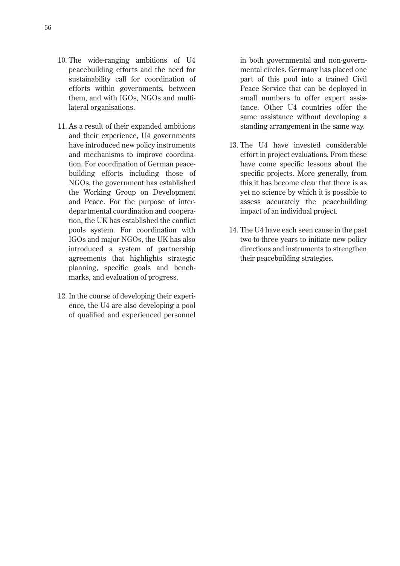- 10. The wide-ranging ambitions of U4 peacebuilding efforts and the need for sustainability call for coordination of efforts within governments, between them, and with IGOs, NGOs and multilateral organisations.
- 11. As a result of their expanded ambitions and their experience, U4 governments have introduced new policy instruments and mechanisms to improve coordination. For coordination of German peacebuilding efforts including those of NGOs, the government has established the Working Group on Development and Peace. For the purpose of interdepartmental coordination and cooperation, the UK has established the conflict pools system. For coordination with IGOs and major NGOs, the UK has also introduced a system of partnership agreements that highlights strategic planning, specific goals and benchmarks, and evaluation of progress.
- 12. In the course of developing their experience, the U4 are also developing a pool of qualified and experienced personnel

in both governmental and non-governmental circles. Germany has placed one part of this pool into a trained Civil Peace Service that can be deployed in small numbers to offer expert assistance. Other U4 countries offer the same assistance without developing a standing arrangement in the same way.

- 13. The U4 have invested considerable effort in project evaluations. From these have come specific lessons about the specific projects. More generally, from this it has become clear that there is as yet no science by which it is possible to assess accurately the peacebuilding impact of an individual project.
- 14. The U4 have each seen cause in the past two-to-three years to initiate new policy directions and instruments to strengthen their peacebuilding strategies.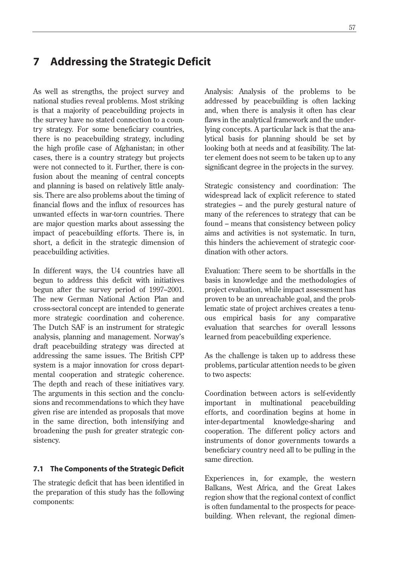# **7 Addressing the Strategic Deficit**

As well as strengths, the project survey and national studies reveal problems. Most striking is that a majority of peacebuilding projects in the survey have no stated connection to a country strategy. For some beneficiary countries, there is no peacebuilding strategy, including the high profile case of Afghanistan; in other cases, there is a country strategy but projects were not connected to it. Further, there is confusion about the meaning of central concepts and planning is based on relatively little analysis. There are also problems about the timing of financial flows and the influx of resources has unwanted effects in war-torn countries. There are major question marks about assessing the impact of peacebuilding efforts. There is, in short, a deficit in the strategic dimension of peacebuilding activities.

In different ways, the U4 countries have all begun to address this deficit with initiatives begun after the survey period of 1997–2001. The new German National Action Plan and cross-sectoral concept are intended to generate more strategic coordination and coherence. The Dutch SAF is an instrument for strategic analysis, planning and management. Norway's draft peacebuilding strategy was directed at addressing the same issues. The British CPP system is a major innovation for cross departmental cooperation and strategic coherence. The depth and reach of these initiatives vary. The arguments in this section and the conclusions and recommendations to which they have given rise are intended as proposals that move in the same direction, both intensifying and broadening the push for greater strategic consistency.

### **7.1 The Components of the Strategic Deficit**

The strategic deficit that has been identified in the preparation of this study has the following components:

Analysis: Analysis of the problems to be addressed by peacebuilding is often lacking and, when there is analysis it often has clear flaws in the analytical framework and the underlying concepts. A particular lack is that the analytical basis for planning should be set by looking both at needs and at feasibility. The latter element does not seem to be taken up to any significant degree in the projects in the survey.

Strategic consistency and coordination: The widespread lack of explicit reference to stated strategies – and the purely gestural nature of many of the references to strategy that can be found – means that consistency between policy aims and activities is not systematic. In turn, this hinders the achievement of strategic coordination with other actors.

Evaluation: There seem to be shortfalls in the basis in knowledge and the methodologies of project evaluation, while impact assessment has proven to be an unreachable goal, and the problematic state of project archives creates a tenuous empirical basis for any comparative evaluation that searches for overall lessons learned from peacebuilding experience.

As the challenge is taken up to address these problems, particular attention needs to be given to two aspects:

Coordination between actors is self-evidently important in multinational peacebuilding efforts, and coordination begins at home in inter-departmental knowledge-sharing and cooperation. The different policy actors and instruments of donor governments towards a beneficiary country need all to be pulling in the same direction.

Experiences in, for example, the western Balkans, West Africa, and the Great Lakes region show that the regional context of conflict is often fundamental to the prospects for peacebuilding. When relevant, the regional dimen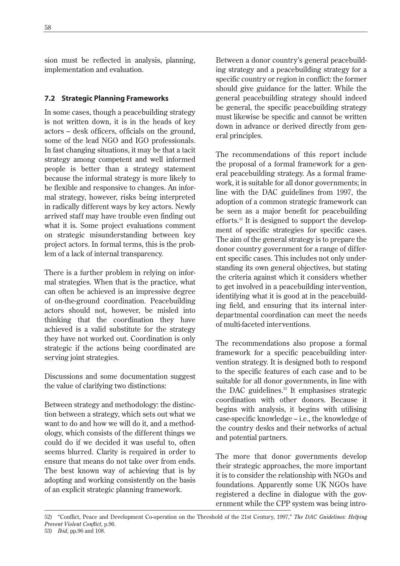sion must be reflected in analysis, planning, implementation and evaluation.

# **7.2 Strategic Planning Frameworks**

In some cases, though a peacebuilding strategy is not written down, it is in the heads of key actors – desk officers, officials on the ground, some of the lead NGO and IGO professionals. In fast changing situations, it may be that a tacit strategy among competent and well informed people is better than a strategy statement because the informal strategy is more likely to be flexible and responsive to changes. An informal strategy, however, risks being interpreted in radically different ways by key actors. Newly arrived staff may have trouble even finding out what it is. Some project evaluations comment on strategic misunderstanding between key project actors. In formal terms, this is the problem of a lack of internal transparency.

There is a further problem in relying on informal strategies. When that is the practice, what can often be achieved is an impressive degree of on-the-ground coordination. Peacebuilding actors should not, however, be misled into thinking that the coordination they have achieved is a valid substitute for the strategy they have not worked out. Coordination is only strategic if the actions being coordinated are serving joint strategies.

Discussions and some documentation suggest the value of clarifying two distinctions:

Between strategy and methodology: the distinction between a strategy, which sets out what we want to do and how we will do it, and a methodology, which consists of the different things we could do if we decided it was useful to, often seems blurred. Clarity is required in order to ensure that means do not take over from ends. The best known way of achieving that is by adopting and working consistently on the basis of an explicit strategic planning framework.

Between a donor country's general peacebuilding strategy and a peacebuilding strategy for a specific country or region in conflict: the former should give guidance for the latter. While the general peacebuilding strategy should indeed be general, the specific peacebuilding strategy must likewise be specific and cannot be written down in advance or derived directly from general principles.

The recommendations of this report include the proposal of a formal framework for a general peacebuilding strategy. As a formal framework, it is suitable for all donor governments; in line with the DAC guidelines from 1997, the adoption of a common strategic framework can be seen as a major benefit for peacebuilding efforts.52 It is designed to support the development of specific strategies for specific cases. The aim of the general strategy is to prepare the donor country government for a range of different specific cases. This includes not only understanding its own general objectives, but stating the criteria against which it considers whether to get involved in a peacebuilding intervention, identifying what it is good at in the peacebuilding field, and ensuring that its internal interdepartmental coordination can meet the needs of multi-faceted interventions.

The recommendations also propose a formal framework for a specific peacebuilding intervention strategy. It is designed both to respond to the specific features of each case and to be suitable for all donor governments, in line with the DAC guidelines.<sup>53</sup> It emphasises strategic coordination with other donors. Because it begins with analysis, it begins with utilising case-specific knowledge – i.e., the knowledge of the country desks and their networks of actual and potential partners.

The more that donor governments develop their strategic approaches, the more important it is to consider the relationship with NGOs and foundations. Apparently some UK NGOs have registered a decline in dialogue with the government while the CPP system was being intro-

<sup>52) &</sup>quot;Conflict, Peace and Development Co-operation on the Threshold of the 21st Century, 1997," *The DAC Guidelines: Helping Prevent Violent Conflict,* p.96.

<sup>53)</sup> *Ibid,* pp.96 and 108.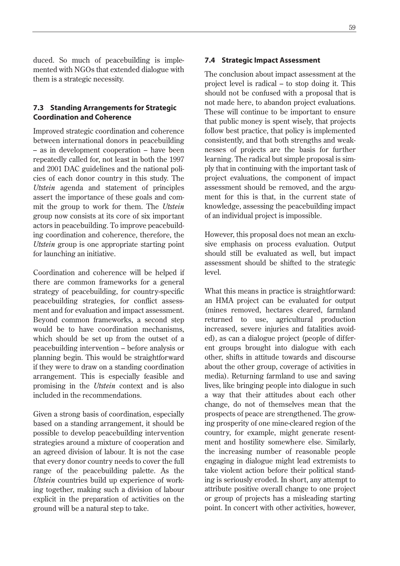duced. So much of peacebuilding is implemented with NGOs that extended dialogue with them is a strategic necessity.

## **7.3 Standing Arrangements for Strategic Coordination and Coherence**

Improved strategic coordination and coherence between international donors in peacebuilding – as in development cooperation – have been repeatedly called for, not least in both the 1997 and 2001 DAC guidelines and the national policies of each donor country in this study. The *Utstein* agenda and statement of principles assert the importance of these goals and commit the group to work for them. The *Utstein* group now consists at its core of six important actors in peacebuilding. To improve peacebuilding coordination and coherence, therefore, the *Utstein* group is one appropriate starting point for launching an initiative.

Coordination and coherence will be helped if there are common frameworks for a general strategy of peacebuilding, for country-specific peacebuilding strategies, for conflict assessment and for evaluation and impact assessment. Beyond common frameworks, a second step would be to have coordination mechanisms, which should be set up from the outset of a peacebuilding intervention – before analysis or planning begin. This would be straightforward if they were to draw on a standing coordination arrangement. This is especially feasible and promising in the *Utstein* context and is also included in the recommendations.

Given a strong basis of coordination, especially based on a standing arrangement, it should be possible to develop peacebuilding intervention strategies around a mixture of cooperation and an agreed division of labour. It is not the case that every donor country needs to cover the full range of the peacebuilding palette. As the *Utstein* countries build up experience of working together, making such a division of labour explicit in the preparation of activities on the ground will be a natural step to take.

#### **7.4 Strategic Impact Assessment**

The conclusion about impact assessment at the project level is radical – to stop doing it. This should not be confused with a proposal that is not made here, to abandon project evaluations. These will continue to be important to ensure that public money is spent wisely, that projects follow best practice, that policy is implemented consistently, and that both strengths and weaknesses of projects are the basis for further learning. The radical but simple proposal is simply that in continuing with the important task of project evaluations, the component of impact assessment should be removed, and the argument for this is that, in the current state of knowledge, assessing the peacebuilding impact of an individual project is impossible.

However, this proposal does not mean an exclusive emphasis on process evaluation. Output should still be evaluated as well, but impact assessment should be shifted to the strategic level.

What this means in practice is straightforward: an HMA project can be evaluated for output (mines removed, hectares cleared, farmland returned to use, agricultural production increased, severe injuries and fatalities avoided), as can a dialogue project (people of different groups brought into dialogue with each other, shifts in attitude towards and discourse about the other group, coverage of activities in media). Returning farmland to use and saving lives, like bringing people into dialogue in such a way that their attitudes about each other change, do not of themselves mean that the prospects of peace are strengthened. The growing prosperity of one mine-cleared region of the country, for example, might generate resentment and hostility somewhere else. Similarly, the increasing number of reasonable people engaging in dialogue might lead extremists to take violent action before their political standing is seriously eroded. In short, any attempt to attribute positive overall change to one project or group of projects has a misleading starting point. In concert with other activities, however,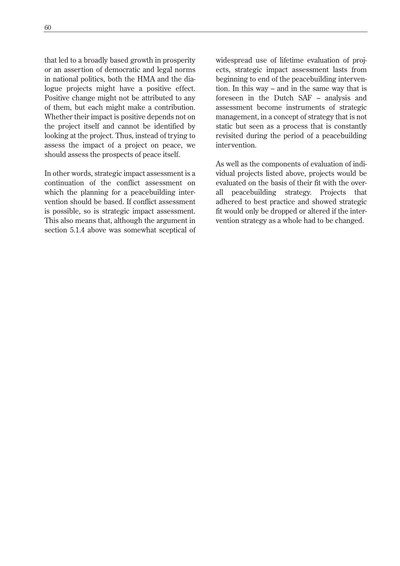that led to a broadly based growth in prosperity or an assertion of democratic and legal norms in national politics, both the HMA and the dialogue projects might have a positive effect. Positive change might not be attributed to any of them, but each might make a contribution. Whether their impact is positive depends not on the project itself and cannot be identified by looking at the project. Thus, instead of trying to assess the impact of a project on peace, we should assess the prospects of peace itself.

In other words, strategic impact assessment is a continuation of the conflict assessment on which the planning for a peacebuilding intervention should be based. If conflict assessment is possible, so is strategic impact assessment. This also means that, although the argument in section 5.1.4 above was somewhat sceptical of widespread use of lifetime evaluation of projects, strategic impact assessment lasts from beginning to end of the peacebuilding intervention. In this way – and in the same way that is foreseen in the Dutch SAF – analysis and assessment become instruments of strategic management, in a concept of strategy that is not static but seen as a process that is constantly revisited during the period of a peacebuilding intervention.

As well as the components of evaluation of individual projects listed above, projects would be evaluated on the basis of their fit with the overall peacebuilding strategy. Projects that adhered to best practice and showed strategic fit would only be dropped or altered if the intervention strategy as a whole had to be changed.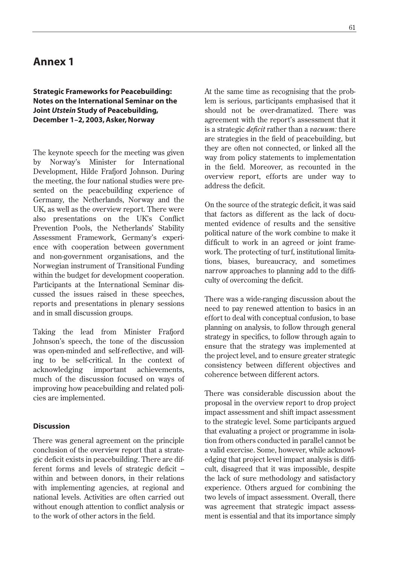# **Annex 1**

## **Strategic Frameworks for Peacebuilding: Notes on the International Seminar on the Joint** *Utstein* **Study of Peacebuilding, December 1–2, 2003, Asker, Norway**

The keynote speech for the meeting was given by Norway's Minister for International Development, Hilde Frafjord Johnson. During the meeting, the four national studies were presented on the peacebuilding experience of Germany, the Netherlands, Norway and the UK, as well as the overview report. There were also presentations on the UK's Conflict Prevention Pools, the Netherlands' Stability Assessment Framework, Germany's experience with cooperation between government and non-government organisations, and the Norwegian instrument of Transitional Funding within the budget for development cooperation. Participants at the International Seminar discussed the issues raised in these speeches, reports and presentations in plenary sessions and in small discussion groups.

Taking the lead from Minister Frafjord Johnson's speech, the tone of the discussion was open-minded and self-reflective, and willing to be self-critical. In the context of acknowledging important achievements, much of the discussion focused on ways of improving how peacebuilding and related policies are implemented.

### **Discussion**

There was general agreement on the principle conclusion of the overview report that a strategic deficit exists in peacebuilding. There are different forms and levels of strategic deficit – within and between donors, in their relations with implementing agencies, at regional and national levels. Activities are often carried out without enough attention to conflict analysis or to the work of other actors in the field.

At the same time as recognising that the problem is serious, participants emphasised that it should not be over-dramatized. There was agreement with the report's assessment that it is a strategic *deficit* rather than a *vacuum:* there are strategies in the field of peacebuilding, but they are often not connected, or linked all the way from policy statements to implementation in the field. Moreover, as recounted in the overview report, efforts are under way to address the deficit.

On the source of the strategic deficit, it was said that factors as different as the lack of documented evidence of results and the sensitive political nature of the work combine to make it difficult to work in an agreed or joint framework. The protecting of turf, institutional limitations, biases, bureaucracy, and sometimes narrow approaches to planning add to the difficulty of overcoming the deficit.

There was a wide-ranging discussion about the need to pay renewed attention to basics in an effort to deal with conceptual confusion, to base planning on analysis, to follow through general strategy in specifics, to follow through again to ensure that the strategy was implemented at the project level, and to ensure greater strategic consistency between different objectives and coherence between different actors.

There was considerable discussion about the proposal in the overview report to drop project impact assessment and shift impact assessment to the strategic level. Some participants argued that evaluating a project or programme in isolation from others conducted in parallel cannot be a valid exercise. Some, however, while acknowledging that project level impact analysis is difficult, disagreed that it was impossible, despite the lack of sure methodology and satisfactory experience. Others argued for combining the two levels of impact assessment. Overall, there was agreement that strategic impact assessment is essential and that its importance simply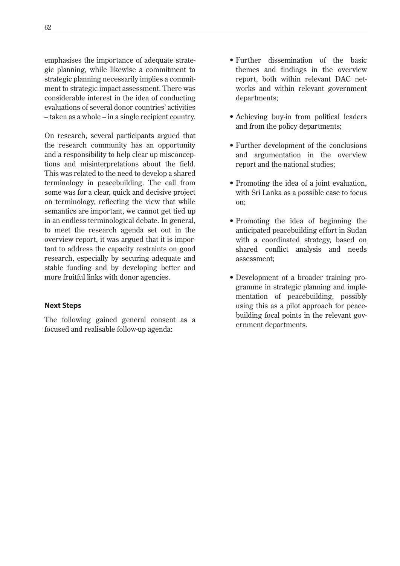emphasises the importance of adequate strategic planning, while likewise a commitment to strategic planning necessarily implies a commitment to strategic impact assessment. There was considerable interest in the idea of conducting evaluations of several donor countries' activities – taken as a whole – in a single recipient country.

On research, several participants argued that the research community has an opportunity and a responsibility to help clear up misconceptions and misinterpretations about the field. This was related to the need to develop a shared terminology in peacebuilding. The call from some was for a clear, quick and decisive project on terminology, reflecting the view that while semantics are important, we cannot get tied up in an endless terminological debate. In general, to meet the research agenda set out in the overview report, it was argued that it is important to address the capacity restraints on good research, especially by securing adequate and stable funding and by developing better and more fruitful links with donor agencies.

## **Next Steps**

The following gained general consent as a focused and realisable follow-up agenda:

- Further dissemination of the basic themes and findings in the overview report, both within relevant DAC networks and within relevant government departments;
- Achieving buy-in from political leaders and from the policy departments;
- Further development of the conclusions and argumentation in the overview report and the national studies;
- Promoting the idea of a joint evaluation, with Sri Lanka as a possible case to focus on;
- Promoting the idea of beginning the anticipated peacebuilding effort in Sudan with a coordinated strategy, based on shared conflict analysis and needs assessment;
- Development of a broader training programme in strategic planning and implementation of peacebuilding, possibly using this as a pilot approach for peacebuilding focal points in the relevant government departments.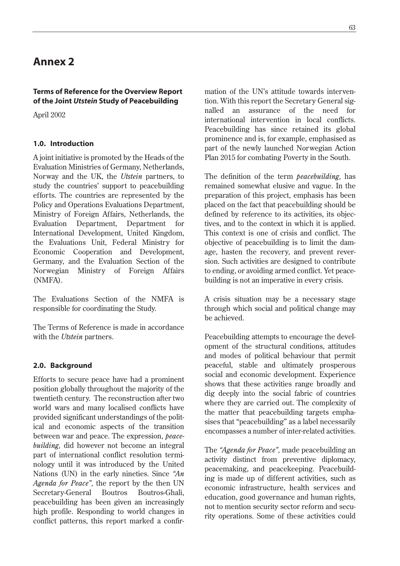# **Annex 2**

## **Terms of Reference for the Overview Report of the Joint** *Utstein* **Study of Peacebuilding**

April 2002

# **1.0. Introduction**

A joint initiative is promoted by the Heads of the Evaluation Ministries of Germany, Netherlands, Norway and the UK, the *Utstein* partners, to study the countries' support to peacebuilding efforts. The countries are represented by the Policy and Operations Evaluations Department, Ministry of Foreign Affairs, Netherlands, the Evaluation Department, Department for International Development, United Kingdom, the Evaluations Unit, Federal Ministry for Economic Cooperation and Development, Germany, and the Evaluation Section of the Norwegian Ministry of Foreign Affairs (NMFA).

The Evaluations Section of the NMFA is responsible for coordinating the Study.

The Terms of Reference is made in accordance with the *Utstein* partners.

# **2.0. Background**

Efforts to secure peace have had a prominent position globally throughout the majority of the twentieth century. The reconstruction after two world wars and many localised conflicts have provided significant understandings of the political and economic aspects of the transition between war and peace. The expression, *peacebuilding,* did however not become an integral part of international conflict resolution terminology until it was introduced by the United Nations (UN) in the early nineties. Since *"An Agenda for Peace",* the report by the then UN Secretary-General Boutros Boutros-Ghali, peacebuilding has been given an increasingly high profile. Responding to world changes in conflict patterns, this report marked a confirmation of the UN's attitude towards intervention. With this report the Secretary General signalled an assurance of the need for international intervention in local conflicts. Peacebuilding has since retained its global prominence and is, for example, emphasised as part of the newly launched Norwegian Action Plan 2015 for combating Poverty in the South.

The definition of the term *peacebuilding,* has remained somewhat elusive and vague. In the preparation of this project, emphasis has been placed on the fact that peacebuilding should be defined by reference to its activities, its objectives, and to the context in which it is applied. This context is one of crisis and conflict. The objective of peacebuilding is to limit the damage, hasten the recovery, and prevent reversion. Such activities are designed to contribute to ending, or avoiding armed conflict. Yet peacebuilding is not an imperative in every crisis.

A crisis situation may be a necessary stage through which social and political change may be achieved.

Peacebuilding attempts to encourage the development of the structural conditions, attitudes and modes of political behaviour that permit peaceful, stable and ultimately prosperous social and economic development. Experience shows that these activities range broadly and dig deeply into the social fabric of countries where they are carried out. The complexity of the matter that peacebuilding targets emphasises that "peacebuilding" as a label necessarily encompasses a number of inter-related activities.

The *"Agenda for Peace",* made peacebuilding an activity distinct from preventive diplomacy, peacemaking, and peacekeeping. Peacebuilding is made up of different activities, such as economic infrastructure, health services and education, good governance and human rights, not to mention security sector reform and security operations. Some of these activities could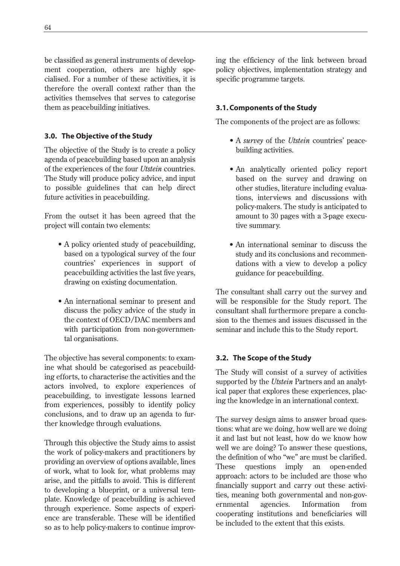be classified as general instruments of development cooperation, others are highly specialised. For a number of these activities, it is therefore the overall context rather than the activities themselves that serves to categorise them as peacebuilding initiatives.

## **3.0. The Objective of the Study**

The objective of the Study is to create a policy agenda of peacebuilding based upon an analysis of the experiences of the four *Utstein* countries. The Study will produce policy advice, and input to possible guidelines that can help direct future activities in peacebuilding.

From the outset it has been agreed that the project will contain two elements:

- A policy oriented study of peacebuilding, based on a typological survey of the four countries' experiences in support of peacebuilding activities the last five years, drawing on existing documentation.
- An international seminar to present and discuss the policy advice of the study in the context of OECD/DAC members and with participation from non-governmental organisations.

The objective has several components: to examine what should be categorised as peacebuilding efforts, to characterise the activities and the actors involved, to explore experiences of peacebuilding, to investigate lessons learned from experiences, possibly to identify policy conclusions, and to draw up an agenda to further knowledge through evaluations.

Through this objective the Study aims to assist the work of policy-makers and practitioners by providing an overview of options available, lines of work, what to look for, what problems may arise, and the pitfalls to avoid. This is different to developing a blueprint, or a universal template. Knowledge of peacebuilding is achieved through experience. Some aspects of experience are transferable. These will be identified so as to help policy-makers to continue improving the efficiency of the link between broad policy objectives, implementation strategy and specific programme targets.

## **3.1. Components of the Study**

The components of the project are as follows:

- A *survey* of the *Utstein* countries' peacebuilding activities.
- An analytically oriented policy report based on the survey and drawing on other studies, literature including evaluations, interviews and discussions with policy-makers. The study is anticipated to amount to 30 pages with a 3-page executive summary.
- An international seminar to discuss the study and its conclusions and recommendations with a view to develop a policy guidance for peacebuilding.

The consultant shall carry out the survey and will be responsible for the Study report. The consultant shall furthermore prepare a conclusion to the themes and issues discussed in the seminar and include this to the Study report.

## **3.2. The Scope of the Study**

The Study will consist of a survey of activities supported by the *Utstein* Partners and an analytical paper that explores these experiences, placing the knowledge in an international context.

The survey design aims to answer broad questions: what are we doing, how well are we doing it and last but not least, how do we know how well we are doing? To answer these questions, the definition of who "we" are must be clarified. These questions imply an open-ended approach: actors to be included are those who financially support and carry out these activities, meaning both governmental and non-governmental agencies. Information from cooperating institutions and beneficiaries will be included to the extent that this exists.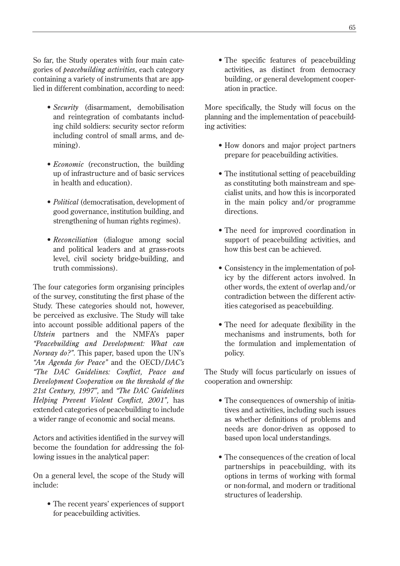So far, the Study operates with four main categories of *peacebuilding activities,* each category containing a variety of instruments that are applied in different combination, according to need:

- *Security* (disarmament, demobilisation and reintegration of combatants including child soldiers: security sector reform including control of small arms, and demining).
- *Economic* (reconstruction, the building up of infrastructure and of basic services in health and education).
- *Political* (democratisation, development of good governance, institution building, and strengthening of human rights regimes).
- *Reconciliation* (dialogue among social and political leaders and at grass-roots level, civil society bridge-building, and truth commissions).

The four categories form organising principles of the survey, constituting the first phase of the Study. These categories should not, however, be perceived as exclusive. The Study will take into account possible additional papers of the *Utstein* partners and the NMFA's paper *"Peacebuilding and Development: What can Norway do?"*. This paper, based upon the UN's *"An Agenda for Peace"* and the OECD/*DAC's "The DAC Guidelines: Conflict, Peace and Development Cooperation on the threshold of the 21st Century, 1997",* and *"The DAC Guidelines Helping Prevent Violent Conflict, 2001",* has extended categories of peacebuilding to include a wider range of economic and social means.

Actors and activities identified in the survey will become the foundation for addressing the following issues in the analytical paper:

On a general level, the scope of the Study will include:

• The recent years' experiences of support for peacebuilding activities.

• The specific features of peacebuilding activities, as distinct from democracy building, or general development cooperation in practice.

More specifically, the Study will focus on the planning and the implementation of peacebuilding activities:

- How donors and major project partners prepare for peacebuilding activities.
- The institutional setting of peacebuilding as constituting both mainstream and specialist units, and how this is incorporated in the main policy and/or programme directions.
- The need for improved coordination in support of peacebuilding activities, and how this best can be achieved.
- Consistency in the implementation of policy by the different actors involved. In other words, the extent of overlap and/or contradiction between the different activities categorised as peacebuilding.
- The need for adequate flexibility in the mechanisms and instruments, both for the formulation and implementation of policy.

The Study will focus particularly on issues of cooperation and ownership:

- The consequences of ownership of initiatives and activities, including such issues as whether definitions of problems and needs are donor-driven as opposed to based upon local understandings.
- The consequences of the creation of local partnerships in peacebuilding, with its options in terms of working with formal or non-formal, and modern or traditional structures of leadership.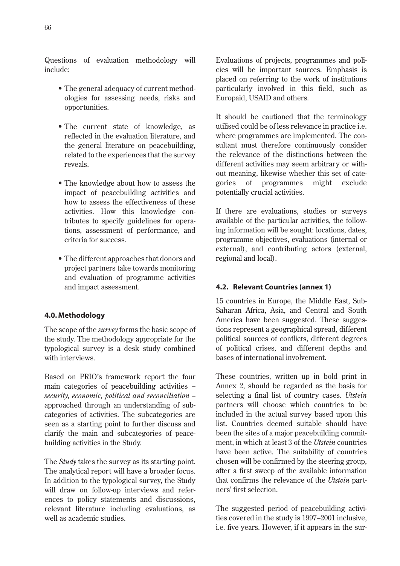Questions of evaluation methodology will include:

- The general adequacy of current methodologies for assessing needs, risks and opportunities.
- The current state of knowledge, as reflected in the evaluation literature, and the general literature on peacebuilding, related to the experiences that the survey reveals.
- The knowledge about how to assess the impact of peacebuilding activities and how to assess the effectiveness of these activities. How this knowledge contributes to specify guidelines for operations, assessment of performance, and criteria for success.
- The different approaches that donors and project partners take towards monitoring and evaluation of programme activities and impact assessment.

## **4.0. Methodology**

The scope of the *survey* forms the basic scope of the study. The methodology appropriate for the typological survey is a desk study combined with interviews.

Based on PRIO's framework report the four main categories of peacebuilding activities – *security, economic, political and reconciliation* – approached through an understanding of subcategories of activities. The subcategories are seen as a starting point to further discuss and clarify the main and subcategories of peacebuilding activities in the Study.

The *Study* takes the survey as its starting point. The analytical report will have a broader focus. In addition to the typological survey, the Study will draw on follow-up interviews and references to policy statements and discussions, relevant literature including evaluations, as well as academic studies.

Evaluations of projects, programmes and policies will be important sources. Emphasis is placed on referring to the work of institutions particularly involved in this field, such as Europaid, USAID and others.

It should be cautioned that the terminology utilised could be of less relevance in practice i.e. where programmes are implemented. The consultant must therefore continuously consider the relevance of the distinctions between the different activities may seem arbitrary or without meaning, likewise whether this set of categories of programmes might exclude potentially crucial activities.

If there are evaluations, studies or surveys available of the particular activities, the following information will be sought: locations, dates, programme objectives, evaluations (internal or external), and contributing actors (external, regional and local).

# **4.2. Relevant Countries (annex 1)**

15 countries in Europe, the Middle East, Sub-Saharan Africa, Asia, and Central and South America have been suggested. These suggestions represent a geographical spread, different political sources of conflicts, different degrees of political crises, and different depths and bases of international involvement.

These countries, written up in bold print in Annex 2, should be regarded as the basis for selecting a final list of country cases. *Utstein* partners will choose which countries to be included in the actual survey based upon this list. Countries deemed suitable should have been the sites of a major peacebuilding commitment, in which at least 3 of the *Utstein* countries have been active. The suitability of countries chosen will be confirmed by the steering group, after a first sweep of the available information that confirms the relevance of the *Utstein* partners' first selection.

The suggested period of peacebuilding activities covered in the study is 1997–2001 inclusive, i.e. five years. However, if it appears in the sur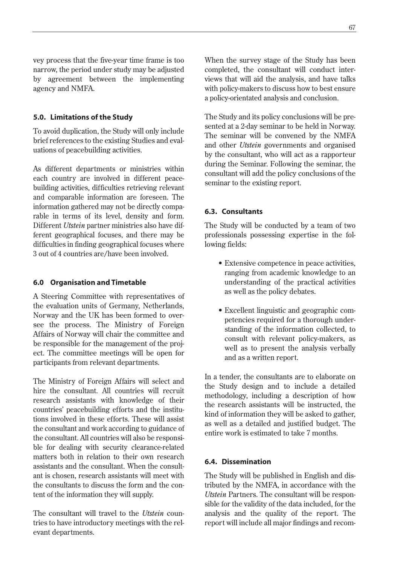vey process that the five-year time frame is too narrow, the period under study may be adjusted by agreement between the implementing agency and NMFA.

## **5.0. Limitations of the Study**

To avoid duplication, the Study will only include brief references to the existing Studies and evaluations of peacebuilding activities.

As different departments or ministries within each country are involved in different peacebuilding activities, difficulties retrieving relevant and comparable information are foreseen. The information gathered may not be directly comparable in terms of its level, density and form. Different *Utstein* partner ministries also have different geographical focuses, and there may be difficulties in finding geographical focuses where 3 out of 4 countries are/have been involved.

## **6.0 Organisation and Timetable**

A Steering Committee with representatives of the evaluation units of Germany, Netherlands, Norway and the UK has been formed to oversee the process. The Ministry of Foreign Affairs of Norway will chair the committee and be responsible for the management of the project. The committee meetings will be open for participants from relevant departments.

The Ministry of Foreign Affairs will select and hire the consultant. All countries will recruit research assistants with knowledge of their countries' peacebuilding efforts and the institutions involved in these efforts. These will assist the consultant and work according to guidance of the consultant. All countries will also be responsible for dealing with security clearance-related matters both in relation to their own research assistants and the consultant. When the consultant is chosen, research assistants will meet with the consultants to discuss the form and the content of the information they will supply.

The consultant will travel to the *Utstein* countries to have introductory meetings with the relevant departments.

When the survey stage of the Study has been completed, the consultant will conduct interviews that will aid the analysis, and have talks with policy-makers to discuss how to best ensure a policy-orientated analysis and conclusion.

The Study and its policy conclusions will be presented at a 2-day seminar to be held in Norway. The seminar will be convened by the NMFA and other *Utstein* governments and organised by the consultant, who will act as a rapporteur during the Seminar. Following the seminar, the consultant will add the policy conclusions of the seminar to the existing report.

# **6.3. Consultants**

The Study will be conducted by a team of two professionals possessing expertise in the following fields:

- Extensive competence in peace activities, ranging from academic knowledge to an understanding of the practical activities as well as the policy debates.
- Excellent linguistic and geographic competencies required for a thorough understanding of the information collected, to consult with relevant policy-makers, as well as to present the analysis verbally and as a written report.

In a tender, the consultants are to elaborate on the Study design and to include a detailed methodology, including a description of how the research assistants will be instructed, the kind of information they will be asked to gather, as well as a detailed and justified budget. The entire work is estimated to take 7 months.

## **6.4. Dissemination**

The Study will be published in English and distributed by the NMFA, in accordance with the *Utstein* Partners. The consultant will be responsible for the validity of the data included, for the analysis and the quality of the report. The report will include all major findings and recom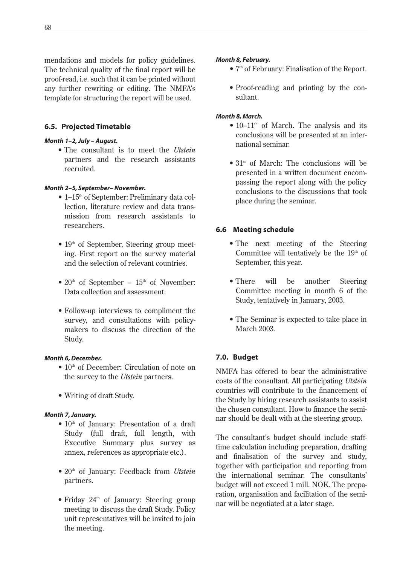mendations and models for policy guidelines. The technical quality of the final report will be proof-read, i.e. such that it can be printed without any further rewriting or editing. The NMFA's template for structuring the report will be used.

## **6.5. Projected Timetable**

## *Month 1–2, July – August.*

*•* The consultant is to meet the *Utstein* partners and the research assistants recruited.

## *Month 2–5, September– November.*

- 1–15<sup>th</sup> of September: Preliminary data collection, literature review and data transmission from research assistants to researchers.
- $\bullet$  19<sup>th</sup> of September, Steering group meeting. First report on the survey material and the selection of relevant countries.
- $20<sup>th</sup>$  of September  $15<sup>th</sup>$  of November: Data collection and assessment.
- Follow-up interviews to compliment the survey, and consultations with policymakers to discuss the direction of the Study.

## *Month 6, December.*

- $\bullet$  10<sup>th</sup> of December: Circulation of note on the survey to the *Utstein* partners.
- Writing of draft Study.

## *Month 7, January.*

- $\bullet$  10<sup>th</sup> of January: Presentation of a draft Study (full draft, full length, with Executive Summary plus survey as annex, references as appropriate etc.).
- 20<sup>th</sup> of January: Feedback from *Utstein* partners.
- Friday 24<sup>th</sup> of January: Steering group meeting to discuss the draft Study. Policy unit representatives will be invited to join the meeting.

## *Month 8, February.*

- 7<sup>th</sup> of February: Finalisation of the Report.
- Proof-reading and printing by the consultant.

## *Month 8, March.*

- $10-11<sup>th</sup>$  of March. The analysis and its conclusions will be presented at an international seminar.
- 31<sup>st</sup> of March: The conclusions will be presented in a written document encompassing the report along with the policy conclusions to the discussions that took place during the seminar.

# **6.6 Meeting schedule**

- The next meeting of the Steering Committee will tentatively be the 19<sup>th</sup> of September, this year.
- There will be another Steering Committee meeting in month 6 of the Study, tentatively in January, 2003.
- The Seminar is expected to take place in March 2003.

# **7.0. Budget**

NMFA has offered to bear the administrative costs of the consultant. All participating *Utstein* countries will contribute to the financement of the Study by hiring research assistants to assist the chosen consultant. How to finance the seminar should be dealt with at the steering group.

The consultant's budget should include stafftime calculation including preparation, drafting and finalisation of the survey and study, together with participation and reporting from the international seminar. The consultants' budget will not exceed 1 mill. NOK. The preparation, organisation and facilitation of the seminar will be negotiated at a later stage.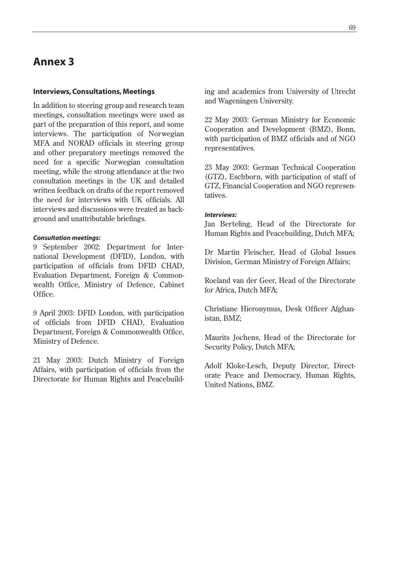# **Annex 3**

#### **Interviews, Consultations, Meetings**

In addition to steering group and research team meetings, consultation meetings were used as part of the preparation of this report, and some interviews. The participation of Norwegian MFA and NORAD officials in steering group and other preparatory meetings removed the need for a specific Norwegian consultation meeting, while the strong attendance at the two consultation meetings in the UK and detailed written feedback on drafts of the report removed the need for interviews with UK officials. All interviews and discussions were treated as background and unattributable briefings.

#### *Consultation meetings:*

9 September 2002: Department for International Development (DFID), London, with participation of officials from DFID CHAD, Evaluation Department, Foreign & Commonwealth Office, Ministry of Defence, Cabinet Office.

9 April 2003: DFID London, with participation of officials from DFID CHAD, Evaluation Department, Foreign & Commonwealth Office, Ministry of Defence.

21 May 2003: Dutch Ministry of Foreign Affairs, with participation of officials from the Directorate for Human Rights and Peacebuilding and academics from University of Utrecht and Wageningen University.

22 May 2003: German Ministry for Economic Cooperation and Development (BMZ), Bonn, with participation of BMZ officials and of NGO representatives.

23 May 2003: German Technical Cooperation (GTZ), Eschborn, with participation of staff of GTZ, Financial Cooperation and NGO representatives.

#### *Interviews:*

Jan Berteling, Head of the Directorate for Human Rights and Peacebuilding, Dutch MFA;

Dr Martin Fleischer, Head of Global Issues Division, German Ministry of Foreign Affairs;

Roeland van der Geer, Head of the Directorate for Africa, Dutch MFA;

Christiane Hieronymus, Desk Officer Afghanistan, BMZ;

Maurits Jochens, Head of the Directorate for Security Policy, Dutch MFA;

Adolf Kloke-Lesch, Deputy Director, Directorate Peace and Democracy, Human Rights, United Nations, BMZ.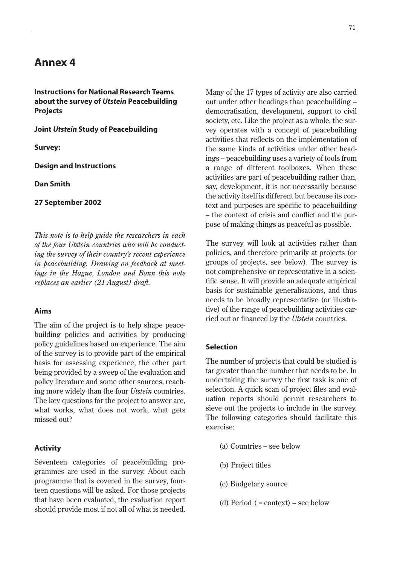# **Annex 4**

**Instructions for National Research Teams about the survey of** *Utstein* **Peacebuilding Projects**

**Joint** *Utstein* **Study of Peacebuilding**

**Survey:**

**Design and Instructions**

**Dan Smith**

**27 September 2002**

*This note is to help guide the researchers in each of the four Utstein countries who will be conducting the survey of their country's recent experience in peacebuilding. Drawing on feedback at meetings in the Hague, London and Bonn this note replaces an earlier (21 August) draft.*

#### **Aims**

The aim of the project is to help shape peacebuilding policies and activities by producing policy guidelines based on experience. The aim of the survey is to provide part of the empirical basis for assessing experience, the other part being provided by a sweep of the evaluation and policy literature and some other sources, reaching more widely than the four *Utstein* countries. The key questions for the project to answer are, what works, what does not work, what gets missed out?

#### **Activity**

Seventeen categories of peacebuilding programmes are used in the survey. About each programme that is covered in the survey, fourteen questions will be asked. For those projects that have been evaluated, the evaluation report should provide most if not all of what is needed.

Many of the 17 types of activity are also carried out under other headings than peacebuilding – democratisation, development, support to civil society, etc. Like the project as a whole, the survey operates with a concept of peacebuilding activities that reflects on the implementation of the same kinds of activities under other headings – peacebuilding uses a variety of tools from a range of different toolboxes. When these activities are part of peacebuilding rather than, say, development, it is not necessarily because the activity itself is different but because its context and purposes are specific to peacebuilding – the context of crisis and conflict and the purpose of making things as peaceful as possible.

The survey will look at activities rather than policies, and therefore primarily at projects (or groups of projects, see below). The survey is not comprehensive or representative in a scientific sense. It will provide an adequate empirical basis for sustainable generalisations, and thus needs to be broadly representative (or illustrative) of the range of peacebuilding activities carried out or financed by the *Utstein* countries.

#### **Selection**

The number of projects that could be studied is far greater than the number that needs to be. In undertaking the survey the first task is one of selection. A quick scan of project files and evaluation reports should permit researchers to sieve out the projects to include in the survey. The following categories should facilitate this exercise:

- (a) Countries see below
- (b) Project titles
- (c) Budgetary source
- (d) Period ( = context) see below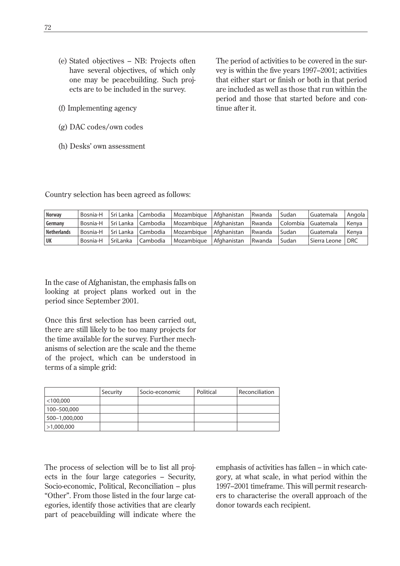- (e) Stated objectives NB: Projects often have several objectives, of which only one may be peacebuilding. Such projects are to be included in the survey.
- (f) Implementing agency
- (g) DAC codes/own codes
- (h) Desks' own assessment

The period of activities to be covered in the survey is within the five years 1997–2001; activities that either start or finish or both in that period are included as well as those that run within the period and those that started before and continue after it.

Country selection has been agreed as follows:

| <b>Norway</b>      | Bosnia-H | Sri Lanka | Cambodia | Mozambique | Afghanistan | Rwanda | Sudan    | l Guatemala  | Angola     |
|--------------------|----------|-----------|----------|------------|-------------|--------|----------|--------------|------------|
| Germany            | Bosnia-H | Sri Lanka | Cambodia | Mozambique | Afghanistan | Rwanda | Colombia | l Guatemala  | Kenya      |
| <b>Netherlands</b> | Bosnia-H | Sri Lanka | Cambodia | Mozambigue | Afghanistan | Rwanda | Sudan    | l Guatemala  | Kenva      |
| UK                 | Bosnia-H | SriLanka  | Cambodia | Mozambique | Afghanistan | Rwanda | Sudan    | Sierra Leone | <b>DRC</b> |

In the case of Afghanistan, the emphasis falls on looking at project plans worked out in the period since September 2001.

Once this first selection has been carried out, there are still likely to be too many projects for the time available for the survey. Further mechanisms of selection are the scale and the theme of the project, which can be understood in terms of a simple grid:

|               | Security | Socio-economic | Political | Reconciliation |
|---------------|----------|----------------|-----------|----------------|
| $<$ 100,000   |          |                |           |                |
| 100-500.000   |          |                |           |                |
| 500-1,000,000 |          |                |           |                |
| >1,000,000    |          |                |           |                |

The process of selection will be to list all projects in the four large categories – Security, Socio-economic, Political, Reconciliation – plus "Other". From those listed in the four large categories, identify those activities that are clearly part of peacebuilding will indicate where the emphasis of activities has fallen – in which category, at what scale, in what period within the 1997–2001 timeframe. This will permit researchers to characterise the overall approach of the donor towards each recipient.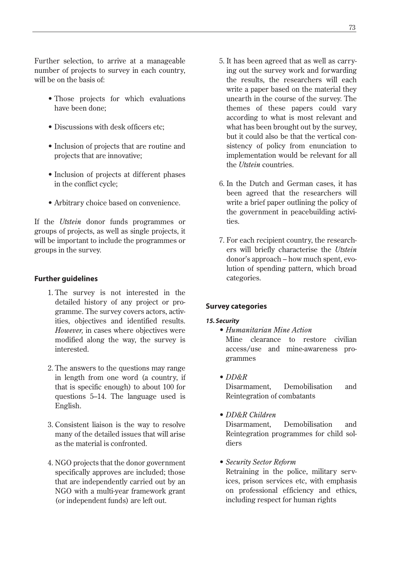Further selection, to arrive at a manageable number of projects to survey in each country, will be on the basis of:

- Those projects for which evaluations have been done;
- Discussions with desk officers etc;
- Inclusion of projects that are routine and projects that are innovative;
- Inclusion of projects at different phases in the conflict cycle;
- Arbitrary choice based on convenience.

If the *Utstein* donor funds programmes or groups of projects, as well as single projects, it will be important to include the programmes or groups in the survey.

### **Further guidelines**

- 1. The survey is not interested in the detailed history of any project or programme. The survey covers actors, activities, objectives and identified results. *However,* in cases where objectives were modified along the way, the survey is interested.
- 2. The answers to the questions may range in length from one word (a country, if that is specific enough) to about 100 for questions 5–14. The language used is English.
- 3. Consistent liaison is the way to resolve many of the detailed issues that will arise as the material is confronted.
- 4. NGO projects that the donor government specifically approves are included; those that are independently carried out by an NGO with a multi-year framework grant (or independent funds) are left out.
- 5. It has been agreed that as well as carrying out the survey work and forwarding the results, the researchers will each write a paper based on the material they unearth in the course of the survey. The themes of these papers could vary according to what is most relevant and what has been brought out by the survey, but it could also be that the vertical consistency of policy from enunciation to implementation would be relevant for all the *Utstein* countries.
- 6. In the Dutch and German cases, it has been agreed that the researchers will write a brief paper outlining the policy of the government in peacebuilding activities.
- 7. For each recipient country, the researchers will briefly characterise the *Utstein* donor's approach – how much spent, evolution of spending pattern, which broad categories.

### **Survey categories**

### *15. Security*

• *Humanitarian Mine Action*

Mine clearance to restore civilian access/use and mine-awareness programmes

- *DD&R* Disarmament, Demobilisation and Reintegration of combatants
- *DD&R Children* Disarmament, Demobilisation and Reintegration programmes for child sol-
- *Security Sector Reform*

diers

Retraining in the police, military services, prison services etc, with emphasis on professional efficiency and ethics, including respect for human rights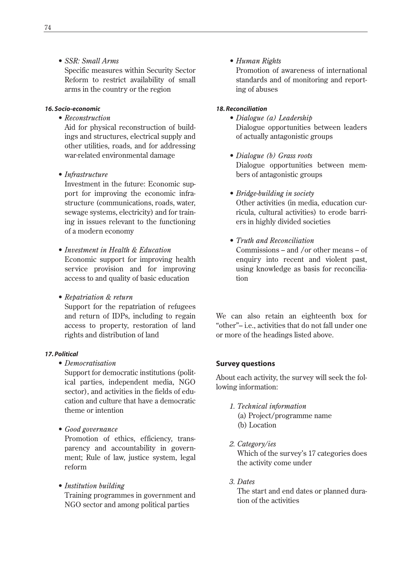• *SSR: Small Arms*

Specific measures within Security Sector Reform to restrict availability of small arms in the country or the region

#### *16. Socio-economic*

• *Reconstruction*

Aid for physical reconstruction of buildings and structures, electrical supply and other utilities, roads, and for addressing war-related environmental damage

• *Infrastructure*

Investment in the future: Economic support for improving the economic infrastructure (communications, roads, water, sewage systems, electricity) and for training in issues relevant to the functioning of a modern economy

- *Investment in Health & Education* Economic support for improving health service provision and for improving access to and quality of basic education
- *Repatriation & return*

Support for the repatriation of refugees and return of IDPs, including to regain access to property, restoration of land rights and distribution of land

### *17. Political*

• *Democratisation*

Support for democratic institutions (political parties, independent media, NGO sector), and activities in the fields of education and culture that have a democratic theme or intention

• *Good governance*

Promotion of ethics, efficiency, transparency and accountability in government; Rule of law, justice system, legal reform

• *Institution building* Training programmes in government and NGO sector and among political parties

• *Human Rights*

Promotion of awareness of international standards and of monitoring and reporting of abuses

#### *18. Reconciliation*

- *Dialogue (a) Leadership* Dialogue opportunities between leaders of actually antagonistic groups
- *Dialogue (b) Grass roots* Dialogue opportunities between members of antagonistic groups
- *Bridge-building in society* Other activities (in media, education curricula, cultural activities) to erode barriers in highly divided societies
- *Truth and Reconciliation* Commissions – and /or other means – of enquiry into recent and violent past, using knowledge as basis for reconciliation

We can also retain an eighteenth box for "other"– i.e., activities that do not fall under one or more of the headings listed above.

### **Survey questions**

About each activity, the survey will seek the following information:

*1. Technical information*

(a) Project/programme name (b) Location

*2. Category/ies*

Which of the survey's 17 categories does the activity come under

*3. Dates*

The start and end dates or planned duration of the activities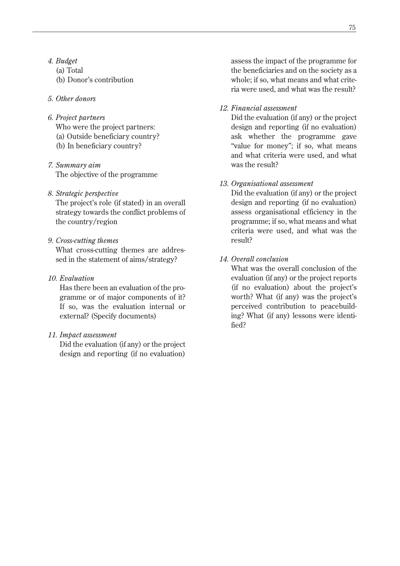- *4. Budget*
	- (a) Total
	- (b) Donor's contribution
- *5. Other donors*
- *6. Project partners*
	- Who were the project partners:
	- (a) Outside beneficiary country?
	- (b) In beneficiary country?
- *7. Summary aim* The objective of the programme

### *8. Strategic perspective*

The project's role (if stated) in an overall strategy towards the conflict problems of the country/region

## *9. Cross-cutting themes*

What cross-cutting themes are addressed in the statement of aims/strategy?

### *10. Evaluation*

Has there been an evaluation of the programme or of major components of it? If so, was the evaluation internal or external? (Specify documents)

## *11. Impact assessment*

Did the evaluation (if any) or the project design and reporting (if no evaluation)

assess the impact of the programme for the beneficiaries and on the society as a whole; if so, what means and what criteria were used, and what was the result?

## *12. Financial assessment*

Did the evaluation (if any) or the project design and reporting (if no evaluation) ask whether the programme gave "value for money"; if so, what means and what criteria were used, and what was the result?

### *13. Organisational assessment*

Did the evaluation (if any) or the project design and reporting (if no evaluation) assess organisational efficiency in the programme; if so, what means and what criteria were used, and what was the result?

## *14. Overall conclusion*

What was the overall conclusion of the evaluation (if any) or the project reports (if no evaluation) about the project's worth? What (if any) was the project's perceived contribution to peacebuilding? What (if any) lessons were identified?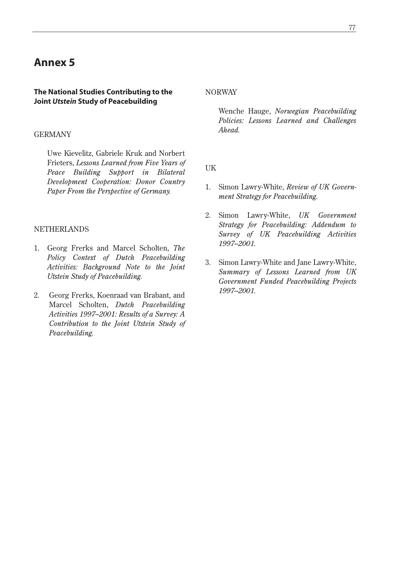# **Annex 5**

#### **The National Studies Contributing to the Joint** *Utstein* **Study of Peacebuilding**

#### GERMANY

Uwe Kievelitz, Gabriele Kruk and Norbert Frieters, *Lessons Learned from Five Years of Peace Building Support in Bilateral Development Cooperation: Donor Country Paper From the Perspective of Germany.* 

### **NETHERLANDS**

- 1. Georg Frerks and Marcel Scholten, *The Policy Context of Dutch Peacebuilding Activities: Background Note to the Joint Utstein Study of Peacebuilding.*
- 2. Georg Frerks, Koenraad van Brabant, and Marcel Scholten, *Dutch Peacebuilding Activities 1997–2001: Results of a Survey: A Contribution to the Joint Utstein Study of Peacebuilding.*

NORWAY

Wenche Hauge, *Norwegian Peacebuilding Policies: Lessons Learned and Challenges Ahead.*

UK

- 1. Simon Lawry-White, *Review of UK Government Strategy for Peacebuilding.*
- 2. Simon Lawry-White, *UK Government Strategy for Peacebuilding: Addendum to Survey of UK Peacebuilding Activities 1997–2001.*
- 3. Simon Lawry-White and Jane Lawry-White, *Summary of Lessons Learned from UK Government Funded Peacebuilding Projects 1997–2001.*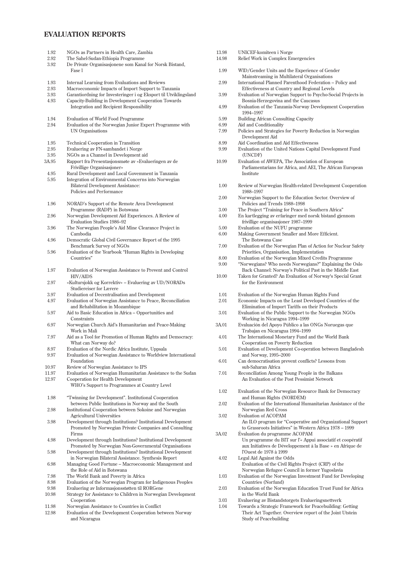### **EVALUATION REPORTS**

| 1.92           | NGOs as Partners in Health Care, Zambia                                                                                        |  |  |  |
|----------------|--------------------------------------------------------------------------------------------------------------------------------|--|--|--|
| 2.92           | The Sahel-Sudan-Ethiopia Programme                                                                                             |  |  |  |
| 3.92           | De Private Organisasjonene som Kanal for Norsk Bistand,<br>Fase 1                                                              |  |  |  |
| 1.93           | Internal Learning from Evaluations and Reviews                                                                                 |  |  |  |
| 2.93           | Macroeconomic Impacts of Import Support to Tanzania                                                                            |  |  |  |
| 3.93           | Garantiordning for Investeringer i og Eksport til Utviklingsland                                                               |  |  |  |
| 4.93           | Capacity-Building in Development Cooperation Towards<br>Integration and Recipient Responsibility                               |  |  |  |
| 1.94           | Evaluation of World Food Programme                                                                                             |  |  |  |
| 2.94           | Evaluation of the Norwegian Junior Expert Programme with<br><b>UN Organisations</b>                                            |  |  |  |
| 1.95           | <b>Technical Cooperation in Transition</b>                                                                                     |  |  |  |
| 2.95           | Evaluering av FN-sambandet i Norge                                                                                             |  |  |  |
| 3.95           | NGOs as a Channel in Development aid                                                                                           |  |  |  |
| 3A.95          | Rapport fra Presentasjonsmøte av «Evalueringen av de<br>Frivillige Organisasjoner»                                             |  |  |  |
| 4.95           | Rural Development and Local Govemment in Tanzania                                                                              |  |  |  |
| 5.95           | Integration of Environmental Concerns into Norwegian                                                                           |  |  |  |
|                | <b>Bilateral Development Assistance:</b><br>Policies and Performance                                                           |  |  |  |
| 1.96           | NORAD's Support of the Remote Area Development<br>Programme (RADP) in Botswana                                                 |  |  |  |
| 2.96           | Norwegian Development Aid Experiences. A Review of                                                                             |  |  |  |
| 3.96           | Evaluation Studies 1986-92<br>The Norwegian People's Aid Mine Clearance Project in<br>Cambodia                                 |  |  |  |
| 4.96           | Democratic Global Civil Governance Report of the 1995<br>Benchmark Survey of NGOs                                              |  |  |  |
| 5.96           | Evaluation of the Yearbook "Human Rights in Developing<br>Countries"                                                           |  |  |  |
| 1.97           | Evaluation of Norwegian Assistance to Prevent and Control<br><b>HIV/AIDS</b>                                                   |  |  |  |
| 2.97           | «Kultursjokk og Korrektiv» – Evaluering av UD/NORADs<br>Studiereiser for Lærere                                                |  |  |  |
| 3.97           | Evaluation of Decentralisation and Development                                                                                 |  |  |  |
| 4.97           | Evaluation of Norwegian Assistance to Peace, Reconciliation<br>and Rehabilitation in Mozambique                                |  |  |  |
| 5.97           | Aid to Basic Education in Africa – Opportunities and<br>Constraints                                                            |  |  |  |
| 6.97           | Norwegian Church Aid's Humanitarian and Peace-Making<br>Work in Mali                                                           |  |  |  |
| 7.97           | Aid as a Tool for Promotion of Human Rights and Democracy:<br>What can Norway do?                                              |  |  |  |
| 8.97           | Evaluation of the Nordic Africa Institute, Uppsala                                                                             |  |  |  |
| 9.97           | Evaluation of Norwegian Assistance to Worldview International<br>Foundation                                                    |  |  |  |
| 10.97          | Review of Norwegian Assistance to IPS                                                                                          |  |  |  |
| 11.97<br>12.97 | Evaluation of Norwegian Humanitarian Assistance to the Sudan                                                                   |  |  |  |
|                | Cooperation for Health Development<br>WHO's Support to Programmes at Country Level                                             |  |  |  |
| 1.98           | "Twinning for Development". Institutional Cooperation<br>between Public Institutions in Norway and the South                   |  |  |  |
| 2.98           | Institutional Cooperation between Sokoine and Norwegian<br><b>Agricultural Universities</b>                                    |  |  |  |
| 3.98           | Development through Institutions? Institutional Development<br>Promoted by Norwegian Private Companies and Consulting<br>Firms |  |  |  |
| 4.98           | Development through Institutions? Institutional Development<br>Promoted by Norwegian Non-Governmental Organisations            |  |  |  |
| 5.98           | Development through Institutions? Institutional Development<br>in Norwegian Bilateral Assistance. Synthesis Report             |  |  |  |
| 6.98           | Managing Good Fortune - Macroeconomic Management and<br>the Role of Aid in Botswana                                            |  |  |  |
| 7.98           | The World Bank and Poverty in Africa                                                                                           |  |  |  |
| 8.98           | Evaluation of the Norwegian Program for Indigenous Peoples                                                                     |  |  |  |
| 9.98<br>10.98  | Evaluering av Informasjonsstøtten til RORGene                                                                                  |  |  |  |
|                | Strategy for Assistance to Children in Norwegian Development<br>Cooperation                                                    |  |  |  |
| 11.98          | Norwegian Assistance to Countries in Conflict                                                                                  |  |  |  |
|                |                                                                                                                                |  |  |  |

12.98 Evaluation of the Development Cooperation between Norway and Nicaragua

| 13.98<br>14.98 | UNICEF-komiteen i Norge<br>Relief Work in Complex Emergencies                                                                                                                                                          |
|----------------|------------------------------------------------------------------------------------------------------------------------------------------------------------------------------------------------------------------------|
| 1.99           | WID/Gender Units and the Experience of Gender<br>Mainstreaming in Multilateral Organisations                                                                                                                           |
| 2.99           | International Planned Parenthood Federation - Policy and<br>Effectiveness at Country and Regional Levels                                                                                                               |
| 3.99           | Evaluation of Norwegian Support to Psycho-Social Projects in<br>Bosnia-Herzegovina and the Caucasus                                                                                                                    |
| 4.99           | Evaluation of the Tanzania-Norway Development Cooperation<br>1994-1997                                                                                                                                                 |
| 5.99           | <b>Building African Consulting Capacity</b>                                                                                                                                                                            |
| 6.99           | Aid and Conditionality                                                                                                                                                                                                 |
| 7.99           | Policies and Strategies for Poverty Reduction in Norwegian<br>Development Aid                                                                                                                                          |
| 8.99           | Aid Coordination and Aid Effectiveness                                                                                                                                                                                 |
| 9.99           | Evaluation of the United Nations Capital Development Fund<br>(UNCDF)                                                                                                                                                   |
| 10.99          | Evaluation of AWEPA, The Association of European<br>Parliamentarians for Africa, and AEI, The African European<br>Institute                                                                                            |
| 1.00           | Review of Norwegian Health-related Development Cooperation<br>1988-1997                                                                                                                                                |
| 2.00           | Norwegian Support to the Education Sector. Overview of<br>Policies and Trends 1988–1998                                                                                                                                |
| 3.00           | The Project "Training for Peace in Southern Africa"                                                                                                                                                                    |
| 4.00           | En kartlegging av erfaringer med norsk bistand gjennom<br>frivillige organisasjoner 1987–1999                                                                                                                          |
| 5.00           | Evaluation of the NUFU programme                                                                                                                                                                                       |
| 6.00           | Making Government Smaller and More Efficient.<br>The Botswana Case                                                                                                                                                     |
| 7.00           | Evaluation of the Norwegian Plan of Action for Nuclear Safety<br>Priorities, Organisation, Implementation                                                                                                              |
| 8.00           | Evaluation of the Norwegian Mixed Credits Programme                                                                                                                                                                    |
| 9.00           | "Norwegians? Who needs Norwegians?" Explaining the Oslo<br>Back Channel: Norway's Political Past in the Middle East                                                                                                    |
| 10.00          | Taken for Granted? An Evaluation of Norway's Special Grant<br>for the Environment                                                                                                                                      |
| 1.01           | Evaluation of the Norwegian Human Rights Fund                                                                                                                                                                          |
| 2.01           | Economic Impacts on the Least Developed Countries of the<br>Elimination of Import Tariffs on their Products                                                                                                            |
| 3.01           | Evaluation of the Public Support to the Norwegian NGOs<br>Working in Nicaragua 1994-1999                                                                                                                               |
| 3A.01          | Evaluación del Apoyo Público a las ONGs Noruegas que<br>Trabajan en Nicaragua 1994–1999                                                                                                                                |
| 4.01           | The International Monetary Fund and the World Bank<br>Cooperation on Poverty Reduction                                                                                                                                 |
| 5.01           | Evaluation of Development Co-operation between Bangladesh<br>and Norway, 1995-2000                                                                                                                                     |
| 6.01           | Can democratisation prevent conflicts? Lessons from<br>sub-Saharan Africa                                                                                                                                              |
| 7.01           | Reconciliation Among Young People in the Balkans<br>An Evaluation of the Post Pessimist Network                                                                                                                        |
| 1.02           | Evaluation of the Norwegian Resource Bank for Democracy<br>and Human Rights (NORDEM)                                                                                                                                   |
| 2.02           | Evaluation of the International Humanitarian Assistance of the<br>Norwegian Red Cross                                                                                                                                  |
| 3.02           | Evaluation of ACOPAM<br>An ILO program for "Cooperative and Organizational Support                                                                                                                                     |
| 3A.02          | to Grassroots Initiatives" in Western Africa 1978 – 1999<br>Evaluation du programme ACOPAM<br>Un programme du BIT sur l'« Appui associatif et coopératif<br>aux Initiatives de Développement à la Base » en Afrique de |
| 4.02           | l'Ouest de 1978 à 1999<br>Legal Aid Against the Odds<br>Evaluation of the Civil Rights Project (CRP) of the                                                                                                            |
| 1.03           | Norwegian Refugee Council in former Yugoslavia<br>Evaluation of the Norwegian Investment Fund for Developing                                                                                                           |
| 2.03           | Countries (Norfund)<br>Evaluation of the Norwegian Education Trust Fund for Africa<br>in the World Bank                                                                                                                |
| 3.03           | Evaluering av Ristandstorgets Evalueringsnettverk                                                                                                                                                                      |

- 3.03 Evaluering av Bistandstorgets Evalueringsnettverk
- 1.04 Towards a Strategic Framework for Peacebuilding: Getting Their Act Together. Overview report of the Joint Utstein Study of Peacebuilding